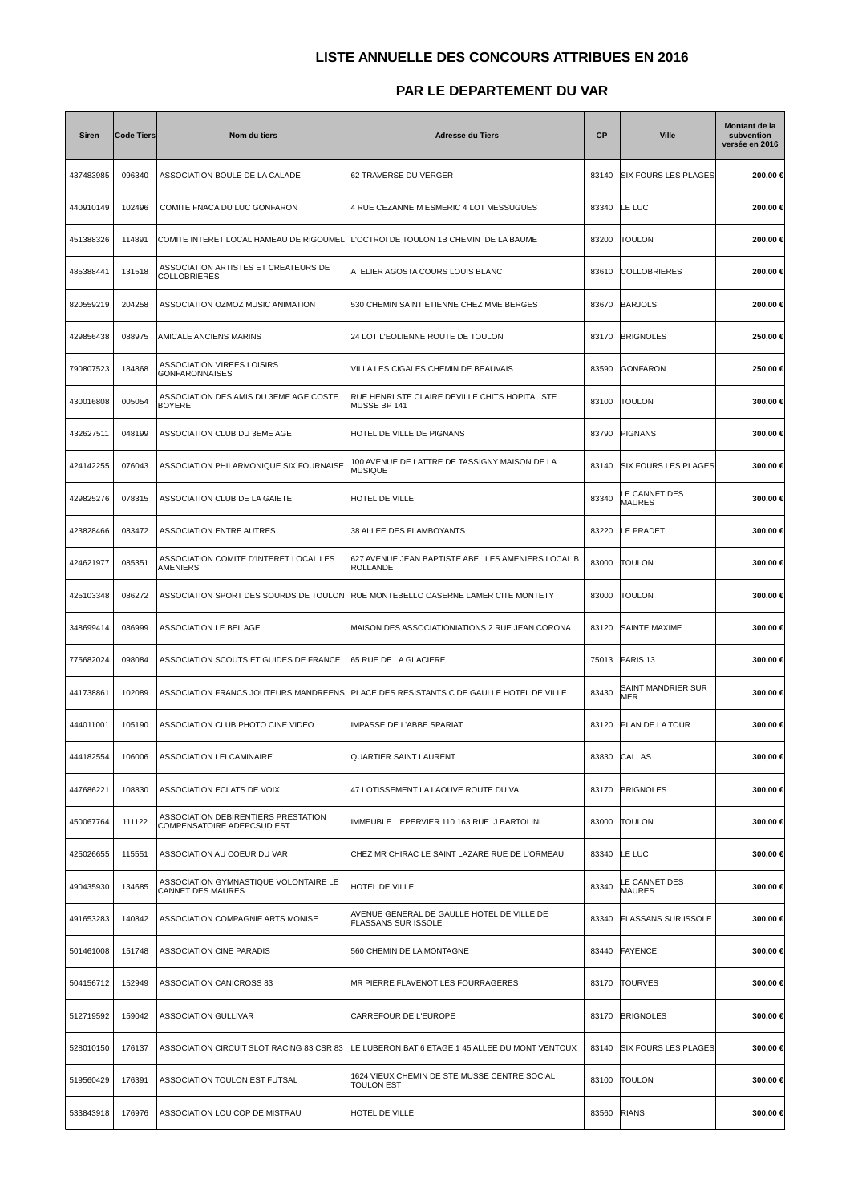## **LISTE ANNUELLE DES CONCOURS ATTRIBUES EN 2016**

## **PAR LE DEPARTEMENT DU VAR**

| Siren     | <b>Code Tiers</b> | Nom du tiers                                                      | <b>Adresse du Tiers</b>                                           | <b>CP</b> | <b>Ville</b>                   | Montant de la<br>subvention<br>versée en 2016 |
|-----------|-------------------|-------------------------------------------------------------------|-------------------------------------------------------------------|-----------|--------------------------------|-----------------------------------------------|
| 437483985 | 096340            | ASSOCIATION BOULE DE LA CALADE                                    | 62 TRAVERSE DU VERGER                                             | 83140     | <b>SIX FOURS LES PLAGES</b>    | 200,00 €                                      |
| 440910149 | 102496            | COMITE FNACA DU LUC GONFARON                                      | 4 RUE CEZANNE M ESMERIC 4 LOT MESSUGUES                           | 83340     | LE LUC                         | 200,00 €                                      |
| 451388326 | 114891            | COMITE INTERET LOCAL HAMEAU DE RIGOUMEL                           | L'OCTROI DE TOULON 1B CHEMIN DE LA BAUME                          | 83200     | <b>TOULON</b>                  | 200,00 €                                      |
| 485388441 | 131518            | ASSOCIATION ARTISTES ET CREATEURS DE<br><b>COLLOBRIERES</b>       | ATELIER AGOSTA COURS LOUIS BLANC                                  | 83610     | <b>COLLOBRIERES</b>            | 200,00 €                                      |
| 820559219 | 204258            | ASSOCIATION OZMOZ MUSIC ANIMATION                                 | 530 CHEMIN SAINT ETIENNE CHEZ MME BERGES                          | 83670     | <b>BARJOLS</b>                 | 200,00 €                                      |
| 429856438 | 088975            | AMICALE ANCIENS MARINS                                            | 24 LOT L'EOLIENNE ROUTE DE TOULON                                 | 83170     | <b>BRIGNOLES</b>               | 250,00 €                                      |
| 790807523 | 184868            | ASSOCIATION VIREES LOISIRS<br><b>GONFARONNAISES</b>               | VILLA LES CIGALES CHEMIN DE BEAUVAIS                              | 83590     | GONFARON                       | 250,00 €                                      |
| 430016808 | 005054            | ASSOCIATION DES AMIS DU 3EME AGE COSTE<br><b>BOYERE</b>           | RUE HENRI STE CLAIRE DEVILLE CHITS HOPITAL STE<br>MUSSE BP 141    | 83100     | <b>TOULON</b>                  | 300,00 €                                      |
| 432627511 | 048199            | ASSOCIATION CLUB DU 3EME AGE                                      | HOTEL DE VILLE DE PIGNANS                                         | 83790     | PIGNANS                        | 300,00 €                                      |
| 424142255 | 076043            | ASSOCIATION PHILARMONIQUE SIX FOURNAISE                           | 100 AVENUE DE LATTRE DE TASSIGNY MAISON DE LA<br><b>MUSIQUE</b>   | 83140     | <b>SIX FOURS LES PLAGES</b>    | 300,00 €                                      |
| 429825276 | 078315            | ASSOCIATION CLUB DE LA GAIETE                                     | HOTEL DE VILLE                                                    | 83340     | LE CANNET DES<br><b>MAURES</b> | 300,00 €                                      |
| 423828466 | 083472            | <b>ASSOCIATION ENTRE AUTRES</b>                                   | 38 ALLEE DES FLAMBOYANTS                                          | 83220     | LE PRADET                      | 300,00 €                                      |
| 424621977 | 085351            | ASSOCIATION COMITE D'INTERET LOCAL LES<br>AMENIERS                | 627 AVENUE JEAN BAPTISTE ABEL LES AMENIERS LOCAL B<br>ROLLANDE    | 83000     | <b>TOULON</b>                  | 300,00 €                                      |
| 425103348 | 086272            | ASSOCIATION SPORT DES SOURDS DE TOULON                            | RUE MONTEBELLO CASERNE LAMER CITE MONTETY                         | 83000     | <b>TOULON</b>                  | 300,00 €                                      |
| 348699414 | 086999            | ASSOCIATION LE BEL AGE                                            | MAISON DES ASSOCIATIONIATIONS 2 RUE JEAN CORONA                   | 83120     | SAINTE MAXIME                  | 300,00 €                                      |
| 775682024 | 098084            | ASSOCIATION SCOUTS ET GUIDES DE FRANCE                            | 65 RUE DE LA GLACIERE                                             | 75013     | PARIS <sub>13</sub>            | 300,00 €                                      |
| 441738861 | 102089            | ASSOCIATION FRANCS JOUTEURS MANDREENS                             | PLACE DES RESISTANTS C DE GAULLE HOTEL DE VILLE                   | 83430     | SAINT MANDRIER SUR<br>MER      | 300.00 €                                      |
| 444011001 | 105190            | ASSOCIATION CLUB PHOTO CINE VIDEO                                 | IMPASSE DE L'ABBE SPARIAT                                         | 83120     | PLAN DE LA TOUR                | 300,00 €                                      |
| 444182554 | 106006            | ASSOCIATION LEI CAMINAIRE                                         | QUARTIER SAINT LAURENT                                            | 83830     | <b>CALLAS</b>                  | 300,00 €                                      |
| 447686221 | 108830            | ASSOCIATION ECLATS DE VOIX                                        | 47 LOTISSEMENT LA LAOUVE ROUTE DU VAL                             | 83170     | <b>BRIGNOLES</b>               | 300,00 €                                      |
| 450067764 | 111122            | ASSOCIATION DEBIRENTIERS PRESTATION<br>COMPENSATOIRE ADEPCSUD EST | IMMEUBLE L'EPERVIER 110 163 RUE J BARTOLINI                       | 83000     | <b>TOULON</b>                  | 300,00 €                                      |
| 425026655 | 115551            | ASSOCIATION AU COEUR DU VAR                                       | CHEZ MR CHIRAC LE SAINT LAZARE RUE DE L'ORMEAU                    | 83340     | LE LUC                         | 300,00 €                                      |
| 490435930 | 134685            | ASSOCIATION GYMNASTIQUE VOLONTAIRE LE<br>CANNET DES MAURES        | HOTEL DE VILLE                                                    | 83340     | LE CANNET DES<br><b>MAURES</b> | 300,00 €                                      |
| 491653283 | 140842            | ASSOCIATION COMPAGNIE ARTS MONISE                                 | AVENUE GENERAL DE GAULLE HOTEL DE VILLE DE<br>FLASSANS SUR ISSOLE | 83340     | <b>FLASSANS SUR ISSOLE</b>     | 300,00 €                                      |
| 501461008 | 151748            | ASSOCIATION CINE PARADIS                                          | 560 CHEMIN DE LA MONTAGNE                                         | 83440     | <b>FAYENCE</b>                 | 300,00 €                                      |
| 504156712 | 152949            | ASSOCIATION CANICROSS 83                                          | MR PIERRE FLAVENOT LES FOURRAGERES                                | 83170     | <b>TOURVES</b>                 | 300,00 €                                      |
| 512719592 | 159042            | <b>ASSOCIATION GULLIVAR</b>                                       | CARREFOUR DE L'EUROPE                                             | 83170     | <b>BRIGNOLES</b>               | 300,00 €                                      |
| 528010150 | 176137            | ASSOCIATION CIRCUIT SLOT RACING 83 CSR 83                         | LE LUBERON BAT 6 ETAGE 1 45 ALLEE DU MONT VENTOUX                 | 83140     | <b>SIX FOURS LES PLAGES</b>    | 300,00 €                                      |
| 519560429 | 176391            | ASSOCIATION TOULON EST FUTSAL                                     | 1624 VIEUX CHEMIN DE STE MUSSE CENTRE SOCIAL<br><b>TOULON EST</b> | 83100     | <b>TOULON</b>                  | 300,00 €                                      |
| 533843918 | 176976            | ASSOCIATION LOU COP DE MISTRAU                                    | HOTEL DE VILLE                                                    | 83560     | <b>RIANS</b>                   | 300,00 €                                      |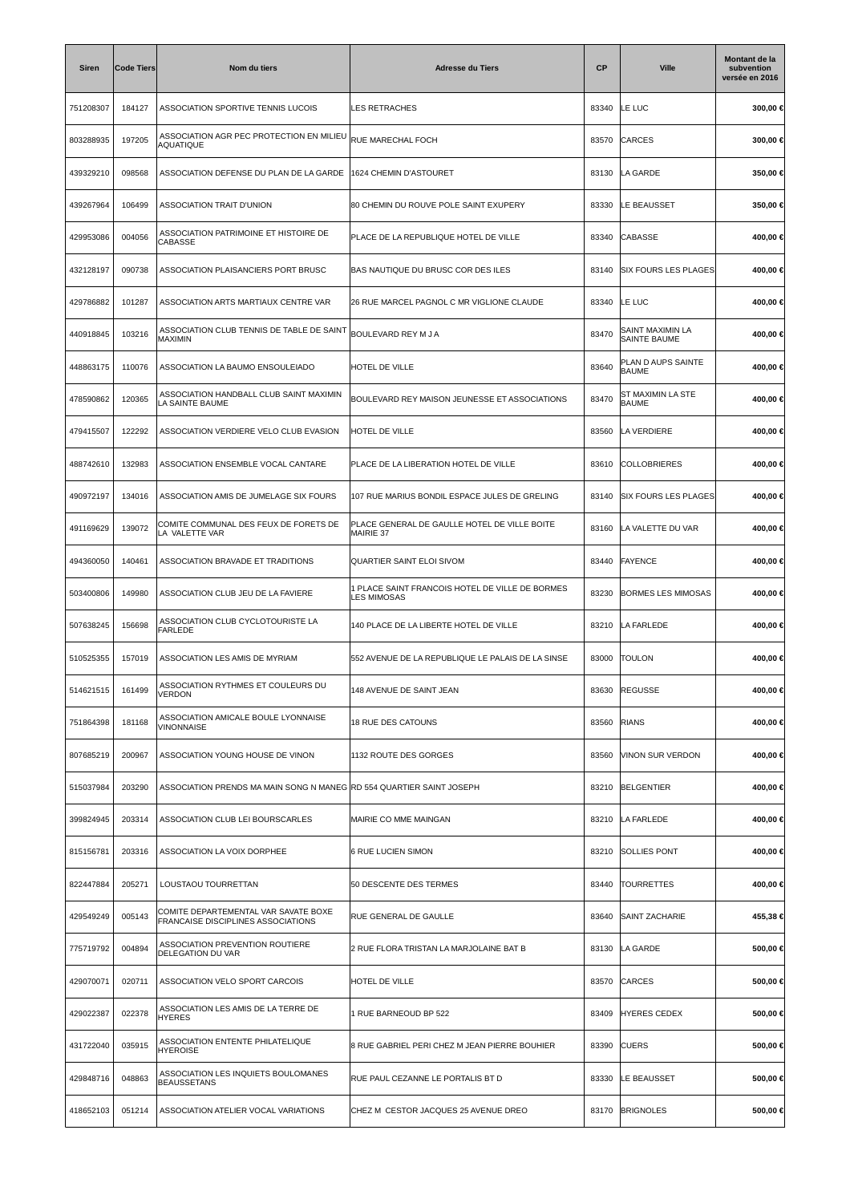| Siren     | <b>Code Tiers</b> | Nom du tiers                                                               | <b>Adresse du Tiers</b>                                               | <b>CP</b> | <b>Ville</b>                             | Montant de la<br>subvention<br>versée en 2016 |
|-----------|-------------------|----------------------------------------------------------------------------|-----------------------------------------------------------------------|-----------|------------------------------------------|-----------------------------------------------|
| 751208307 | 184127            | ASSOCIATION SPORTIVE TENNIS LUCOIS                                         | LES RETRACHES                                                         | 83340     | LE LUC                                   | 300,00 €                                      |
| 803288935 | 197205            | ASSOCIATION AGR PEC PROTECTION EN MILIEU<br><b>AQUATIQUE</b>               | RUE MARECHAL FOCH                                                     | 83570     | CARCES                                   | 300,00 €                                      |
| 439329210 | 098568            | ASSOCIATION DEFENSE DU PLAN DE LA GARDE                                    | 1624 CHEMIN D'ASTOURET                                                | 83130     | LA GARDE                                 | 350,00 €                                      |
| 439267964 | 106499            | ASSOCIATION TRAIT D'UNION                                                  | 80 CHEMIN DU ROUVE POLE SAINT EXUPERY                                 | 83330     | LE BEAUSSET                              | 350,00 €                                      |
| 429953086 | 004056            | ASSOCIATION PATRIMOINE ET HISTOIRE DE<br>CABASSE                           | PLACE DE LA REPUBLIQUE HOTEL DE VILLE                                 | 83340     | CABASSE                                  | 400,00 €                                      |
| 432128197 | 090738            | ASSOCIATION PLAISANCIERS PORT BRUSC                                        | BAS NAUTIQUE DU BRUSC COR DES ILES                                    | 83140     | <b>SIX FOURS LES PLAGES</b>              | 400,00 €                                      |
| 429786882 | 101287            | ASSOCIATION ARTS MARTIAUX CENTRE VAR                                       | 26 RUE MARCEL PAGNOL C MR VIGLIONE CLAUDE                             | 83340     | <b>LE LUC</b>                            | 400,00 €                                      |
| 440918845 | 103216            | ASSOCIATION CLUB TENNIS DE TABLE DE SAINT<br>MAXIMIN                       | BOULEVARD REY M J A                                                   | 83470     | SAINT MAXIMIN LA<br><b>SAINTE BAUME</b>  | 400,00 €                                      |
| 448863175 | 110076            | ASSOCIATION LA BAUMO ENSOULEIADO                                           | HOTEL DE VILLE                                                        | 83640     | PLAN D AUPS SAINTE<br><b>BAUME</b>       | 400,00 €                                      |
| 478590862 | 120365            | ASSOCIATION HANDBALL CLUB SAINT MAXIMIN<br>LA SAINTE BAUME                 | BOULEVARD REY MAISON JEUNESSE ET ASSOCIATIONS                         | 83470     | <b>ST MAXIMIN LA STE</b><br><b>BAUME</b> | 400,00 €                                      |
| 479415507 | 122292            | ASSOCIATION VERDIERE VELO CLUB EVASION                                     | HOTEL DE VILLE                                                        | 83560     | LA VERDIERE                              | 400,00 €                                      |
| 488742610 | 132983            | ASSOCIATION ENSEMBLE VOCAL CANTARE                                         | PLACE DE LA LIBERATION HOTEL DE VILLE                                 | 83610     | COLLOBRIERES                             | 400,00 €                                      |
| 490972197 | 134016            | ASSOCIATION AMIS DE JUMELAGE SIX FOURS                                     | 107 RUE MARIUS BONDIL ESPACE JULES DE GRELING                         | 83140     | <b>SIX FOURS LES PLAGES</b>              | 400,00 €                                      |
| 491169629 | 139072            | COMITE COMMUNAL DES FEUX DE FORETS DE<br>LA VALETTE VAR                    | PLACE GENERAL DE GAULLE HOTEL DE VILLE BOITE<br>MAIRIE 37             | 83160     | LA VALETTE DU VAR                        | 400,00 €                                      |
| 494360050 | 140461            | ASSOCIATION BRAVADE ET TRADITIONS                                          | QUARTIER SAINT ELOI SIVOM                                             | 83440     | <b>FAYENCE</b>                           | 400,00 €                                      |
| 503400806 | 149980            | ASSOCIATION CLUB JEU DE LA FAVIERE                                         | 1 PLACE SAINT FRANCOIS HOTEL DE VILLE DE BORMES<br><b>LES MIMOSAS</b> | 83230     | <b>BORMES LES MIMOSAS</b>                | 400,00 €                                      |
| 507638245 | 156698            | ASSOCIATION CLUB CYCLOTOURISTE LA<br><b>FARLEDE</b>                        | 140 PLACE DE LA LIBERTE HOTEL DE VILLE                                | 83210     | LA FARLEDE                               | 400,00 €                                      |
| 510525355 | 157019            | ASSOCIATION LES AMIS DE MYRIAM                                             | 552 AVENUE DE LA REPUBLIQUE LE PALAIS DE LA SINSE                     | 83000     | <b>TOULON</b>                            | 400,00 €                                      |
| 514621515 | 161499            | ASSOCIATION RYTHMES ET COULEURS DU<br><b>VERDON</b>                        | 148 AVENUE DE SAINT JEAN                                              | 83630     | <b>REGUSSE</b>                           | 400,00 €                                      |
| 751864398 | 181168            | ASSOCIATION AMICALE BOULE LYONNAISE<br><b>VINONNAISE</b>                   | <b>18 RUE DES CATOUNS</b>                                             | 83560     | <b>RIANS</b>                             | 400,00 €                                      |
| 807685219 | 200967            | ASSOCIATION YOUNG HOUSE DE VINON                                           | 1132 ROUTE DES GORGES                                                 | 83560     | VINON SUR VERDON                         | 400,00 €                                      |
| 515037984 | 203290            | ASSOCIATION PRENDS MA MAIN SONG N MANEG RD 554 QUARTIER SAINT JOSEPH       |                                                                       | 83210     | <b>BELGENTIER</b>                        | 400,00 €                                      |
| 399824945 | 203314            | ASSOCIATION CLUB LEI BOURSCARLES                                           | MAIRIE CO MME MAINGAN                                                 | 83210     | LA FARLEDE                               | 400,00 €                                      |
| 815156781 | 203316            | ASSOCIATION LA VOIX DORPHEE                                                | <b>6 RUE LUCIEN SIMON</b>                                             | 83210     | <b>SOLLIES PONT</b>                      | 400,00 €                                      |
| 822447884 | 205271            | LOUSTAOU TOURRETTAN                                                        | 50 DESCENTE DES TERMES                                                | 83440     | <b>TOURRETTES</b>                        | 400,00 €                                      |
| 429549249 | 005143            | COMITE DEPARTEMENTAL VAR SAVATE BOXE<br>FRANCAISE DISCIPLINES ASSOCIATIONS | RUE GENERAL DE GAULLE                                                 | 83640     | SAINT ZACHARIE                           | 455,38 €                                      |
| 775719792 | 004894            | ASSOCIATION PREVENTION ROUTIERE<br>DELEGATION DU VAR                       | 2 RUE FLORA TRISTAN LA MARJOLAINE BAT B                               | 83130     | LA GARDE                                 | 500,00 €                                      |
| 429070071 | 020711            | ASSOCIATION VELO SPORT CARCOIS                                             | HOTEL DE VILLE                                                        | 83570     | <b>CARCES</b>                            | 500,00 €                                      |
| 429022387 | 022378            | ASSOCIATION LES AMIS DE LA TERRE DE<br><b>HYERES</b>                       | 1 RUE BARNEOUD BP 522                                                 | 83409     | <b>HYERES CEDEX</b>                      | 500,00 €                                      |
| 431722040 | 035915            | ASSOCIATION ENTENTE PHILATELIQUE<br><b>HYEROISE</b>                        | 8 RUE GABRIEL PERI CHEZ M JEAN PIERRE BOUHIER                         | 83390     | <b>CUERS</b>                             | 500,00 €                                      |
| 429848716 | 048863            | ASSOCIATION LES INQUIETS BOULOMANES<br><b>BEAUSSETANS</b>                  | RUE PAUL CEZANNE LE PORTALIS BT D                                     | 83330     | LE BEAUSSET                              | 500,00 €                                      |
| 418652103 | 051214            | ASSOCIATION ATELIER VOCAL VARIATIONS                                       | CHEZ M CESTOR JACQUES 25 AVENUE DREO                                  | 83170     | <b>BRIGNOLES</b>                         | 500,00 €                                      |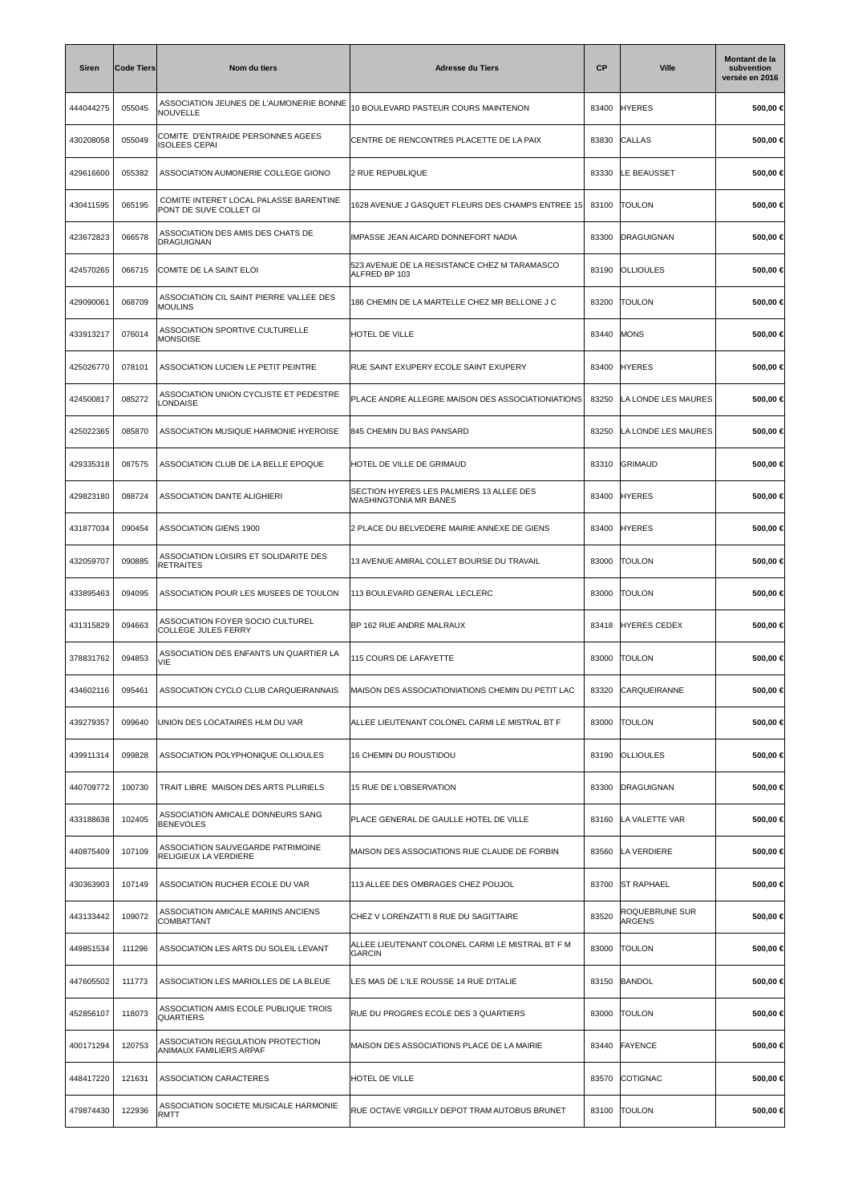| <b>Siren</b> | <b>Code Tiers</b> | Nom du tiers                                                     | <b>Adresse du Tiers</b>                                           | <b>CP</b> | <b>Ville</b>             | Montant de la<br>subvention<br>versée en 2016 |
|--------------|-------------------|------------------------------------------------------------------|-------------------------------------------------------------------|-----------|--------------------------|-----------------------------------------------|
| 444044275    | 055045            | ASSOCIATION JEUNES DE L'AUMONERIE BONNE<br>NOUVELLE              | 10 BOULEVARD PASTEUR COURS MAINTENON                              | 83400     | <b>HYERES</b>            | 500,00 €                                      |
| 430208058    | 055049            | COMITE D'ENTRAIDE PERSONNES AGEES<br>ISOLEES CEPAI               | CENTRE DE RENCONTRES PLACETTE DE LA PAIX                          | 83830     | CALLAS                   | 500,00 €                                      |
| 429616600    | 055382            | ASSOCIATION AUMONERIE COLLEGE GIONO                              | 2 RUE REPUBLIQUE                                                  | 83330     | LE BEAUSSET              | 500,00 €                                      |
| 430411595    | 065195            | COMITE INTERET LOCAL PALASSE BARENTINE<br>PONT DE SUVE COLLET GI | 1628 AVENUE J GASQUET FLEURS DES CHAMPS ENTREE 15                 | 83100     | <b>TOULON</b>            | 500,00 €                                      |
| 423672823    | 066578            | ASSOCIATION DES AMIS DES CHATS DE<br>DRAGUIGNAN                  | IMPASSE JEAN AICARD DONNEFORT NADIA                               | 83300     | DRAGUIGNAN               | 500,00 €                                      |
| 424570265    | 066715            | COMITE DE LA SAINT ELOI                                          | 523 AVENUE DE LA RESISTANCE CHEZ M TARAMASCO<br>ALFRED BP 103     | 83190     | <b>OLLIOULES</b>         | 500,00 €                                      |
| 429090061    | 068709            | ASSOCIATION CIL SAINT PIERRE VALLEE DES<br><b>MOULINS</b>        | 186 CHEMIN DE LA MARTELLE CHEZ MR BELLONE J C                     | 83200     | <b>TOULON</b>            | 500,00 €                                      |
| 433913217    | 076014            | ASSOCIATION SPORTIVE CULTURELLE<br><b>MONSOISE</b>               | HOTEL DE VILLE                                                    | 83440     | <b>MONS</b>              | 500,00 €                                      |
| 425026770    | 078101            | ASSOCIATION LUCIEN LE PETIT PEINTRE                              | RUE SAINT EXUPERY ECOLE SAINT EXUPERY                             | 83400     | <b>HYERES</b>            | 500,00 €                                      |
| 424500817    | 085272            | ASSOCIATION UNION CYCLISTE ET PEDESTRE<br>LONDAISE               | PLACE ANDRE ALLEGRE MAISON DES ASSOCIATIONIATIONS                 | 83250     | LA LONDE LES MAURES      | 500,00 €                                      |
| 425022365    | 085870            | ASSOCIATION MUSIQUE HARMONIE HYEROISE                            | 845 CHEMIN DU BAS PANSARD                                         | 83250     | LA LONDE LES MAURES      | 500,00 €                                      |
| 429335318    | 087575            | ASSOCIATION CLUB DE LA BELLE EPOQUE                              | HOTEL DE VILLE DE GRIMAUD                                         | 83310     | GRIMAUD                  | 500,00 €                                      |
| 429823180    | 088724            | ASSOCIATION DANTE ALIGHIERI                                      | SECTION HYERES LES PALMIERS 13 ALLEE DES<br>WASHINGTONIA MR BANES | 83400     | <b>HYERES</b>            | 500,00 €                                      |
| 431877034    | 090454            | ASSOCIATION GIENS 1900                                           | 2 PLACE DU BELVEDERE MAIRIE ANNEXE DE GIENS                       | 83400     | <b>HYERES</b>            | 500,00 €                                      |
| 432059707    | 090885            | ASSOCIATION LOISIRS ET SOLIDARITE DES<br>RETRAITES               | 13 AVENUE AMIRAL COLLET BOURSE DU TRAVAIL                         | 83000     | <b>TOULON</b>            | 500,00 €                                      |
| 433895463    | 094095            | ASSOCIATION POUR LES MUSEES DE TOULON                            | 113 BOULEVARD GENERAL LECLERC                                     | 83000     | <b>TOULON</b>            | 500,00 €                                      |
| 431315829    | 094663            | ASSOCIATION FOYER SOCIO CULTUREL<br>COLLEGE JULES FERRY          | BP 162 RUE ANDRE MALRAUX                                          | 83418     | <b>HYERES CEDEX</b>      | 500,00 €                                      |
| 378831762    | 094853            | ASSOCIATION DES ENFANTS UN QUARTIER LA<br>VIE                    | 115 COURS DE LAFAYETTE                                            | 83000     | <b>TOULON</b>            | 500,00 €                                      |
| 434602116    | 095461            | ASSOCIATION CYCLO CLUB CARQUEIRANNAIS                            | MAISON DES ASSOCIATIONIATIONS CHEMIN DU PETIT LAC                 | 83320     | CARQUEIRANNE             | 500,00 €                                      |
| 439279357    | 099640            | UNION DES LOCATAIRES HLM DU VAR                                  | ALLEE LIEUTENANT COLONEL CARMI LE MISTRAL BT F                    | 83000     | <b>TOULON</b>            | 500,00 €                                      |
| 439911314    | 099828            | ASSOCIATION POLYPHONIQUE OLLIOULES                               | 16 CHEMIN DU ROUSTIDOU                                            | 83190     | <b>OLLIOULES</b>         | 500,00 €                                      |
| 440709772    | 100730            | TRAIT LIBRE MAISON DES ARTS PLURIELS                             | 15 RUE DE L'OBSERVATION                                           | 83300     | DRAGUIGNAN               | 500,00 €                                      |
| 433188638    | 102405            | ASSOCIATION AMICALE DONNEURS SANG<br><b>BENEVOLES</b>            | PLACE GENERAL DE GAULLE HOTEL DE VILLE                            | 83160     | LA VALETTE VAR           | 500,00 €                                      |
| 440875409    | 107109            | ASSOCIATION SAUVEGARDE PATRIMOINE<br>RELIGIEUX LA VERDIERE       | MAISON DES ASSOCIATIONS RUE CLAUDE DE FORBIN                      | 83560     | LA VERDIERE              | 500,00 €                                      |
| 430363903    | 107149            | ASSOCIATION RUCHER ECOLE DU VAR                                  | 113 ALLEE DES OMBRAGES CHEZ POUJOL                                | 83700     | <b>ST RAPHAEL</b>        | 500,00 €                                      |
| 443133442    | 109072            | ASSOCIATION AMICALE MARINS ANCIENS<br>COMBATTANT                 | CHEZ V LORENZATTI 8 RUE DU SAGITTAIRE                             | 83520     | ROQUEBRUNE SUR<br>ARGENS | 500,00 €                                      |
| 449851534    | 111296            | ASSOCIATION LES ARTS DU SOLEIL LEVANT                            | ALLEE LIEUTENANT COLONEL CARMI LE MISTRAL BT F M<br><b>GARCIN</b> | 83000     | <b>TOULON</b>            | 500,00 €                                      |
| 447605502    | 111773            | ASSOCIATION LES MARIOLLES DE LA BLEUE                            | LES MAS DE L'ILE ROUSSE 14 RUE D'ITALIE                           | 83150     | <b>BANDOL</b>            | 500,00 €                                      |
| 452856107    | 118073            | ASSOCIATION AMIS ECOLE PUBLIQUE TROIS<br>QUARTIERS               | RUE DU PROGRES ECOLE DES 3 QUARTIERS                              | 83000     | <b>TOULON</b>            | 500,00 €                                      |
| 400171294    | 120753            | ASSOCIATION REGULATION PROTECTION<br>ANIMAUX FAMILIERS ARPAF     | MAISON DES ASSOCIATIONS PLACE DE LA MAIRIE                        | 83440     | <b>FAYENCE</b>           | 500,00 €                                      |
| 448417220    | 121631            | ASSOCIATION CARACTERES                                           | HOTEL DE VILLE                                                    | 83570     | COTIGNAC                 | 500,00 €                                      |
| 479874430    | 122936            | ASSOCIATION SOCIETE MUSICALE HARMONIE<br>RMTT                    | RUE OCTAVE VIRGILLY DEPOT TRAM AUTOBUS BRUNET                     | 83100     | <b>TOULON</b>            | 500,00 €                                      |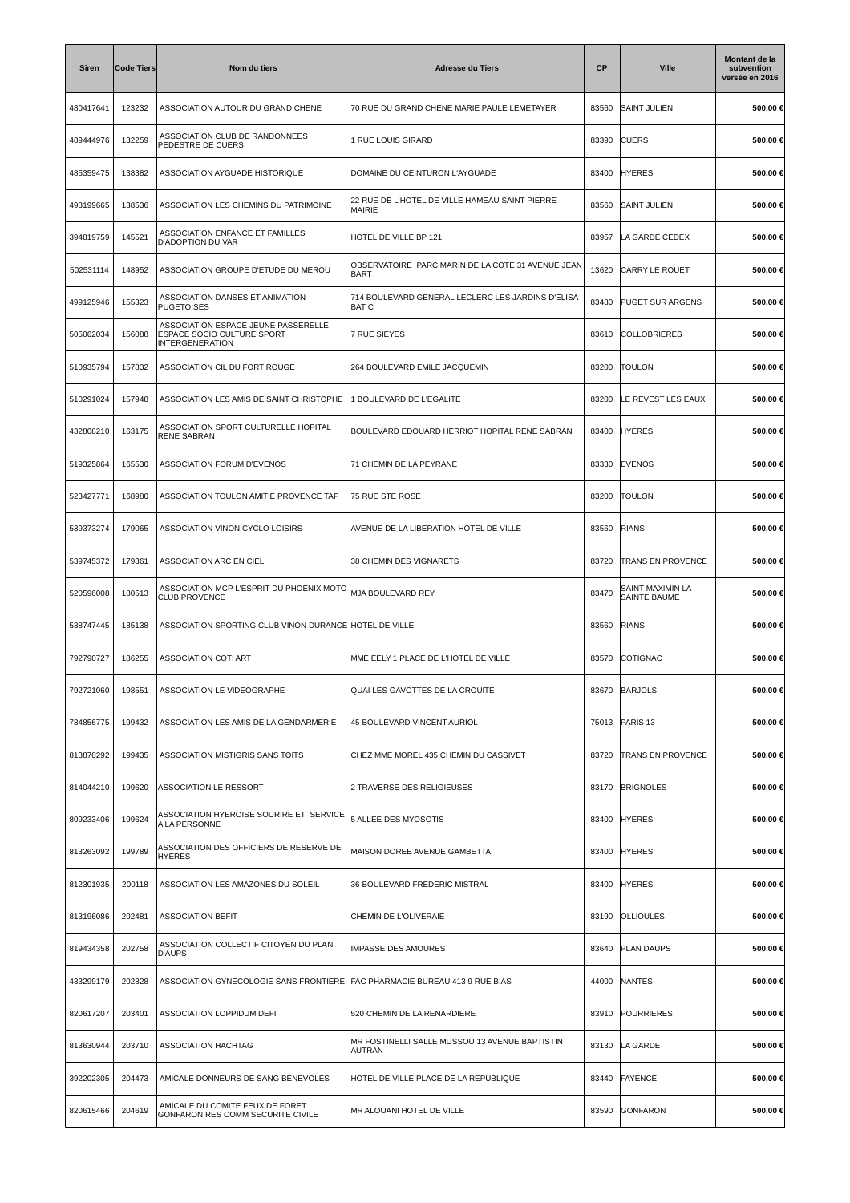| <b>Siren</b> | <b>Code Tiers</b> | Nom du tiers                                                                                       | <b>Adresse du Tiers</b>                                          | <b>CP</b> | <b>Ville</b>                            | Montant de la<br>subvention<br>versée en 2016 |
|--------------|-------------------|----------------------------------------------------------------------------------------------------|------------------------------------------------------------------|-----------|-----------------------------------------|-----------------------------------------------|
| 480417641    | 123232            | ASSOCIATION AUTOUR DU GRAND CHENE                                                                  | 70 RUE DU GRAND CHENE MARIE PAULE LEMETAYER                      | 83560     | <b>SAINT JULIEN</b>                     | 500,00 €                                      |
| 489444976    | 132259            | ASSOCIATION CLUB DE RANDONNEES<br>PEDESTRE DE CUERS                                                | 1 RUE LOUIS GIRARD                                               | 83390     | <b>CUERS</b>                            | 500,00 €                                      |
| 485359475    | 138382            | ASSOCIATION AYGUADE HISTORIQUE                                                                     | DOMAINE DU CEINTURON L'AYGUADE                                   | 83400     | <b>HYERES</b>                           | 500,00 €                                      |
| 493199665    | 138536            | ASSOCIATION LES CHEMINS DU PATRIMOINE                                                              | 22 RUE DE L'HOTEL DE VILLE HAMEAU SAINT PIERRE<br>MAIRIE         | 83560     | <b>SAINT JULIEN</b>                     | 500,00 €                                      |
| 394819759    | 145521            | ASSOCIATION ENFANCE ET FAMILLES<br><b>D'ADOPTION DU VAR</b>                                        | HOTEL DE VILLE BP 121                                            | 83957     | LA GARDE CEDEX                          | 500,00 €                                      |
| 502531114    | 148952            | ASSOCIATION GROUPE D'ETUDE DU MEROU                                                                | OBSERVATOIRE PARC MARIN DE LA COTE 31 AVENUE JEAN<br>BART        | 13620     | CARRY LE ROUET                          | 500,00 €                                      |
| 499125946    | 155323            | ASSOCIATION DANSES ET ANIMATION<br><b>PUGETOISES</b>                                               | 714 BOULEVARD GENERAL LECLERC LES JARDINS D'ELISA<br><b>BATC</b> | 83480     | <b>PUGET SUR ARGENS</b>                 | 500,00 €                                      |
| 505062034    | 156088            | ASSOCIATION ESPACE JEUNE PASSERELLE<br><b>ESPACE SOCIO CULTURE SPORT</b><br><b>INTERGENERATION</b> | <b>7 RUE SIEYES</b>                                              | 83610     | <b>COLLOBRIERES</b>                     | 500,00 €                                      |
| 510935794    | 157832            | ASSOCIATION CIL DU FORT ROUGE                                                                      | 264 BOULEVARD EMILE JACQUEMIN                                    | 83200     | <b>TOULON</b>                           | 500,00 €                                      |
| 510291024    | 157948            | ASSOCIATION LES AMIS DE SAINT CHRISTOPHE                                                           | 1 BOULEVARD DE L'EGALITE                                         | 83200     | LE REVEST LES EAUX                      | 500,00 €                                      |
| 432808210    | 163175            | ASSOCIATION SPORT CULTURELLE HOPITAL<br>RENE SABRAN                                                | BOULEVARD EDOUARD HERRIOT HOPITAL RENE SABRAN                    | 83400     | <b>HYERES</b>                           | 500,00 €                                      |
| 519325864    | 165530            | <b>ASSOCIATION FORUM D'EVENOS</b>                                                                  | 71 CHEMIN DE LA PEYRANE                                          | 83330     | <b>EVENOS</b>                           | 500,00 €                                      |
| 523427771    | 168980            | ASSOCIATION TOULON AMITIE PROVENCE TAP                                                             | 75 RUE STE ROSE                                                  | 83200     | <b>TOULON</b>                           | 500,00 €                                      |
| 539373274    | 179065            | ASSOCIATION VINON CYCLO LOISIRS                                                                    | AVENUE DE LA LIBERATION HOTEL DE VILLE                           | 83560     | RIANS                                   | 500,00 €                                      |
| 539745372    | 179361            | ASSOCIATION ARC EN CIEL                                                                            | 38 CHEMIN DES VIGNARETS                                          | 83720     | <b>TRANS EN PROVENCE</b>                | 500,00 €                                      |
| 520596008    | 180513            | ASSOCIATION MCP L'ESPRIT DU PHOENIX MOTO<br><b>CLUB PROVENCE</b>                                   | MJA BOULEVARD REY                                                | 83470     | SAINT MAXIMIN LA<br><b>SAINTE BAUME</b> | 500,00 €                                      |
| 538747445    | 185138            | ASSOCIATION SPORTING CLUB VINON DURANCE HOTEL DE VILLE                                             |                                                                  | 83560     | <b>RIANS</b>                            | 500,00 €                                      |
| 792790727    | 186255            | <b>ASSOCIATION COTI ART</b>                                                                        | MME EELY 1 PLACE DE L'HOTEL DE VILLE                             | 83570     | COTIGNAC                                | 500,00 €                                      |
| 792721060    | 198551            | ASSOCIATION LE VIDEOGRAPHE                                                                         | QUAI LES GAVOTTES DE LA CROUITE                                  | 83670     | BARJOLS                                 | 500,00 €                                      |
| 784856775    | 199432            | ASSOCIATION LES AMIS DE LA GENDARMERIE                                                             | 45 BOULEVARD VINCENT AURIOL                                      | 75013     | PARIS <sub>13</sub>                     | 500,00 €                                      |
| 813870292    | 199435            | ASSOCIATION MISTIGRIS SANS TOITS                                                                   | CHEZ MME MOREL 435 CHEMIN DU CASSIVET                            | 83720     | <b>TRANS EN PROVENCE</b>                | 500,00 €                                      |
| 814044210    | 199620            | ASSOCIATION LE RESSORT                                                                             | 2 TRAVERSE DES RELIGIEUSES                                       | 83170     | <b>BRIGNOLES</b>                        | 500,00 €                                      |
| 809233406    | 199624            | ASSOCIATION HYEROISE SOURIRE ET SERVICE<br>A LA PERSONNE                                           | 5 ALLEE DES MYOSOTIS                                             | 83400     | <b>HYERES</b>                           | 500,00 €                                      |
| 813263092    | 199789            | ASSOCIATION DES OFFICIERS DE RESERVE DE<br><b>HYERES</b>                                           | MAISON DOREE AVENUE GAMBETTA                                     | 83400     | <b>HYERES</b>                           | 500,00 €                                      |
| 812301935    | 200118            | ASSOCIATION LES AMAZONES DU SOLEIL                                                                 | 36 BOULEVARD FREDERIC MISTRAL                                    | 83400     | <b>HYERES</b>                           | 500,00 €                                      |
| 813196086    | 202481            | <b>ASSOCIATION BEFIT</b>                                                                           | CHEMIN DE L'OLIVERAIE                                            | 83190     | <b>OLLIOULES</b>                        | 500,00 €                                      |
| 819434358    | 202758            | ASSOCIATION COLLECTIF CITOYEN DU PLAN<br>D'AUPS                                                    | <b>IMPASSE DES AMOURES</b>                                       | 83640     | <b>PLAN DAUPS</b>                       | 500,00 €                                      |
| 433299179    | 202828            | ASSOCIATION GYNECOLOGIE SANS FRONTIERE FAC PHARMACIE BUREAU 413 9 RUE BIAS                         |                                                                  | 44000     | <b>NANTES</b>                           | 500,00 €                                      |
| 820617207    | 203401            | ASSOCIATION LOPPIDUM DEFI                                                                          | 520 CHEMIN DE LA RENARDIERE                                      | 83910     | <b>POURRIERES</b>                       | 500,00 €                                      |
| 813630944    | 203710            | ASSOCIATION HACHTAG                                                                                | MR FOSTINELLI SALLE MUSSOU 13 AVENUE BAPTISTIN<br>AUTRAN         | 83130     | LA GARDE                                | 500,00 €                                      |
| 392202305    | 204473            | AMICALE DONNEURS DE SANG BENEVOLES                                                                 | HOTEL DE VILLE PLACE DE LA REPUBLIQUE                            | 83440     | FAYENCE                                 | 500,00 €                                      |
| 820615466    | 204619            | AMICALE DU COMITE FEUX DE FORET<br>GONFARON RES COMM SECURITE CIVILE                               | MR ALOUANI HOTEL DE VILLE                                        | 83590     | <b>GONFARON</b>                         | 500,00 €                                      |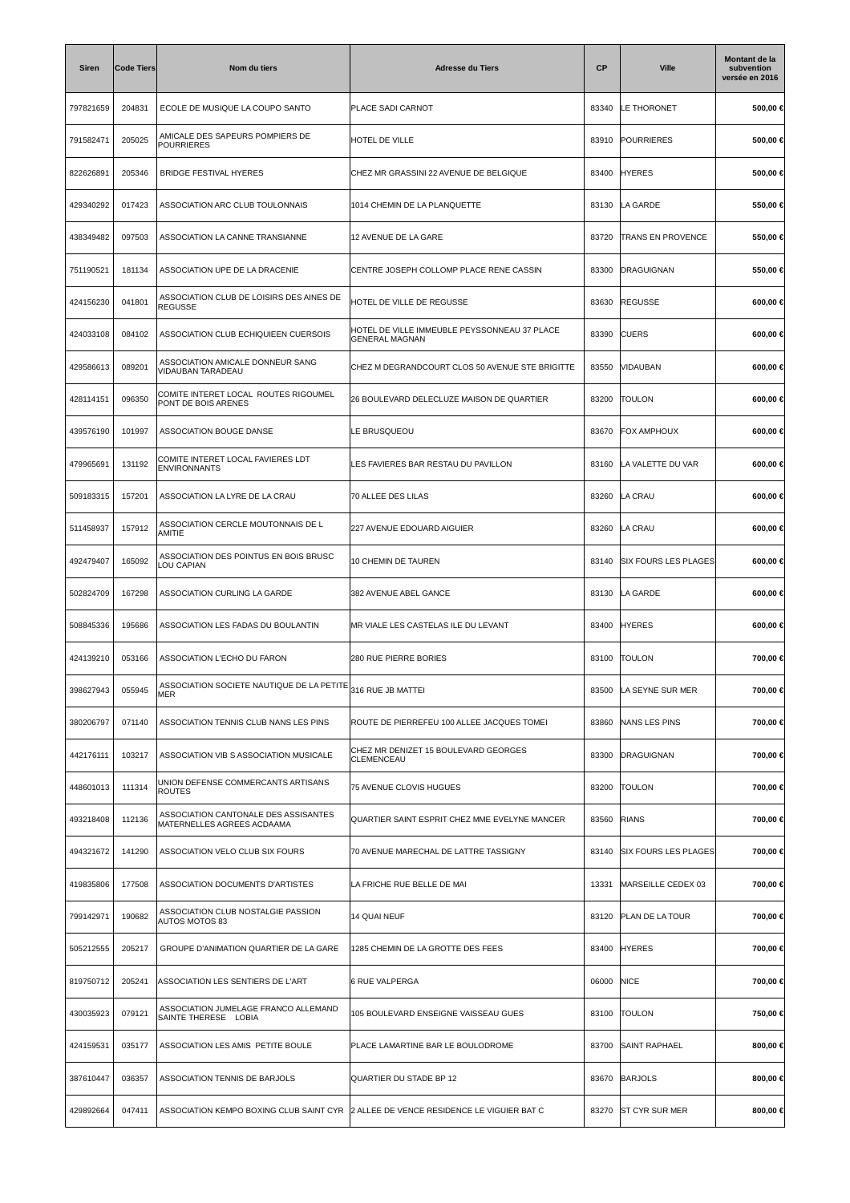| <b>Siren</b> | <b>Code Tiers</b> | Nom du tiers                                                       | <b>Adresse du Tiers</b>                                                             | <b>CP</b> | <b>Ville</b>                | <b>Montant de la</b><br>subvention<br>versée en 2016 |
|--------------|-------------------|--------------------------------------------------------------------|-------------------------------------------------------------------------------------|-----------|-----------------------------|------------------------------------------------------|
| 797821659    | 204831            | ECOLE DE MUSIQUE LA COUPO SANTO                                    | <b>PLACE SADI CARNOT</b>                                                            | 83340     | <b>LE THORONET</b>          | 500,00 €                                             |
| 791582471    | 205025            | AMICALE DES SAPEURS POMPIERS DE<br>POURRIERES                      | HOTEL DE VILLE                                                                      |           | 83910 POURRIERES            | 500,00 €                                             |
| 822626891    | 205346            | <b>BRIDGE FESTIVAL HYERES</b>                                      | CHEZ MR GRASSINI 22 AVENUE DE BELGIQUE                                              |           | 83400 HYERES                | 500,00 €                                             |
| 429340292    | 017423            | ASSOCIATION ARC CLUB TOULONNAIS                                    | 1014 CHEMIN DE LA PLANQUETTE                                                        | 83130     | LA GARDE                    | 550,00 €                                             |
| 438349482    | 097503            | ASSOCIATION LA CANNE TRANSIANNE                                    | 12 AVENUE DE LA GARE                                                                | 83720     | TRANS EN PROVENCE           | 550,00 €                                             |
| 751190521    | 181134            | ASSOCIATION UPE DE LA DRACENIE                                     | CENTRE JOSEPH COLLOMP PLACE RENE CASSIN                                             | 83300     | DRAGUIGNAN                  | 550,00 €                                             |
| 424156230    | 041801            | ASSOCIATION CLUB DE LOISIRS DES AINES DE<br><b>REGUSSE</b>         | HOTEL DE VILLE DE REGUSSE                                                           | 83630     | <b>REGUSSE</b>              | $600,00 \in$                                         |
| 424033108    | 084102            | ASSOCIATION CLUB ECHIQUIEEN CUERSOIS                               | HOTEL DE VILLE IMMEUBLE PEYSSONNEAU 37 PLACE<br><b>GENERAL MAGNAN</b>               | 83390     | <b>CUERS</b>                | 600,00 €                                             |
| 429586613    | 089201            | ASSOCIATION AMICALE DONNEUR SANG<br>VIDAUBAN TARADEAU              | CHEZ M DEGRANDCOURT CLOS 50 AVENUE STE BRIGITTE                                     | 83550     | VIDAUBAN                    | 600,00 €                                             |
| 428114151    | 096350            | COMITE INTERET LOCAL ROUTES RIGOUMEL<br>PONT DE BOIS ARENES        | 26 BOULEVARD DELECLUZE MAISON DE QUARTIER                                           | 83200     | <b>TOULON</b>               | 600,00 €                                             |
| 439576190    | 101997            | ASSOCIATION BOUGE DANSE                                            | E BRUSQUEOU.                                                                        | 83670     | FOX AMPHOUX                 | 600,00 €                                             |
| 479965691    | 131192            | COMITE INTERET LOCAL FAVIERES LDT<br><b>ENVIRONNANTS</b>           | LES FAVIERES BAR RESTAU DU PAVILLON                                                 | 83160     | LA VALETTE DU VAR           | 600,00 €                                             |
| 509183315    | 157201            | ASSOCIATION LA LYRE DE LA CRAU                                     | 70 ALLEE DES LILAS                                                                  | 83260     | LA CRAU                     | 600,00 €                                             |
| 511458937    | 157912            | ASSOCIATION CERCLE MOUTONNAIS DE L<br>AMITIE                       | 227 AVENUE EDOUARD AIGUIER                                                          | 83260     | LA CRAU                     | 600,00 €                                             |
| 492479407    | 165092            | ASSOCIATION DES POINTUS EN BOIS BRUSC<br>LOU CAPIAN                | 10 CHEMIN DE TAUREN                                                                 | 83140     | SIX FOURS LES PLAGES        | 600,00 €                                             |
| 502824709    | 167298            | ASSOCIATION CURLING LA GARDE                                       | 382 AVENUE ABEL GANCE                                                               |           | 83130 LA GARDE              | 600,00 €                                             |
| 508845336    | 195686            | ASSOCIATION LES FADAS DU BOULANTIN                                 | MR VIALE LES CASTELAS ILE DU LEVANT                                                 | 83400     | <b>HYERES</b>               | 600,00 €                                             |
| 424139210    | 053166            | ASSOCIATION L'ECHO DU FARON                                        | 280 RUE PIERRE BORIES                                                               | 83100     | <b>TOULON</b>               | 700,00 €                                             |
| 398627943    | 055945            | ASSOCIATION SOCIETE NAUTIQUE DE LA PETITE<br>MER                   | 316 RUE JB MATTEI                                                                   | 83500     | LA SEYNE SUR MER            | 700,00 €                                             |
| 380206797    | 071140            | ASSOCIATION TENNIS CLUB NANS LES PINS                              | ROUTE DE PIERREFEU 100 ALLEE JACQUES TOMEI                                          | 83860     | NANS LES PINS               | 700,00 €                                             |
| 442176111    | 103217            | ASSOCIATION VIB S ASSOCIATION MUSICALE                             | CHEZ MR DENIZET 15 BOULEVARD GEORGES<br><b>CLEMENCEAU</b>                           | 83300     | DRAGUIGNAN                  | 700,00 €                                             |
| 448601013    | 111314            | UNION DEFENSE COMMERCANTS ARTISANS<br><b>ROUTES</b>                | 75 AVENUE CLOVIS HUGUES                                                             | 83200     | <b>TOULON</b>               | 700,00 €                                             |
| 493218408    | 112136            | ASSOCIATION CANTONALE DES ASSISANTES<br>MATERNELLES AGREES ACDAAMA | QUARTIER SAINT ESPRIT CHEZ MME EVELYNE MANCER                                       | 83560     | <b>RIANS</b>                | 700,00 €                                             |
| 494321672    | 141290            | ASSOCIATION VELO CLUB SIX FOURS                                    | 70 AVENUE MARECHAL DE LATTRE TASSIGNY                                               | 83140     | <b>SIX FOURS LES PLAGES</b> | 700,00 €                                             |
| 419835806    | 177508            | ASSOCIATION DOCUMENTS D'ARTISTES                                   | LA FRICHE RUE BELLE DE MAI                                                          | 13331     | MARSEILLE CEDEX 03          | 700,00 €                                             |
| 799142971    | 190682            | ASSOCIATION CLUB NOSTALGIE PASSION<br>AUTOS MOTOS 83               | <b>14 QUAI NEUF</b>                                                                 | 83120     | <b>PLAN DE LA TOUR</b>      | 700,00 €                                             |
| 505212555    | 205217            | GROUPE D'ANIMATION QUARTIER DE LA GARE                             | 1285 CHEMIN DE LA GROTTE DES FEES                                                   | 83400     | <b>HYERES</b>               | 700,00 €                                             |
| 819750712    | 205241            | ASSOCIATION LES SENTIERS DE L'ART                                  | 6 RUE VALPERGA                                                                      | 06000     | <b>NICE</b>                 | 700,00 €                                             |
| 430035923    | 079121            | ASSOCIATION JUMELAGE FRANCO ALLEMAND<br>SAINTE THERESE LOBIA       | 105 BOULEVARD ENSEIGNE VAISSEAU GUES                                                | 83100     | <b>TOULON</b>               | 750,00 €                                             |
| 424159531    | 035177            | ASSOCIATION LES AMIS PETITE BOULE                                  | PLACE LAMARTINE BAR LE BOULODROME                                                   | 83700     | <b>SAINT RAPHAEL</b>        | 800,00 €                                             |
| 387610447    | 036357            | ASSOCIATION TENNIS DE BARJOLS                                      | QUARTIER DU STADE BP 12                                                             | 83670     | <b>BARJOLS</b>              | 800,00 €                                             |
| 429892664    | 047411            |                                                                    | ASSOCIATION KEMPO BOXING CLUB SAINT CYR 2 ALLEE DE VENCE RESIDENCE LE VIGUIER BAT C |           | 83270 ST CYR SUR MER        | 800,00 €                                             |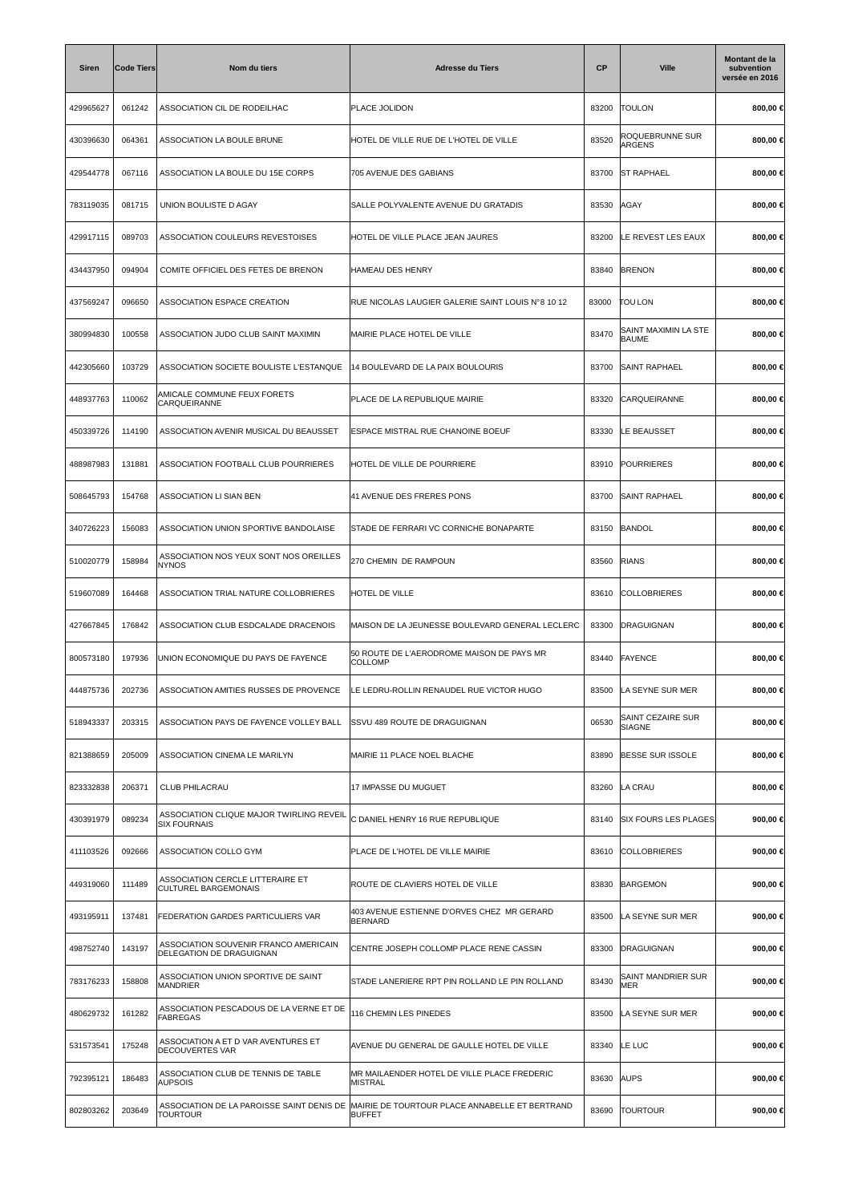| <b>Siren</b> | <b>Code Tiers</b> | Nom du tiers                                                      | <b>Adresse du Tiers</b>                                         | <b>CP</b> | <b>Ville</b>                         | Montant de la<br>subvention<br>versée en 2016 |
|--------------|-------------------|-------------------------------------------------------------------|-----------------------------------------------------------------|-----------|--------------------------------------|-----------------------------------------------|
| 429965627    | 061242            | ASSOCIATION CIL DE RODEILHAC                                      | <b>PLACE JOLIDON</b>                                            | 83200     | <b>TOULON</b>                        | 800,00 €                                      |
| 430396630    | 064361            | ASSOCIATION LA BOULE BRUNE                                        | HOTEL DE VILLE RUE DE L'HOTEL DE VILLE                          | 83520     | ROQUEBRUNNE SUR<br>ARGENS            | 800,00 €                                      |
| 429544778    | 067116            | ASSOCIATION LA BOULE DU 15E CORPS                                 | 705 AVENUE DES GABIANS                                          | 83700     | <b>ST RAPHAEL</b>                    | 800,00 €                                      |
| 783119035    | 081715            | UNION BOULISTE D AGAY                                             | SALLE POLYVALENTE AVENUE DU GRATADIS                            | 83530     | AGAY                                 | 800,00 €                                      |
| 429917115    | 089703            | ASSOCIATION COULEURS REVESTOISES                                  | HOTEL DE VILLE PLACE JEAN JAURES                                | 83200     | LE REVEST LES EAUX                   | 800,00 €                                      |
| 434437950    | 094904            | COMITE OFFICIEL DES FETES DE BRENON                               | HAMEAU DES HENRY                                                | 83840     | <b>BRENON</b>                        | 800,00 €                                      |
| 437569247    | 096650            | ASSOCIATION ESPACE CREATION                                       | RUE NICOLAS LAUGIER GALERIE SAINT LOUIS N°8 10 12               | 83000     | <b>TOU LON</b>                       | 800,00 €                                      |
| 380994830    | 100558            | ASSOCIATION JUDO CLUB SAINT MAXIMIN                               | MAIRIE PLACE HOTEL DE VILLE                                     | 83470     | SAINT MAXIMIN LA STE<br><b>BAUME</b> | 800,00 €                                      |
| 442305660    | 103729            | ASSOCIATION SOCIETE BOULISTE L'ESTANQUE                           | 14 BOULEVARD DE LA PAIX BOULOURIS                               | 83700     | <b>SAINT RAPHAEL</b>                 | 800,00 €                                      |
| 448937763    | 110062            | AMICALE COMMUNE FEUX FORETS<br><b>CARQUEIRANNE</b>                | PLACE DE LA REPUBLIQUE MAIRIE                                   | 83320     | CARQUEIRANNE                         | 800,00 €                                      |
| 450339726    | 114190            | ASSOCIATION AVENIR MUSICAL DU BEAUSSET                            | ESPACE MISTRAL RUE CHANOINE BOEUF                               | 83330     | LE BEAUSSET                          | 800,00 €                                      |
| 488987983    | 131881            | ASSOCIATION FOOTBALL CLUB POURRIERES                              | HOTEL DE VILLE DE POURRIERE                                     | 83910     | <b>POURRIERES</b>                    | 800,00 €                                      |
| 508645793    | 154768            | ASSOCIATION LI SIAN BEN                                           | 41 AVENUE DES FRERES PONS                                       | 83700     | <b>SAINT RAPHAEL</b>                 | 800,00 €                                      |
| 340726223    | 156083            | ASSOCIATION UNION SPORTIVE BANDOLAISE                             | STADE DE FERRARI VC CORNICHE BONAPARTE                          | 83150     | <b>BANDOL</b>                        | 800,00 €                                      |
| 510020779    | 158984            | ASSOCIATION NOS YEUX SONT NOS OREILLES<br><b>NYNOS</b>            | 270 CHEMIN DE RAMPOUN                                           | 83560     | <b>RIANS</b>                         | 800,00 €                                      |
| 519607089    | 164468            | ASSOCIATION TRIAL NATURE COLLOBRIERES                             | HOTEL DE VILLE                                                  | 83610     | <b>COLLOBRIERES</b>                  | 800,00 €                                      |
| 427667845    | 176842            | ASSOCIATION CLUB ESDCALADE DRACENOIS                              | MAISON DE LA JEUNESSE BOULEVARD GENERAL LECLERC                 | 83300     | DRAGUIGNAN                           | 800,00 €                                      |
| 800573180    | 197936            | UNION ECONOMIQUE DU PAYS DE FAYENCE                               | 50 ROUTE DE L'AERODROME MAISON DE PAYS MR<br><b>COLLOMP</b>     | 83440     | FAYENCE                              | 800,00 €                                      |
| 444875736    | 202736            | ASSOCIATION AMITIES RUSSES DE PROVENCE                            | ILE LEDRU-ROLLIN RENAUDEL RUE VICTOR HUGO                       | 83500     | LA SEYNE SUR MER                     | 800,00 €                                      |
| 518943337    | 203315            | ASSOCIATION PAYS DE FAYENCE VOLLEY BALL                           | <b>SSVU 489 ROUTE DE DRAGUIGNAN</b>                             | 06530     | SAINT CEZAIRE SUR<br>SIAGNE          | 800,00 €                                      |
| 821388659    | 205009            | ASSOCIATION CINEMA LE MARILYN                                     | MAIRIE 11 PLACE NOEL BLACHE                                     | 83890     | <b>BESSE SUR ISSOLE</b>              | 800,00 €                                      |
| 823332838    | 206371            | CLUB PHILACRAU                                                    | 17 IMPASSE DU MUGUET                                            | 83260     | LA CRAU                              | 800,00 €                                      |
| 430391979    | 089234            | ASSOCIATION CLIQUE MAJOR TWIRLING REVEIL<br><b>SIX FOURNAIS</b>   | C DANIEL HENRY 16 RUE REPUBLIQUE                                | 83140     | <b>SIX FOURS LES PLAGES</b>          | 900,00 €                                      |
| 411103526    | 092666            | ASSOCIATION COLLO GYM                                             | PLACE DE L'HOTEL DE VILLE MAIRIE                                |           | 83610 COLLOBRIERES                   | 900,00 $\in$                                  |
| 449319060    | 111489            | ASSOCIATION CERCLE LITTERAIRE ET<br><b>CULTUREL BARGEMONAIS</b>   | ROUTE DE CLAVIERS HOTEL DE VILLE                                | 83830     | <b>BARGEMON</b>                      | 900,00 $\in$                                  |
| 493195911    | 137481            | FEDERATION GARDES PARTICULIERS VAR                                | 403 AVENUE ESTIENNE D'ORVES CHEZ MR GERARD<br><b>BERNARD</b>    | 83500     | LA SEYNE SUR MER                     | 900,00 €                                      |
| 498752740    | 143197            | ASSOCIATION SOUVENIR FRANCO AMERICAIN<br>DELEGATION DE DRAGUIGNAN | CENTRE JOSEPH COLLOMP PLACE RENE CASSIN                         | 83300     | DRAGUIGNAN                           | 900,00 €                                      |
| 783176233    | 158808            | ASSOCIATION UNION SPORTIVE DE SAINT<br><b>MANDRIER</b>            | STADE LANERIERE RPT PIN ROLLAND LE PIN ROLLAND                  | 83430     | SAINT MANDRIER SUR<br>MER            | 900,00 €                                      |
| 480629732    | 161282            | ASSOCIATION PESCADOUS DE LA VERNE ET DE<br><b>FABREGAS</b>        | 116 CHEMIN LES PINEDES                                          | 83500     | LA SEYNE SUR MER                     | 900,00 €                                      |
| 531573541    | 175248            | ASSOCIATION A ET D VAR AVENTURES ET<br><b>DECOUVERTES VAR</b>     | AVENUE DU GENERAL DE GAULLE HOTEL DE VILLE                      | 83340     | LE LUC                               | 900,00 €                                      |
| 792395121    | 186483            | ASSOCIATION CLUB DE TENNIS DE TABLE<br><b>AUPSOIS</b>             | MR MAILAENDER HOTEL DE VILLE PLACE FREDERIC<br><b>MISTRAL</b>   | 83630     | <b>AUPS</b>                          | 900,00 €                                      |
| 802803262    | 203649            | ASSOCIATION DE LA PAROISSE SAINT DENIS DE<br><b>TOURTOUR</b>      | MAIRIE DE TOURTOUR PLACE ANNABELLE ET BERTRAND<br><b>BUFFET</b> | 83690     | <b>TOURTOUR</b>                      | 900,00 $\in$                                  |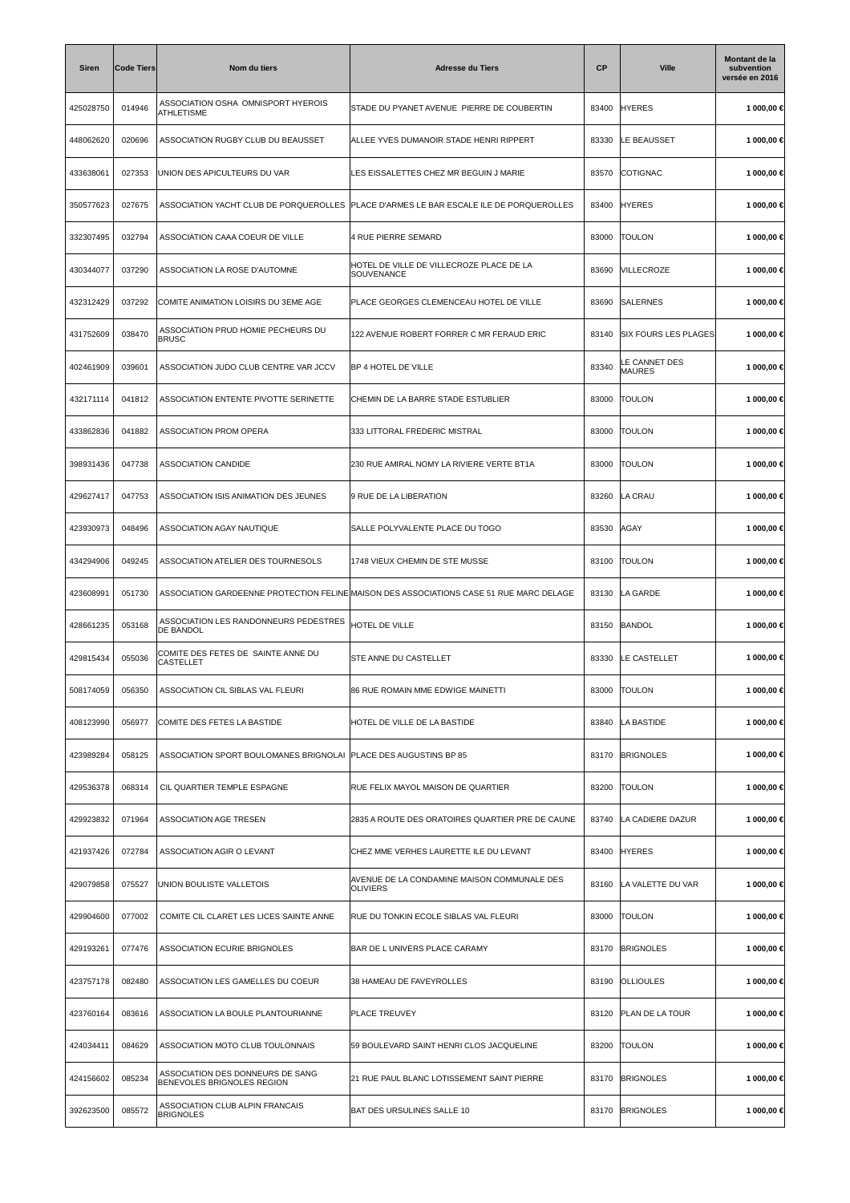| <b>Siren</b> | <b>Code Tiers</b> | Nom du tiers                                                     | <b>Adresse du Tiers</b>                                                                 | <b>CP</b> | <b>Ville</b>                   | Montant de la<br>subvention<br>versée en 2016 |
|--------------|-------------------|------------------------------------------------------------------|-----------------------------------------------------------------------------------------|-----------|--------------------------------|-----------------------------------------------|
| 425028750    | 014946            | ASSOCIATION OSHA OMNISPORT HYEROIS<br><b>ATHLETISME</b>          | STADE DU PYANET AVENUE PIERRE DE COUBERTIN                                              | 83400     | <b>HYERES</b>                  | 1 000,00 €                                    |
| 448062620    | 020696            | ASSOCIATION RUGBY CLUB DU BEAUSSET                               | ALLEE YVES DUMANOIR STADE HENRI RIPPERT                                                 | 83330     | LE BEAUSSET                    | 1 000,00 €                                    |
| 433638061    | 027353            | UNION DES APICULTEURS DU VAR                                     | LES EISSALETTES CHEZ MR BEGUIN J MARIE                                                  | 83570     | COTIGNAC                       | 1 000,00 €                                    |
| 350577623    | 027675            | ASSOCIATION YACHT CLUB DE PORQUEROLLES                           | PLACE D'ARMES LE BAR ESCALE ILE DE PORQUEROLLES                                         | 83400     | <b>HYERES</b>                  | 1 000,00 €                                    |
| 332307495    | 032794            | ASSOCIATION CAAA COEUR DE VILLE                                  | 4 RUE PIERRE SEMARD                                                                     | 83000     | <b>TOULON</b>                  | 1 000,00 €                                    |
| 430344077    | 037290            | ASSOCIATION LA ROSE D'AUTOMNE                                    | HOTEL DE VILLE DE VILLECROZE PLACE DE LA<br>SOUVENANCE                                  | 83690     | VILLECROZE                     | 1 000,00 €                                    |
| 432312429    | 037292            | COMITE ANIMATION LOISIRS DU 3EME AGE                             | PLACE GEORGES CLEMENCEAU HOTEL DE VILLE                                                 | 83690     | <b>SALERNES</b>                | 1 000,00 €                                    |
| 431752609    | 038470            | ASSOCIATION PRUD HOMIE PECHEURS DU<br><b>BRUSC</b>               | 122 AVENUE ROBERT FORRER C MR FERAUD ERIC                                               | 83140     | <b>SIX FOURS LES PLAGES</b>    | 1 000,00 €                                    |
| 402461909    | 039601            | ASSOCIATION JUDO CLUB CENTRE VAR JCCV                            | BP 4 HOTEL DE VILLE                                                                     | 83340     | LE CANNET DES<br><b>MAURES</b> | 1 000,00 €                                    |
| 432171114    | 041812            | ASSOCIATION ENTENTE PIVOTTE SERINETTE                            | CHEMIN DE LA BARRE STADE ESTUBLIER                                                      | 83000     | <b>TOULON</b>                  | 1 000,00 €                                    |
| 433862836    | 041882            | ASSOCIATION PROM OPERA                                           | 333 LITTORAL FREDERIC MISTRAL                                                           | 83000     | <b>TOULON</b>                  | 1 000,00 €                                    |
| 398931436    | 047738            | ASSOCIATION CANDIDE                                              | 230 RUE AMIRAL NOMY LA RIVIERE VERTE BT1A                                               | 83000     | <b>TOULON</b>                  | 1 000,00 €                                    |
| 429627417    | 047753            | ASSOCIATION ISIS ANIMATION DES JEUNES                            | 9 RUE DE LA LIBERATION                                                                  | 83260     | LA CRAU                        | 1 000,00 €                                    |
| 423930973    | 048496            | ASSOCIATION AGAY NAUTIQUE                                        | SALLE POLYVALENTE PLACE DU TOGO                                                         | 83530     | AGAY                           | 1 000,00 €                                    |
| 434294906    | 049245            | ASSOCIATION ATELIER DES TOURNESOLS                               | 1748 VIEUX CHEMIN DE STE MUSSE                                                          | 83100     | <b>TOULON</b>                  | 1 000,00 €                                    |
| 423608991    | 051730            |                                                                  | ASSOCIATION GARDEENNE PROTECTION FELINE MAISON DES ASSOCIATIONS CASE 51 RUE MARC DELAGE | 83130     | LA GARDE                       | 1 000,00 €                                    |
| 428661235    | 053168            | ASSOCIATION LES RANDONNEURS PEDESTRES<br><b>DE BANDOL</b>        | <b>HOTEL DE VILLE</b>                                                                   | 83150     | <b>BANDOL</b>                  | 1 000,00 €                                    |
| 429815434    | 055036            | COMITE DES FETES DE SAINTE ANNE DU<br>CASTELLET                  | <b>STE ANNE DU CASTELLET</b>                                                            | 83330     | LE CASTELLET                   | 1 000,00 €                                    |
| 508174059    | 056350            | ASSOCIATION CIL SIBLAS VAL FLEURI                                | 86 RUE ROMAIN MME EDWIGE MAINETTI                                                       | 83000     | <b>TOULON</b>                  | 1 000,00 €                                    |
| 408123990    | 056977            | COMITE DES FETES LA BASTIDE                                      | HOTEL DE VILLE DE LA BASTIDE                                                            | 83840     | LA BASTIDE                     | 1 000,00 €                                    |
| 423989284    | 058125            | ASSOCIATION SPORT BOULOMANES BRIGNOLAI PLACE DES AUGUSTINS BP 85 |                                                                                         | 83170     | <b>BRIGNOLES</b>               | 1 000,00 €                                    |
| 429536378    | 068314            | CIL QUARTIER TEMPLE ESPAGNE                                      | RUE FELIX MAYOL MAISON DE QUARTIER                                                      | 83200     | <b>TOULON</b>                  | 1 000,00 €                                    |
| 429923832    | 071964            | ASSOCIATION AGE TRESEN                                           | 2835 A ROUTE DES ORATOIRES QUARTIER PRE DE CAUNE                                        | 83740     | LA CADIERE DAZUR               | 1 000,00 €                                    |
| 421937426    | 072784            | ASSOCIATION AGIR O LEVANT                                        | CHEZ MME VERHES LAURETTE ILE DU LEVANT                                                  | 83400     | <b>HYERES</b>                  | 1 000,00 €                                    |
| 429079858    | 075527            | UNION BOULISTE VALLETOIS                                         | AVENUE DE LA CONDAMINE MAISON COMMUNALE DES<br><b>OLIVIERS</b>                          | 83160     | LA VALETTE DU VAR              | 1 000,00 €                                    |
| 429904600    | 077002            | COMITE CIL CLARET LES LICES SAINTE ANNE                          | RUE DU TONKIN ECOLE SIBLAS VAL FLEURI                                                   | 83000     | <b>TOULON</b>                  | 1 000,00 €                                    |
| 429193261    | 077476            | ASSOCIATION ECURIE BRIGNOLES                                     | BAR DE L UNIVERS PLACE CARAMY                                                           | 83170     | <b>BRIGNOLES</b>               | 1 000,00 €                                    |
| 423757178    | 082480            | ASSOCIATION LES GAMELLES DU COEUR                                | 38 HAMEAU DE FAVEYROLLES                                                                | 83190     | <b>OLLIOULES</b>               | 1 000,00 €                                    |
| 423760164    | 083616            | ASSOCIATION LA BOULE PLANTOURIANNE                               | <b>PLACE TREUVEY</b>                                                                    | 83120     | PLAN DE LA TOUR                | 1 000,00 €                                    |
| 424034411    | 084629            | ASSOCIATION MOTO CLUB TOULONNAIS                                 | 59 BOULEVARD SAINT HENRI CLOS JACQUELINE                                                | 83200     | <b>TOULON</b>                  | 1 000,00 €                                    |
| 424156602    | 085234            | ASSOCIATION DES DONNEURS DE SANG<br>BENEVOLES BRIGNOLES REGION   | 21 RUE PAUL BLANC LOTISSEMENT SAINT PIERRE                                              | 83170     | <b>BRIGNOLES</b>               | 1 000,00 €                                    |
| 392623500    | 085572            | ASSOCIATION CLUB ALPIN FRANCAIS<br><b>BRIGNOLES</b>              | BAT DES URSULINES SALLE 10                                                              | 83170     | <b>BRIGNOLES</b>               | 1 000,00 €                                    |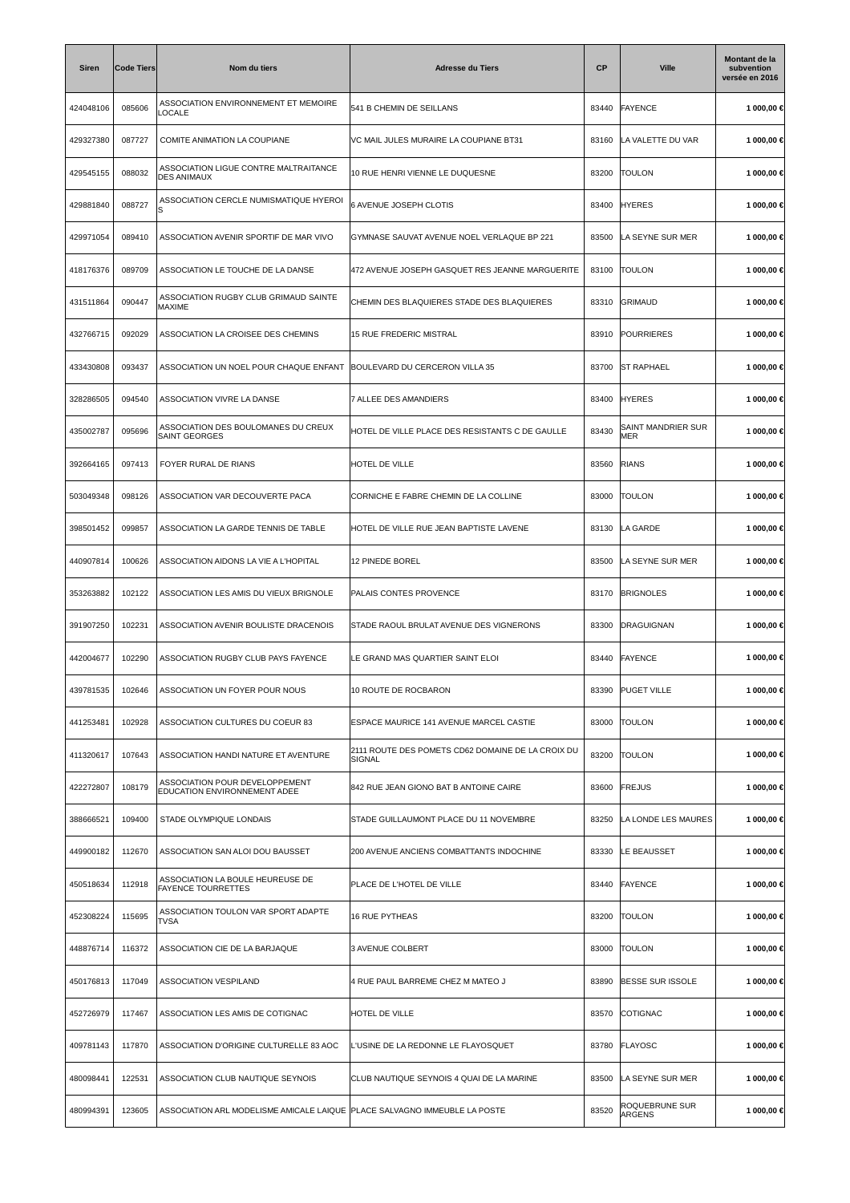| <b>Siren</b> | <b>Code Tiers</b> | Nom du tiers                                                              | <b>Adresse du Tiers</b>                                     | <b>CP</b> | <b>Ville</b>              | Montant de la<br>subvention<br>versée en 2016 |
|--------------|-------------------|---------------------------------------------------------------------------|-------------------------------------------------------------|-----------|---------------------------|-----------------------------------------------|
| 424048106    | 085606            | ASSOCIATION ENVIRONNEMENT ET MEMOIRE<br>LOCALE                            | 541 B CHEMIN DE SEILLANS                                    | 83440     | <b>FAYENCE</b>            | 1 000,00 €                                    |
| 429327380    | 087727            | COMITE ANIMATION LA COUPIANE                                              | VC MAIL JULES MURAIRE LA COUPIANE BT31                      | 83160     | LA VALETTE DU VAR         | 1 000,00 €                                    |
| 429545155    | 088032            | ASSOCIATION LIGUE CONTRE MALTRAITANCE<br><b>DES ANIMAUX</b>               | 10 RUE HENRI VIENNE LE DUQUESNE                             | 83200     | <b>TOULON</b>             | 1 000,00 €                                    |
| 429881840    | 088727            | ASSOCIATION CERCLE NUMISMATIQUE HYEROI                                    | 6 AVENUE JOSEPH CLOTIS                                      | 83400     | <b>HYERES</b>             | 1 000,00 €                                    |
| 429971054    | 089410            | ASSOCIATION AVENIR SPORTIF DE MAR VIVO                                    | GYMNASE SAUVAT AVENUE NOEL VERLAQUE BP 221                  | 83500     | LA SEYNE SUR MER          | 1 000,00 €                                    |
| 418176376    | 089709            | ASSOCIATION LE TOUCHE DE LA DANSE                                         | 472 AVENUE JOSEPH GASQUET RES JEANNE MARGUERITE             | 83100     | <b>TOULON</b>             | 1 000,00 €                                    |
| 431511864    | 090447            | ASSOCIATION RUGBY CLUB GRIMAUD SAINTE<br>MAXIME                           | CHEMIN DES BLAQUIERES STADE DES BLAQUIERES                  | 83310     | <b>GRIMAUD</b>            | 1 000,00 €                                    |
| 432766715    | 092029            | ASSOCIATION LA CROISEE DES CHEMINS                                        | <b>15 RUE FREDERIC MISTRAL</b>                              | 83910     | POURRIERES                | 1 000,00 €                                    |
| 433430808    | 093437            | ASSOCIATION UN NOEL POUR CHAQUE ENFANT                                    | BOULEVARD DU CERCERON VILLA 35                              | 83700     | <b>ST RAPHAEL</b>         | 1 000,00 €                                    |
| 328286505    | 094540            | ASSOCIATION VIVRE LA DANSE                                                | 7 ALLEE DES AMANDIERS                                       | 83400     | <b>HYERES</b>             | 1 000,00 €                                    |
| 435002787    | 095696            | ASSOCIATION DES BOULOMANES DU CREUX<br><b>SAINT GEORGES</b>               | HOTEL DE VILLE PLACE DES RESISTANTS C DE GAULLE             | 83430     | SAINT MANDRIER SUR<br>MER | 1 000,00 €                                    |
| 392664165    | 097413            | FOYER RURAL DE RIANS                                                      | HOTEL DE VILLE                                              | 83560     | RIANS                     | 1 000,00 €                                    |
| 503049348    | 098126            | ASSOCIATION VAR DECOUVERTE PACA                                           | CORNICHE E FABRE CHEMIN DE LA COLLINE                       | 83000     | <b>TOULON</b>             | 1 000,00 €                                    |
| 398501452    | 099857            | ASSOCIATION LA GARDE TENNIS DE TABLE                                      | HOTEL DE VILLE RUE JEAN BAPTISTE LAVENE                     | 83130     | LA GARDE                  | 1 000,00 €                                    |
| 440907814    | 100626            | ASSOCIATION AIDONS LA VIE A L'HOPITAL                                     | 12 PINEDE BOREL                                             | 83500     | LA SEYNE SUR MER          | 1 000,00 €                                    |
| 353263882    | 102122            | ASSOCIATION LES AMIS DU VIEUX BRIGNOLE                                    | PALAIS CONTES PROVENCE                                      | 83170     | <b>BRIGNOLES</b>          | 1 000,00 €                                    |
| 391907250    | 102231            | ASSOCIATION AVENIR BOULISTE DRACENOIS                                     | STADE RAOUL BRULAT AVENUE DES VIGNERONS                     | 83300     | DRAGUIGNAN                | 1 000,00 €                                    |
| 442004677    | 102290            | ASSOCIATION RUGBY CLUB PAYS FAYENCE                                       | LE GRAND MAS QUARTIER SAINT ELOI                            | 83440     | FAYENCE                   | 1 000,00 €                                    |
| 439781535    | 102646            | ASSOCIATION UN FOYER POUR NOUS                                            | 10 ROUTE DE ROCBARON                                        | 83390     | <b>PUGET VILLE</b>        | 1 000,00 €                                    |
| 441253481    | 102928            | ASSOCIATION CULTURES DU COEUR 83                                          | ESPACE MAURICE 141 AVENUE MARCEL CASTIE                     | 83000     | <b>TOULON</b>             | 1 000,00 €                                    |
| 411320617    | 107643            | ASSOCIATION HANDI NATURE ET AVENTURE                                      | 2111 ROUTE DES POMETS CD62 DOMAINE DE LA CROIX DU<br>SIGNAL | 83200     | <b>TOULON</b>             | 1 000,00 €                                    |
| 422272807    | 108179            | ASSOCIATION POUR DEVELOPPEMENT<br>EDUCATION ENVIRONNEMENT ADEE            | 842 RUE JEAN GIONO BAT B ANTOINE CAIRE                      | 83600     | FREJUS                    | 1 000,00 €                                    |
| 388666521    | 109400            | STADE OLYMPIQUE LONDAIS                                                   | STADE GUILLAUMONT PLACE DU 11 NOVEMBRE                      | 83250     | LA LONDE LES MAURES       | 1 000,00 €                                    |
| 449900182    | 112670            | ASSOCIATION SAN ALOI DOU BAUSSET                                          | 200 AVENUE ANCIENS COMBATTANTS INDOCHINE                    | 83330     | LE BEAUSSET               | 1 000,00 €                                    |
| 450518634    | 112918            | ASSOCIATION LA BOULE HEUREUSE DE<br><b>FAYENCE TOURRETTES</b>             | PLACE DE L'HOTEL DE VILLE                                   | 83440     | <b>FAYENCE</b>            | 1 000,00 €                                    |
| 452308224    | 115695            | ASSOCIATION TOULON VAR SPORT ADAPTE<br>TVSA                               | <b>16 RUE PYTHEAS</b>                                       | 83200     | <b>TOULON</b>             | 1 000,00 €                                    |
| 448876714    | 116372            | ASSOCIATION CIE DE LA BARJAQUE                                            | 3 AVENUE COLBERT                                            | 83000     | <b>TOULON</b>             | 1 000,00 €                                    |
| 450176813    | 117049            | ASSOCIATION VESPILAND                                                     | 4 RUE PAUL BARREME CHEZ M MATEO J                           | 83890     | <b>BESSE SUR ISSOLE</b>   | 1 000,00 €                                    |
| 452726979    | 117467            | ASSOCIATION LES AMIS DE COTIGNAC                                          | HOTEL DE VILLE                                              | 83570     | COTIGNAC                  | 1 000,00 €                                    |
| 409781143    | 117870            | ASSOCIATION D'ORIGINE CULTURELLE 83 AOC                                   | L'USINE DE LA REDONNE LE FLAYOSQUET                         | 83780     | FLAYOSC                   | 1 000,00 €                                    |
| 480098441    | 122531            | ASSOCIATION CLUB NAUTIQUE SEYNOIS                                         | CLUB NAUTIQUE SEYNOIS 4 QUAI DE LA MARINE                   | 83500     | LA SEYNE SUR MER          | 1 000,00 €                                    |
| 480994391    | 123605            | ASSOCIATION ARL MODELISME AMICALE LAIQUE PLACE SALVAGNO IMMEUBLE LA POSTE |                                                             | 83520     | ROQUEBRUNE SUR<br>ARGENS  | 1 000,00 €                                    |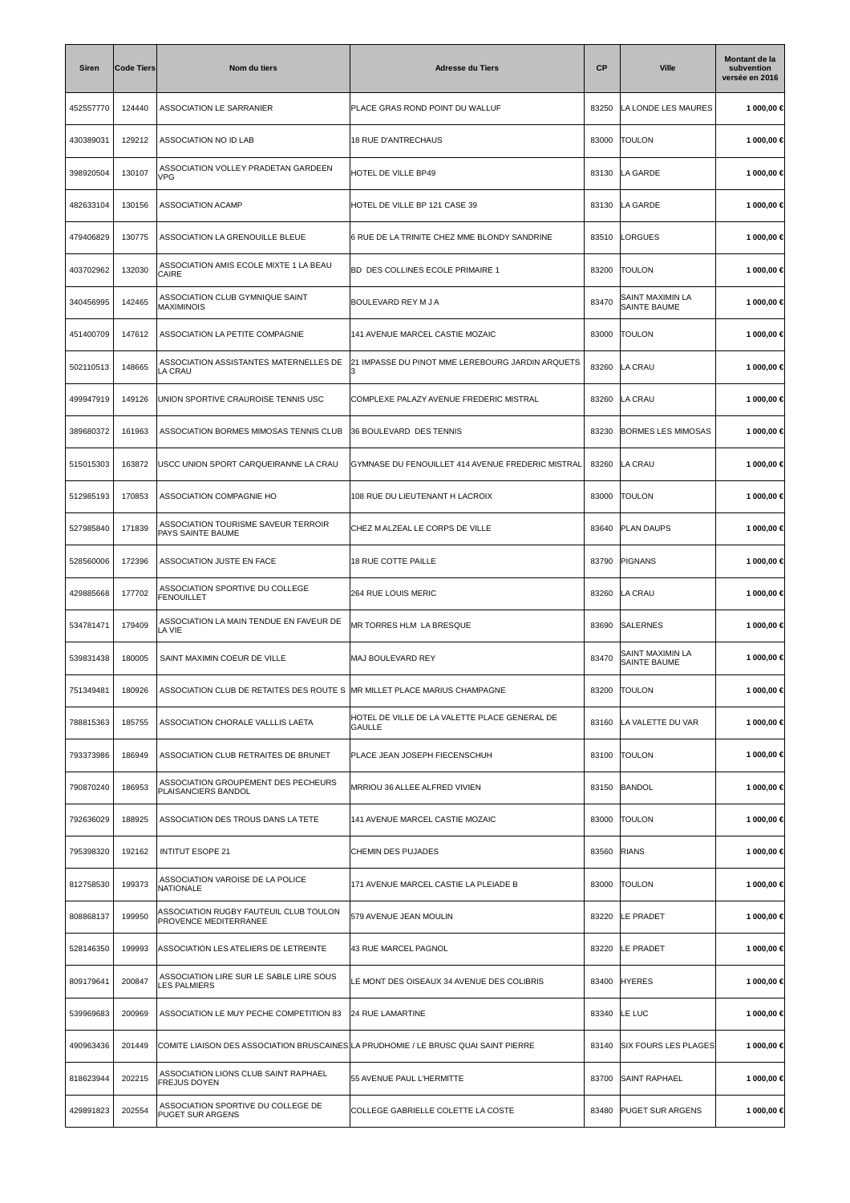| Siren     | Code Tiers | Nom du tiers                                                                        | <b>Adresse du Tiers</b>                                 | <b>CP</b> | <b>Ville</b>                            | Montant de la<br>subvention<br>versée en 2016 |
|-----------|------------|-------------------------------------------------------------------------------------|---------------------------------------------------------|-----------|-----------------------------------------|-----------------------------------------------|
| 452557770 | 124440     | ASSOCIATION LE SARRANIER                                                            | PLACE GRAS ROND POINT DU WALLUF                         | 83250     | LA LONDE LES MAURES                     | 1 000,00 €                                    |
| 430389031 | 129212     | ASSOCIATION NO ID LAB                                                               | 18 RUE D'ANTRECHAUS                                     | 83000     | <b>TOULON</b>                           | 1 000,00 €                                    |
| 398920504 | 130107     | ASSOCIATION VOLLEY PRADETAN GARDEEN<br><b>VPG</b>                                   | HOTEL DE VILLE BP49                                     | 83130     | LA GARDE                                | 1 000,00 €                                    |
| 482633104 | 130156     | ASSOCIATION ACAMP                                                                   | HOTEL DE VILLE BP 121 CASE 39                           | 83130     | LA GARDE                                | 1 000,00 €                                    |
| 479406829 | 130775     | ASSOCIATION LA GRENOUILLE BLEUE                                                     | 6 RUE DE LA TRINITE CHEZ MME BLONDY SANDRINE            | 83510     | LORGUES                                 | 1 000,00 €                                    |
| 403702962 | 132030     | ASSOCIATION AMIS ECOLE MIXTE 1 LA BEAU<br>CAIRE                                     | BD DES COLLINES ECOLE PRIMAIRE 1                        | 83200     | <b>TOULON</b>                           | 1 000,00 €                                    |
| 340456995 | 142465     | ASSOCIATION CLUB GYMNIQUE SAINT<br><b>MAXIMINOIS</b>                                | BOULEVARD REY M J A                                     | 83470     | SAINT MAXIMIN LA<br><b>SAINTE BAUME</b> | 1 000,00 €                                    |
| 451400709 | 147612     | ASSOCIATION LA PETITE COMPAGNIE                                                     | 141 AVENUE MARCEL CASTIE MOZAIC                         | 83000     | <b>TOULON</b>                           | 1 000,00 €                                    |
| 502110513 | 148665     | ASSOCIATION ASSISTANTES MATERNELLES DE<br>LA CRAU                                   | 21 IMPASSE DU PINOT MME LEREBOURG JARDIN ARQUETS<br>IЗ  | 83260     | LA CRAU                                 | 1 000,00 €                                    |
| 499947919 | 149126     | UNION SPORTIVE CRAUROISE TENNIS USC                                                 | COMPLEXE PALAZY AVENUE FREDERIC MISTRAL                 | 83260     | LA CRAU                                 | 1 000,00 €                                    |
| 389680372 | 161963     | ASSOCIATION BORMES MIMOSAS TENNIS CLUB                                              | 36 BOULEVARD DES TENNIS                                 | 83230     | <b>BORMES LES MIMOSAS</b>               | 1 000,00 €                                    |
| 515015303 | 163872     | USCC UNION SPORT CARQUEIRANNE LA CRAU                                               | GYMNASE DU FENOUILLET 414 AVENUE FREDERIC MISTRAL       | 83260     | LA CRAU                                 | 1 000,00 €                                    |
| 512985193 | 170853     | ASSOCIATION COMPAGNIE HO                                                            | 108 RUE DU LIEUTENANT H LACROIX                         | 83000     | <b>TOULON</b>                           | 1 000,00 €                                    |
| 527985840 | 171839     | ASSOCIATION TOURISME SAVEUR TERROIR<br>PAYS SAINTE BAUME                            | CHEZ M ALZEAL LE CORPS DE VILLE                         | 83640     | <b>PLAN DAUPS</b>                       | 1 000,00 €                                    |
| 528560006 | 172396     | ASSOCIATION JUSTE EN FACE                                                           | 18 RUE COTTE PAILLE                                     | 83790     | PIGNANS                                 | 1 000,00 €                                    |
| 429885668 | 177702     | ASSOCIATION SPORTIVE DU COLLEGE<br><b>FENOUILLET</b>                                | <b>264 RUE LOUIS MERIC</b>                              | 83260     | LA CRAU                                 | 1 000,00 €                                    |
| 534781471 | 179409     | ASSOCIATION LA MAIN TENDUE EN FAVEUR DE<br>LA VIE                                   | MR TORRES HLM LA BRESQUE                                | 83690     | <b>SALERNES</b>                         | 1 000,00 €                                    |
| 539831438 | 180005     | SAINT MAXIMIN COEUR DE VILLE                                                        | MAJ BOULEVARD REY                                       | 83470     | SAINT MAXIMIN LA<br>SAINTE BAUME        | 1 000,00 €                                    |
| 751349481 | 180926     | ASSOCIATION CLUB DE RETAITES DES ROUTE S  MR MILLET PLACE MARIUS CHAMPAGNE          |                                                         | 83200     | <b>TOULON</b>                           | 1 000,00 €                                    |
| 788815363 | 185755     | ASSOCIATION CHORALE VALLLIS LAETA                                                   | HOTEL DE VILLE DE LA VALETTE PLACE GENERAL DE<br>GAULLE | 83160     | LA VALETTE DU VAR                       | 1 000,00 €                                    |
| 793373986 | 186949     | ASSOCIATION CLUB RETRAITES DE BRUNET                                                | PLACE JEAN JOSEPH FIECENSCHUH                           | 83100     | <b>TOULON</b>                           | 1 000.00 €                                    |
| 790870240 | 186953     | ASSOCIATION GROUPEMENT DES PECHEURS<br>PLAISANCIERS BANDOL                          | MRRIOU 36 ALLEE ALFRED VIVIEN                           | 83150     | <b>BANDOL</b>                           | 1 000,00 €                                    |
| 792636029 | 188925     | ASSOCIATION DES TROUS DANS LA TETE                                                  | 141 AVENUE MARCEL CASTIE MOZAIC                         | 83000     | <b>TOULON</b>                           | 1 000,00 €                                    |
| 795398320 | 192162     | <b>INTITUT ESOPE 21</b>                                                             | CHEMIN DES PUJADES                                      | 83560     | <b>RIANS</b>                            | 1 000,00 €                                    |
| 812758530 | 199373     | ASSOCIATION VAROISE DE LA POLICE<br>NATIONALE                                       | 171 AVENUE MARCEL CASTIE LA PLEIADE B                   | 83000     | <b>TOULON</b>                           | 1 000,00 €                                    |
| 808868137 | 199950     | ASSOCIATION RUGBY FAUTEUIL CLUB TOULON<br>PROVENCE MEDITERRANEE                     | 579 AVENUE JEAN MOULIN                                  | 83220     | LE PRADET                               | 1 000,00 €                                    |
| 528146350 | 199993     | ASSOCIATION LES ATELIERS DE LETREINTE                                               | 43 RUE MARCEL PAGNOL                                    | 83220     | LE PRADET                               | 1 000,00 €                                    |
| 809179641 | 200847     | ASSOCIATION LIRE SUR LE SABLE LIRE SOUS<br><b>LES PALMIERS</b>                      | LE MONT DES OISEAUX 34 AVENUE DES COLIBRIS              | 83400     | <b>HYERES</b>                           | 1 000,00 €                                    |
| 539969683 | 200969     | ASSOCIATION LE MUY PECHE COMPETITION 83                                             | <b>24 RUE LAMARTINE</b>                                 | 83340     | LE LUC                                  | 1 000,00 €                                    |
| 490963436 | 201449     | COMITE LIAISON DES ASSOCIATION BRUSCAINES LA PRUDHOMIE / LE BRUSC QUAI SAINT PIERRE |                                                         | 83140     | SIX FOURS LES PLAGES                    | 1 000,00 €                                    |
| 818623944 | 202215     | ASSOCIATION LIONS CLUB SAINT RAPHAEL<br><b>FREJUS DOYEN</b>                         | 55 AVENUE PAUL L'HERMITTE                               | 83700     | <b>SAINT RAPHAEL</b>                    | 1 000,00 €                                    |
| 429891823 | 202554     | ASSOCIATION SPORTIVE DU COLLEGE DE<br><b>PUGET SUR ARGENS</b>                       | COLLEGE GABRIELLE COLETTE LA COSTE                      | 83480     | <b>PUGET SUR ARGENS</b>                 | 1 000,00 €                                    |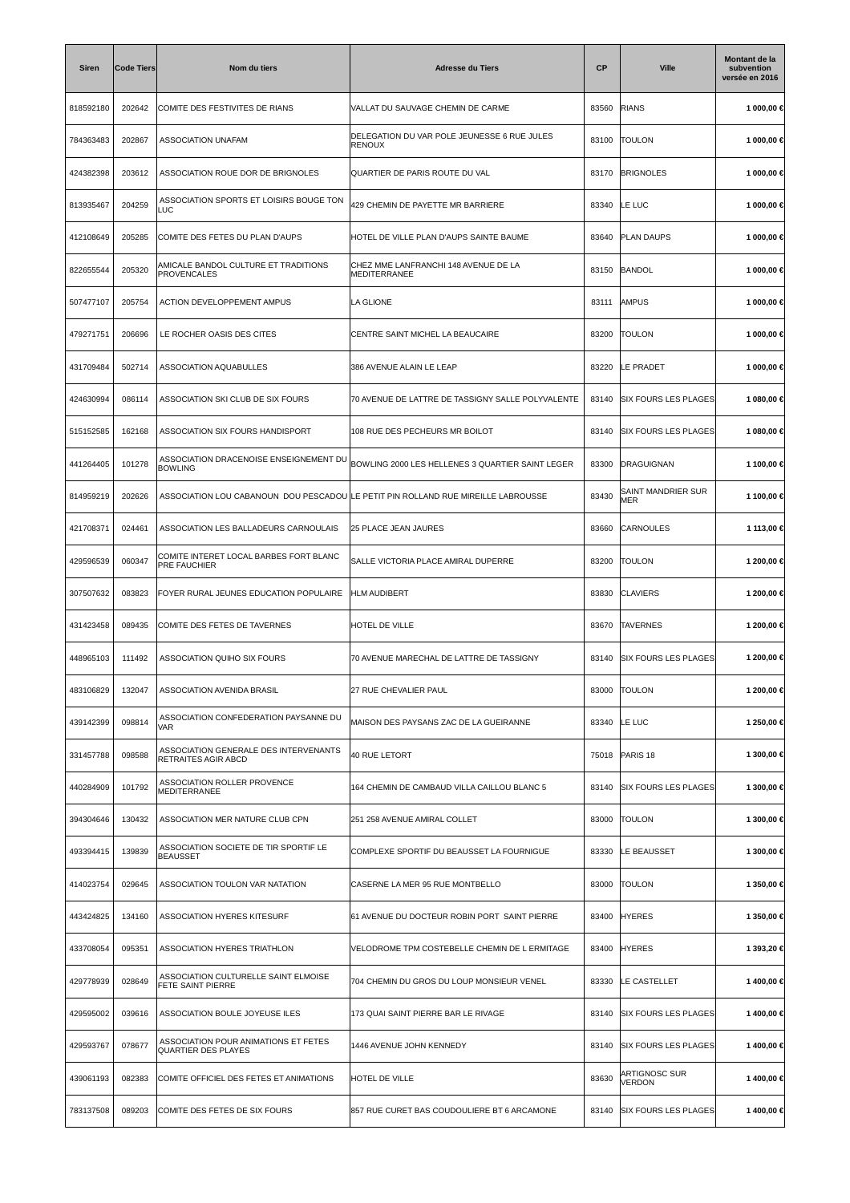| <b>Siren</b> | <b>Code Tiers</b> | Nom du tiers                                                       | <b>Adresse du Tiers</b>                                                           | <b>CP</b> | <b>Ville</b>                | Montant de la<br>subvention<br>versée en 2016 |
|--------------|-------------------|--------------------------------------------------------------------|-----------------------------------------------------------------------------------|-----------|-----------------------------|-----------------------------------------------|
| 818592180    | 202642            | COMITE DES FESTIVITES DE RIANS                                     | VALLAT DU SAUVAGE CHEMIN DE CARME                                                 | 83560     | <b>RIANS</b>                | 1 000,00 €                                    |
| 784363483    | 202867            | <b>ASSOCIATION UNAFAM</b>                                          | DELEGATION DU VAR POLE JEUNESSE 6 RUE JULES<br><b>RENOUX</b>                      | 83100     | <b>TOULON</b>               | 1 000,00 €                                    |
| 424382398    | 203612            | ASSOCIATION ROUE DOR DE BRIGNOLES                                  | QUARTIER DE PARIS ROUTE DU VAL                                                    | 83170     | <b>BRIGNOLES</b>            | 1 000,00 €                                    |
| 813935467    | 204259            | ASSOCIATION SPORTS ET LOISIRS BOUGE TON<br>LUC                     | 429 CHEMIN DE PAYETTE MR BARRIERE                                                 | 83340     | LE LUC                      | 1 000,00 €                                    |
| 412108649    | 205285            | COMITE DES FETES DU PLAN D'AUPS                                    | HOTEL DE VILLE PLAN D'AUPS SAINTE BAUME                                           | 83640     | <b>PLAN DAUPS</b>           | 1 000,00 €                                    |
| 822655544    | 205320            | AMICALE BANDOL CULTURE ET TRADITIONS<br><b>PROVENCALES</b>         | CHEZ MME LANFRANCHI 148 AVENUE DE LA<br>MEDITERRANEE                              | 83150     | <b>BANDOL</b>               | 1 000,00 €                                    |
| 507477107    | 205754            | <b>ACTION DEVELOPPEMENT AMPUS</b>                                  | LA GLIONE                                                                         | 83111     | <b>AMPUS</b>                | 1 000,00 €                                    |
| 479271751    | 206696            | LE ROCHER OASIS DES CITES                                          | CENTRE SAINT MICHEL LA BEAUCAIRE                                                  | 83200     | <b>TOULON</b>               | 1 000,00 €                                    |
| 431709484    | 502714            | ASSOCIATION AQUABULLES                                             | 386 AVENUE ALAIN LE LEAP                                                          | 83220     | LE PRADET                   | 1 000,00 €                                    |
| 424630994    | 086114            | ASSOCIATION SKI CLUB DE SIX FOURS                                  | 70 AVENUE DE LATTRE DE TASSIGNY SALLE POLYVALENTE                                 | 83140     | <b>SIX FOURS LES PLAGES</b> | 1 080,00 €                                    |
| 515152585    | 162168            | ASSOCIATION SIX FOURS HANDISPORT                                   | 108 RUE DES PECHEURS MR BOILOT                                                    | 83140     | <b>SIX FOURS LES PLAGES</b> | 1 080,00 €                                    |
| 441264405    | 101278            | ASSOCIATION DRACENOISE ENSEIGNEMENT DU<br><b>BOWLING</b>           | BOWLING 2000 LES HELLENES 3 QUARTIER SAINT LEGER                                  | 83300     | DRAGUIGNAN                  | 1 100,00 €                                    |
| 814959219    | 202626            |                                                                    | ASSOCIATION LOU CABANOUN DOU PESCADOU LE PETIT PIN ROLLAND RUE MIREILLE LABROUSSE | 83430     | SAINT MANDRIER SUR<br>MER   | 1 100,00 €                                    |
| 421708371    | 024461            | ASSOCIATION LES BALLADEURS CARNOULAIS                              | 25 PLACE JEAN JAURES                                                              | 83660     | CARNOULES                   | 1 113,00 €                                    |
| 429596539    | 060347            | COMITE INTERET LOCAL BARBES FORT BLANC<br><b>PRE FAUCHIER</b>      | SALLE VICTORIA PLACE AMIRAL DUPERRE                                               | 83200     | <b>TOULON</b>               | 1 200,00 €                                    |
| 307507632    | 083823            | FOYER RURAL JEUNES EDUCATION POPULAIRE                             | <b>HLM AUDIBERT</b>                                                               | 83830     | <b>CLAVIERS</b>             | 1 200,00 €                                    |
| 431423458    | 089435            | COMITE DES FETES DE TAVERNES                                       | <b>HOTEL DE VILLE</b>                                                             | 83670     | <b>TAVERNES</b>             | 1 200,00 €                                    |
| 448965103    | 111492            | ASSOCIATION QUIHO SIX FOURS                                        | 70 AVENUE MARECHAL DE LATTRE DE TASSIGNY                                          | 83140     | <b>SIX FOURS LES PLAGES</b> | 1 200,00 €                                    |
| 483106829    | 132047            | ASSOCIATION AVENIDA BRASIL                                         | 27 RUE CHEVALIER PAUL                                                             | 83000     | <b>TOULON</b>               | 1 200,00 €                                    |
| 439142399    | 098814            | ASSOCIATION CONFEDERATION PAYSANNE DU<br>VAR                       | MAISON DES PAYSANS ZAC DE LA GUEIRANNE                                            | 83340     | LE LUC                      | 1 250,00 €                                    |
| 331457788    | 098588            | ASSOCIATION GENERALE DES INTERVENANTS<br>RETRAITES AGIR ABCD       | 40 RUE LETORT                                                                     | 75018     | PARIS <sub>18</sub>         | 1 300,00 €                                    |
| 440284909    | 101792            | ASSOCIATION ROLLER PROVENCE<br>MEDITERRANEE                        | 164 CHEMIN DE CAMBAUD VILLA CAILLOU BLANC 5                                       | 83140     | <b>SIX FOURS LES PLAGES</b> | 1 300,00 €                                    |
| 394304646    | 130432            | ASSOCIATION MER NATURE CLUB CPN                                    | 251 258 AVENUE AMIRAL COLLET                                                      | 83000     | <b>TOULON</b>               | 1 300,00 €                                    |
| 493394415    | 139839            | ASSOCIATION SOCIETE DE TIR SPORTIF LE<br><b>BEAUSSET</b>           | COMPLEXE SPORTIF DU BEAUSSET LA FOURNIGUE                                         | 83330     | LE BEAUSSET                 | 1 300,00 €                                    |
| 414023754    | 029645            | ASSOCIATION TOULON VAR NATATION                                    | CASERNE LA MER 95 RUE MONTBELLO                                                   | 83000     | <b>TOULON</b>               | 1 350,00 €                                    |
| 443424825    | 134160            | ASSOCIATION HYERES KITESURF                                        | 61 AVENUE DU DOCTEUR ROBIN PORT SAINT PIERRE                                      | 83400     | <b>HYERES</b>               | 1 350,00 €                                    |
| 433708054    | 095351            | ASSOCIATION HYERES TRIATHLON                                       | VELODROME TPM COSTEBELLE CHEMIN DE L ERMITAGE                                     | 83400     | <b>HYERES</b>               | 1 393,20 €                                    |
| 429778939    | 028649            | ASSOCIATION CULTURELLE SAINT ELMOISE<br>FETE SAINT PIERRE          | 704 CHEMIN DU GROS DU LOUP MONSIEUR VENEL                                         | 83330     | LE CASTELLET                | 1400,00€                                      |
| 429595002    | 039616            | ASSOCIATION BOULE JOYEUSE ILES                                     | 173 QUAI SAINT PIERRE BAR LE RIVAGE                                               | 83140     | <b>SIX FOURS LES PLAGES</b> | 1 400,00 €                                    |
| 429593767    | 078677            | ASSOCIATION POUR ANIMATIONS ET FETES<br><b>QUARTIER DES PLAYES</b> | 1446 AVENUE JOHN KENNEDY                                                          | 83140     | <b>SIX FOURS LES PLAGES</b> | 1400,00€                                      |
| 439061193    | 082383            | COMITE OFFICIEL DES FETES ET ANIMATIONS                            | HOTEL DE VILLE                                                                    | 83630     | ARTIGNOSC SUR<br>VERDON     | 1400,00€                                      |
| 783137508    | 089203            | COMITE DES FETES DE SIX FOURS                                      | 857 RUE CURET BAS COUDOULIERE BT 6 ARCAMONE                                       | 83140     | <b>SIX FOURS LES PLAGES</b> | 1400,00 €                                     |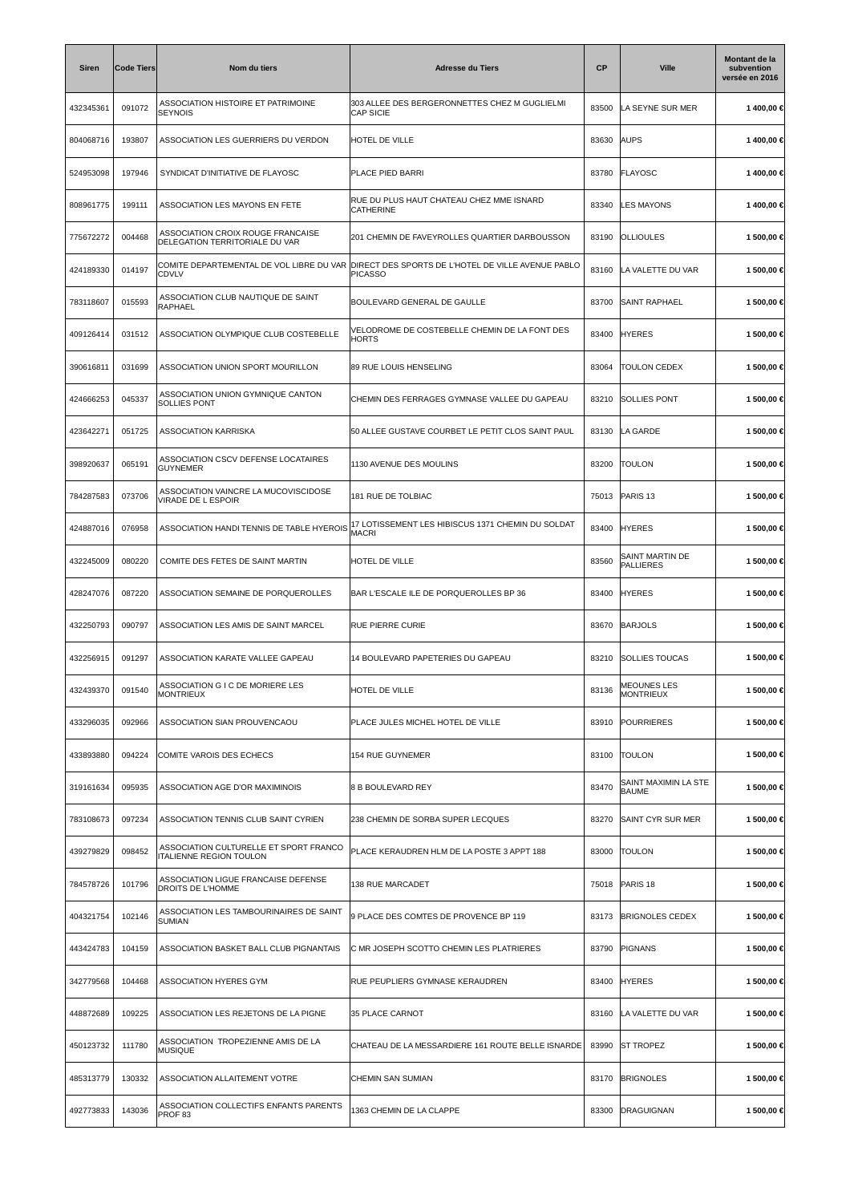| Siren     | <b>Code Tiers</b> | Nom du tiers                                                             | <b>Adresse du Tiers</b>                                                                                        | <b>CP</b> | <b>Ville</b>                         | Montant de la<br>subvention<br>versée en 2016 |
|-----------|-------------------|--------------------------------------------------------------------------|----------------------------------------------------------------------------------------------------------------|-----------|--------------------------------------|-----------------------------------------------|
| 432345361 | 091072            | ASSOCIATION HISTOIRE ET PATRIMOINE<br>SEYNOIS                            | 303 ALLEE DES BERGERONNETTES CHEZ M GUGLIELMI<br><b>CAP SICIE</b>                                              | 83500     | LA SEYNE SUR MER                     | 1400,00 €                                     |
| 804068716 | 193807            | ASSOCIATION LES GUERRIERS DU VERDON                                      | <b>HOTEL DE VILLE</b>                                                                                          | 83630     | <b>AUPS</b>                          | 1 400,00 €                                    |
| 524953098 | 197946            | SYNDICAT D'INITIATIVE DE FLAYOSC                                         | PLACE PIED BARRI                                                                                               | 83780     | FLAYOSC                              | 1400,00€                                      |
| 808961775 | 199111            | ASSOCIATION LES MAYONS EN FETE                                           | RUE DU PLUS HAUT CHATEAU CHEZ MME ISNARD<br><b>CATHERINE</b>                                                   | 83340     | <b>LES MAYONS</b>                    | 1400,00 €                                     |
| 775672272 | 004468            | ASSOCIATION CROIX ROUGE FRANCAISE<br>DELEGATION TERRITORIALE DU VAR      | 201 CHEMIN DE FAVEYROLLES QUARTIER DARBOUSSON                                                                  | 83190     | <b>OLLIOULES</b>                     | 1 500,00 €                                    |
| 424189330 | 014197            | <b>CDVLV</b>                                                             | COMITE DEPARTEMENTAL DE VOL LIBRE DU VAR  DIRECT DES SPORTS DE L'HOTEL DE VILLE AVENUE PABLO<br><b>PICASSO</b> | 83160     | LA VALETTE DU VAR                    | 1 500,00 €                                    |
| 783118607 | 015593            | ASSOCIATION CLUB NAUTIQUE DE SAINT<br>RAPHAEL                            | BOULEVARD GENERAL DE GAULLE                                                                                    | 83700     | <b>SAINT RAPHAEL</b>                 | 1 500,00 €                                    |
| 409126414 | 031512            | ASSOCIATION OLYMPIQUE CLUB COSTEBELLE                                    | VELODROME DE COSTEBELLE CHEMIN DE LA FONT DES<br><b>HORTS</b>                                                  | 83400     | <b>HYERES</b>                        | 1 500,00 €                                    |
| 390616811 | 031699            | ASSOCIATION UNION SPORT MOURILLON                                        | 89 RUE LOUIS HENSELING                                                                                         | 83064     | <b>TOULON CEDEX</b>                  | 1 500,00 €                                    |
| 424666253 | 045337            | ASSOCIATION UNION GYMNIQUE CANTON<br><b>SOLLIES PONT</b>                 | CHEMIN DES FERRAGES GYMNASE VALLEE DU GAPEAU                                                                   | 83210     | SOLLIES PONT                         | 1 500,00 €                                    |
| 423642271 | 051725            | <b>ASSOCIATION KARRISKA</b>                                              | 50 ALLEE GUSTAVE COURBET LE PETIT CLOS SAINT PAUL                                                              | 83130     | LA GARDE                             | 1 500,00 €                                    |
| 398920637 | 065191            | ASSOCIATION CSCV DEFENSE LOCATAIRES<br>GUYNEMER                          | 1130 AVENUE DES MOULINS                                                                                        | 83200     | <b>TOULON</b>                        | 1 500,00 €                                    |
| 784287583 | 073706            | ASSOCIATION VAINCRE LA MUCOVISCIDOSE<br>VIRADE DE L ESPOIR               | <b>181 RUE DE TOLBIAC</b>                                                                                      | 75013     | PARIS <sub>13</sub>                  | 1 500,00 €                                    |
| 424887016 | 076958            | ASSOCIATION HANDI TENNIS DE TABLE HYEROIS                                | 17 LOTISSEMENT LES HIBISCUS 1371 CHEMIN DU SOLDAT<br>MACRI                                                     | 83400     | <b>HYERES</b>                        | 1 500,00 €                                    |
| 432245009 | 080220            | COMITE DES FETES DE SAINT MARTIN                                         | HOTEL DE VILLE                                                                                                 | 83560     | SAINT MARTIN DE<br><b>PALLIERES</b>  | 1 500,00 €                                    |
| 428247076 | 087220            | ASSOCIATION SEMAINE DE PORQUEROLLES                                      | BAR L'ESCALE ILE DE PORQUEROLLES BP 36                                                                         | 83400     | <b>HYERES</b>                        | 1 500,00 €                                    |
| 432250793 | 090797            | ASSOCIATION LES AMIS DE SAINT MARCEL                                     | <b>RUE PIERRE CURIE</b>                                                                                        | 83670     | <b>BARJOLS</b>                       | 1 500,00 €                                    |
| 432256915 | 091297            | ASSOCIATION KARATE VALLEE GAPEAU                                         | 14 BOULEVARD PAPETERIES DU GAPEAU                                                                              | 83210     | <b>SOLLIES TOUCAS</b>                | 1 500,00 €                                    |
| 432439370 | 091540            | ASSOCIATION G I C DE MORIERE LES<br><b>MONTRIEUX</b>                     | HOTEL DE VILLE                                                                                                 | 83136     | <b>MEOUNES LES</b><br>MONTRIEUX      | 1 500,00 €                                    |
| 433296035 | 092966            | ASSOCIATION SIAN PROUVENCAOU                                             | PLACE JULES MICHEL HOTEL DE VILLE                                                                              | 83910     | <b>POURRIERES</b>                    | 1 500,00 €                                    |
| 433893880 | 094224            | COMITE VAROIS DES ECHECS                                                 | 154 RUE GUYNEMER                                                                                               | 83100     | <b>TOULON</b>                        | 1 500,00 €                                    |
| 319161634 | 095935            | ASSOCIATION AGE D'OR MAXIMINOIS                                          | <b>8 B BOULEVARD REY</b>                                                                                       | 83470     | SAINT MAXIMIN LA STE<br><b>BAUME</b> | 1 500,00 €                                    |
| 783108673 | 097234            | ASSOCIATION TENNIS CLUB SAINT CYRIEN                                     | 238 CHEMIN DE SORBA SUPER LECQUES                                                                              | 83270     | SAINT CYR SUR MER                    | 1 500,00 €                                    |
| 439279829 | 098452            | ASSOCIATION CULTURELLE ET SPORT FRANCO<br><b>ITALIENNE REGION TOULON</b> | PLACE KERAUDREN HLM DE LA POSTE 3 APPT 188                                                                     | 83000     | <b>TOULON</b>                        | 1 500,00 €                                    |
| 784578726 | 101796            | ASSOCIATION LIGUE FRANCAISE DEFENSE<br>DROITS DE L'HOMME                 | 138 RUE MARCADET                                                                                               | 75018     | PARIS <sub>18</sub>                  | 1 500,00 €                                    |
| 404321754 | 102146            | ASSOCIATION LES TAMBOURINAIRES DE SAINT<br><b>SUMIAN</b>                 | 9 PLACE DES COMTES DE PROVENCE BP 119                                                                          | 83173     | <b>BRIGNOLES CEDEX</b>               | 1 500,00 €                                    |
| 443424783 | 104159            | ASSOCIATION BASKET BALL CLUB PIGNANTAIS                                  | C MR JOSEPH SCOTTO CHEMIN LES PLATRIERES                                                                       | 83790     | PIGNANS                              | 1 500,00 €                                    |
| 342779568 | 104468            | ASSOCIATION HYERES GYM                                                   | RUE PEUPLIERS GYMNASE KERAUDREN                                                                                | 83400     | <b>HYERES</b>                        | 1 500,00 €                                    |
| 448872689 | 109225            | ASSOCIATION LES REJETONS DE LA PIGNE                                     | 35 PLACE CARNOT                                                                                                | 83160     | LA VALETTE DU VAR                    | 1 500,00 €                                    |
| 450123732 | 111780            | ASSOCIATION TROPEZIENNE AMIS DE LA<br><b>MUSIQUE</b>                     | CHATEAU DE LA MESSARDIERE 161 ROUTE BELLE ISNARDE                                                              | 83990     | <b>ST TROPEZ</b>                     | 1 500,00 €                                    |
| 485313779 | 130332            | ASSOCIATION ALLAITEMENT VOTRE                                            | CHEMIN SAN SUMIAN                                                                                              | 83170     | <b>BRIGNOLES</b>                     | 1 500,00 €                                    |
| 492773833 | 143036            | ASSOCIATION COLLECTIFS ENFANTS PARENTS<br>PROF <sub>83</sub>             | 1363 CHEMIN DE LA CLAPPE                                                                                       | 83300     | DRAGUIGNAN                           | 1 500,00 €                                    |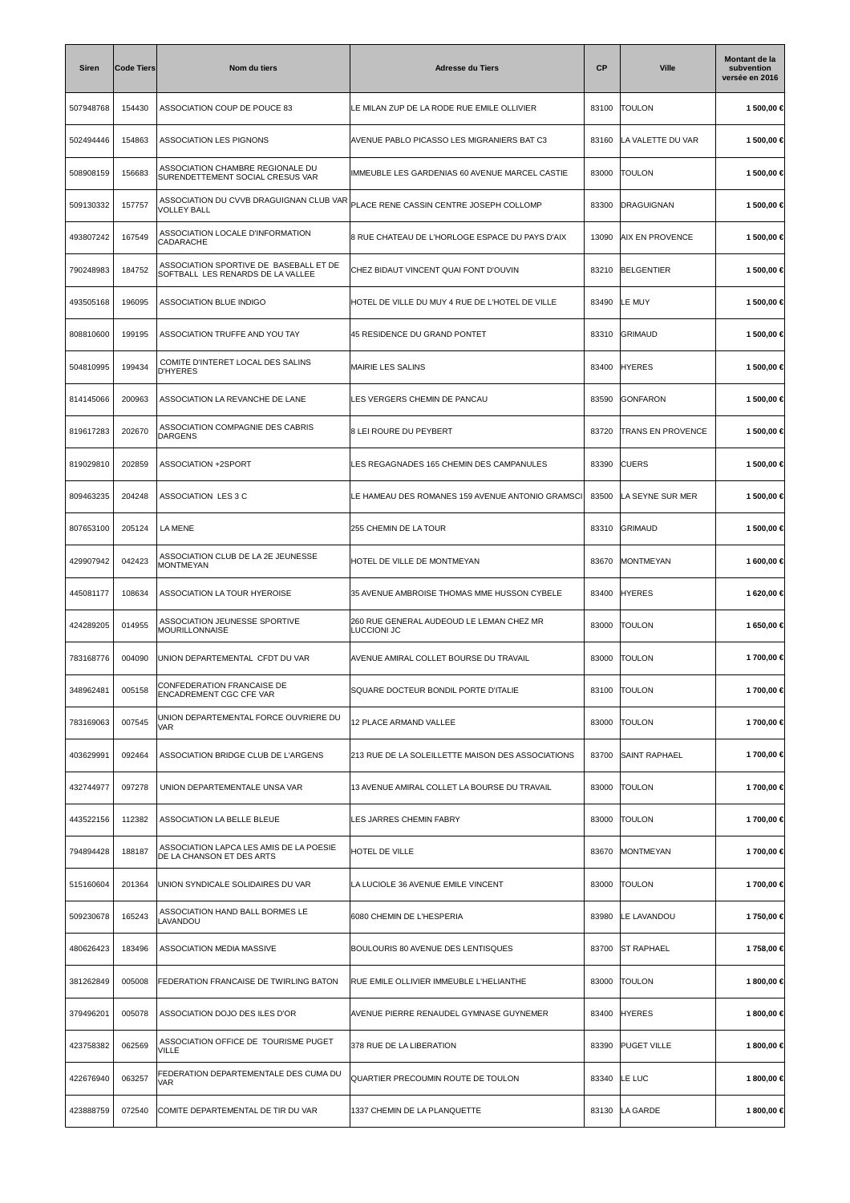| <b>Siren</b> | <b>Code Tiers</b> | Nom du tiers                                                                | <b>Adresse du Tiers</b>                                 | СP    | <b>Ville</b>             | Montant de la<br>subvention<br>versée en 2016 |
|--------------|-------------------|-----------------------------------------------------------------------------|---------------------------------------------------------|-------|--------------------------|-----------------------------------------------|
| 507948768    | 154430            | ASSOCIATION COUP DE POUCE 83                                                | LE MILAN ZUP DE LA RODE RUE EMILE OLLIVIER              | 83100 | <b>TOULON</b>            | 1 500,00 €                                    |
| 502494446    | 154863            | ASSOCIATION LES PIGNONS                                                     | AVENUE PABLO PICASSO LES MIGRANIERS BAT C3              | 83160 | LA VALETTE DU VAR        | 1 500,00 €                                    |
| 508908159    | 156683            | ASSOCIATION CHAMBRE REGIONALE DU<br>SURENDETTEMENT SOCIAL CRESUS VAR        | IMMEUBLE LES GARDENIAS 60 AVENUE MARCEL CASTIE          | 83000 | <b>TOULON</b>            | 1 500,00 €                                    |
| 509130332    | 157757            | ASSOCIATION DU CVVB DRAGUIGNAN CLUB VAR<br><b>VOLLEY BALL</b>               | PLACE RENE CASSIN CENTRE JOSEPH COLLOMP                 | 83300 | DRAGUIGNAN               | 1 500,00 €                                    |
| 493807242    | 167549            | ASSOCIATION LOCALE D'INFORMATION<br>CADARACHE                               | 8 RUE CHATEAU DE L'HORLOGE ESPACE DU PAYS D'AIX         | 13090 | AIX EN PROVENCE          | 1 500,00 €                                    |
| 790248983    | 184752            | ASSOCIATION SPORTIVE DE BASEBALL ET DE<br>SOFTBALL LES RENARDS DE LA VALLEE | CHEZ BIDAUT VINCENT QUAI FONT D'OUVIN                   | 83210 | <b>BELGENTIER</b>        | 1 500,00 €                                    |
| 493505168    | 196095            | ASSOCIATION BLUE INDIGO                                                     | HOTEL DE VILLE DU MUY 4 RUE DE L'HOTEL DE VILLE         | 83490 | LE MUY                   | 1 500,00 €                                    |
| 808810600    | 199195            | ASSOCIATION TRUFFE AND YOU TAY                                              | 45 RESIDENCE DU GRAND PONTET                            | 83310 | GRIMAUD                  | 1 500,00 €                                    |
| 504810995    | 199434            | COMITE D'INTERET LOCAL DES SALINS<br><b>D'HYERES</b>                        | MAIRIE LES SALINS                                       | 83400 | <b>HYERES</b>            | 1 500,00 €                                    |
| 814145066    | 200963            | ASSOCIATION LA REVANCHE DE LANE                                             | LES VERGERS CHEMIN DE PANCAU                            | 83590 | GONFARON                 | 1 500,00 €                                    |
| 819617283    | 202670            | ASSOCIATION COMPAGNIE DES CABRIS<br><b>DARGENS</b>                          | 8 LEI ROURE DU PEYBERT                                  | 83720 | <b>TRANS EN PROVENCE</b> | 1 500,00 €                                    |
| 819029810    | 202859            | ASSOCIATION +2SPORT                                                         | LES REGAGNADES 165 CHEMIN DES CAMPANULES                | 83390 | <b>CUERS</b>             | 1 500,00 €                                    |
| 809463235    | 204248            | ASSOCIATION LES 3 C                                                         | LE HAMEAU DES ROMANES 159 AVENUE ANTONIO GRAMSCI        | 83500 | LA SEYNE SUR MER         | 1 500,00 €                                    |
| 807653100    | 205124            | LA MENE                                                                     | 255 CHEMIN DE LA TOUR                                   | 83310 | GRIMAUD                  | 1 500,00 €                                    |
| 429907942    | 042423            | ASSOCIATION CLUB DE LA 2E JEUNESSE<br>MONTMEYAN                             | HOTEL DE VILLE DE MONTMEYAN                             | 83670 | MONTMEYAN                | 1 600,00 €                                    |
| 445081177    | 108634            | ASSOCIATION LA TOUR HYEROISE                                                | 35 AVENUE AMBROISE THOMAS MME HUSSON CYBELE             | 83400 | <b>HYERES</b>            | 1 620,00 €                                    |
| 424289205    | 014955            | ASSOCIATION JEUNESSE SPORTIVE<br><b>MOURILLONNAISE</b>                      | 260 RUE GENERAL AUDEOUD LE LEMAN CHEZ MR<br>LUCCIONI JC | 83000 | <b>TOULON</b>            | 1 650,00 €                                    |
| 783168776    | 004090            | UNION DEPARTEMENTAL CFDT DU VAR                                             | AVENUE AMIRAL COLLET BOURSE DU TRAVAIL                  | 83000 | <b>TOULON</b>            | 1700,00 €                                     |
| 348962481    | 005158            | CONFEDERATION FRANCAISE DE<br><b>ENCADREMENT CGC CFE VAR</b>                | SQUARE DOCTEUR BONDIL PORTE D'ITALIE                    | 83100 | <b>TOULON</b>            | 1 700,00 €                                    |
| 783169063    | 007545            | UNION DEPARTEMENTAL FORCE OUVRIERE DU<br>VAR                                | 12 PLACE ARMAND VALLEE                                  | 83000 | <b>TOULON</b>            | 1 700,00 €                                    |
| 403629991    | 092464            | ASSOCIATION BRIDGE CLUB DE L'ARGENS                                         | 213 RUE DE LA SOLEILLETTE MAISON DES ASSOCIATIONS       | 83700 | <b>SAINT RAPHAEL</b>     | 1700,00 €                                     |
| 432744977    | 097278            | UNION DEPARTEMENTALE UNSA VAR                                               | 13 AVENUE AMIRAL COLLET LA BOURSE DU TRAVAIL            | 83000 | <b>TOULON</b>            | 1 700,00 €                                    |
| 443522156    | 112382            | ASSOCIATION LA BELLE BLEUE                                                  | LES JARRES CHEMIN FABRY                                 | 83000 | <b>TOULON</b>            | 1700,00 €                                     |
| 794894428    | 188187            | ASSOCIATION LAPCA LES AMIS DE LA POESIE<br>DE LA CHANSON ET DES ARTS        | HOTEL DE VILLE                                          | 83670 | MONTMEYAN                | 1 700,00 €                                    |
| 515160604    | 201364            | UNION SYNDICALE SOLIDAIRES DU VAR                                           | LA LUCIOLE 36 AVENUE EMILE VINCENT                      | 83000 | <b>TOULON</b>            | 1 700,00 €                                    |
| 509230678    | 165243            | ASSOCIATION HAND BALL BORMES LE<br>LAVANDOU                                 | 6080 CHEMIN DE L'HESPERIA                               | 83980 | LE LAVANDOU              | 1750,00€                                      |
| 480626423    | 183496            | ASSOCIATION MEDIA MASSIVE                                                   | BOULOURIS 80 AVENUE DES LENTISQUES                      | 83700 | <b>ST RAPHAEL</b>        | 1 758,00 €                                    |
| 381262849    | 005008            | FEDERATION FRANCAISE DE TWIRLING BATON                                      | RUE EMILE OLLIVIER IMMEUBLE L'HELIANTHE                 | 83000 | <b>TOULON</b>            | 1800,00€                                      |
| 379496201    | 005078            | ASSOCIATION DOJO DES ILES D'OR                                              | AVENUE PIERRE RENAUDEL GYMNASE GUYNEMER                 | 83400 | <b>HYERES</b>            | 1 800,00 €                                    |
| 423758382    | 062569            | ASSOCIATION OFFICE DE TOURISME PUGET<br><b>VILLE</b>                        | 378 RUE DE LA LIBERATION                                | 83390 | <b>PUGET VILLE</b>       | 1 800,00 €                                    |
| 422676940    | 063257            | FEDERATION DEPARTEMENTALE DES CUMA DU<br>VAR                                | QUARTIER PRECOUMIN ROUTE DE TOULON                      | 83340 | LE LUC                   | 1 800,00 €                                    |
| 423888759    | 072540            | COMITE DEPARTEMENTAL DE TIR DU VAR                                          | 1337 CHEMIN DE LA PLANQUETTE                            | 83130 | LA GARDE                 | 1800,00 €                                     |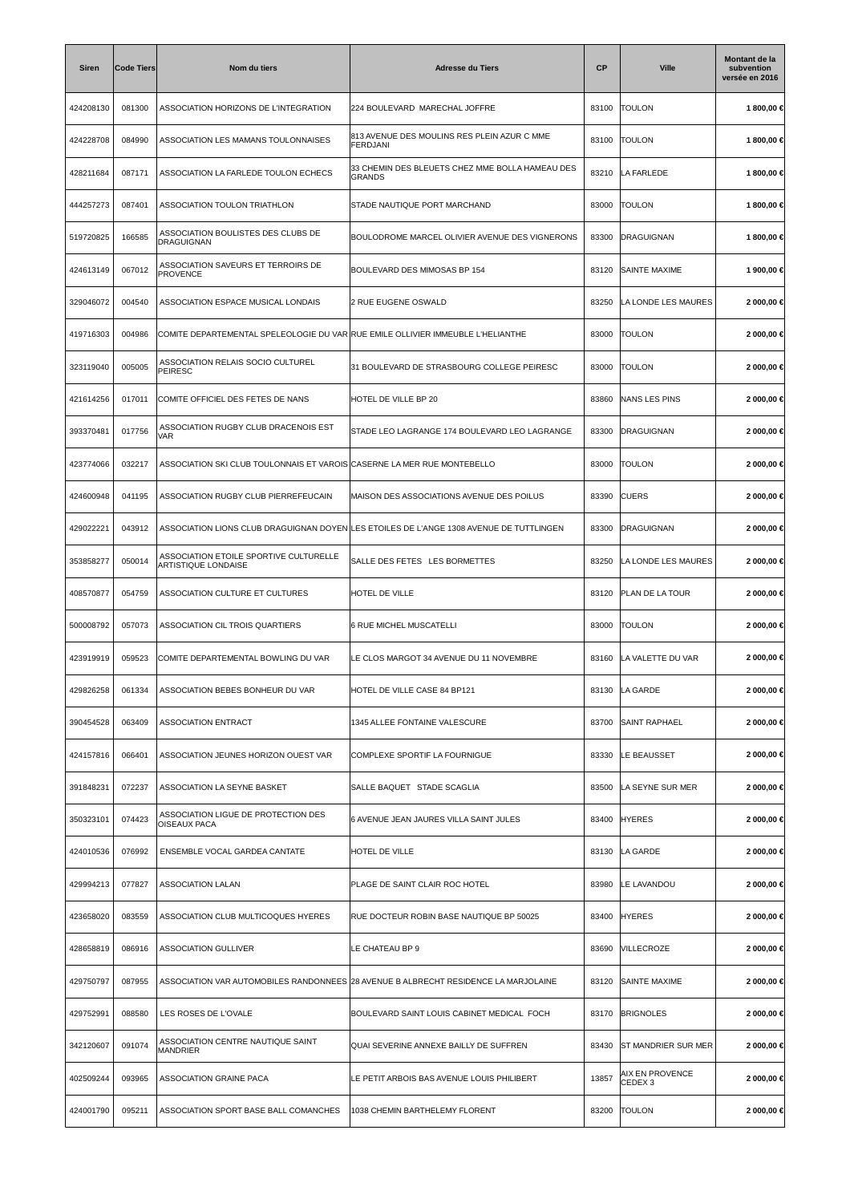| <b>Siren</b> | <b>Code Tiers</b> | Nom du tiers                                                                    | <b>Adresse du Tiers</b>                                                                 | СP    | <b>Ville</b>                          | Montant de la<br>subvention<br>versée en 2016 |
|--------------|-------------------|---------------------------------------------------------------------------------|-----------------------------------------------------------------------------------------|-------|---------------------------------------|-----------------------------------------------|
| 424208130    | 081300            | ASSOCIATION HORIZONS DE L'INTEGRATION                                           | 224 BOULEVARD MARECHAL JOFFRE                                                           | 83100 | <b>TOULON</b>                         | 1800,00€                                      |
| 424228708    | 084990            | ASSOCIATION LES MAMANS TOULONNAISES                                             | 813 AVENUE DES MOULINS RES PLEIN AZUR C MME<br>FERDJANI                                 | 83100 | <b>TOULON</b>                         | 1 800,00 €                                    |
| 428211684    | 087171            | ASSOCIATION LA FARLEDE TOULON ECHECS                                            | 33 CHEMIN DES BLEUETS CHEZ MME BOLLA HAMEAU DES<br><b>GRANDS</b>                        | 83210 | LA FARLEDE                            | 1 800,00 €                                    |
| 444257273    | 087401            | ASSOCIATION TOULON TRIATHLON                                                    | STADE NAUTIQUE PORT MARCHAND                                                            | 83000 | <b>TOULON</b>                         | 1800,00€                                      |
| 519720825    | 166585            | ASSOCIATION BOULISTES DES CLUBS DE<br>DRAGUIGNAN                                | BOULODROME MARCEL OLIVIER AVENUE DES VIGNERONS                                          | 83300 | <b>DRAGUIGNAN</b>                     | 1800,00€                                      |
| 424613149    | 067012            | ASSOCIATION SAVEURS ET TERROIRS DE<br><b>PROVENCE</b>                           | BOULEVARD DES MIMOSAS BP 154                                                            | 83120 | <b>SAINTE MAXIME</b>                  | 1 900,00 €                                    |
| 329046072    | 004540            | ASSOCIATION ESPACE MUSICAL LONDAIS                                              | 2 RUE EUGENE OSWALD                                                                     | 83250 | LA LONDE LES MAURES                   | 2 000,00 €                                    |
| 419716303    | 004986            | COMITE DEPARTEMENTAL SPELEOLOGIE DU VAR RUE EMILE OLLIVIER IMMEUBLE L'HELIANTHE |                                                                                         | 83000 | <b>TOULON</b>                         | 2 000,00 €                                    |
| 323119040    | 005005            | ASSOCIATION RELAIS SOCIO CULTUREL<br><b>PEIRESC</b>                             | 31 BOULEVARD DE STRASBOURG COLLEGE PEIRESC                                              | 83000 | <b>TOULON</b>                         | 2 000,00 €                                    |
| 421614256    | 017011            | COMITE OFFICIEL DES FETES DE NANS                                               | HOTEL DE VILLE BP 20                                                                    | 83860 | <b>NANS LES PINS</b>                  | 2 000,00 €                                    |
| 393370481    | 017756            | ASSOCIATION RUGBY CLUB DRACENOIS EST<br>VAR                                     | STADE LEO LAGRANGE 174 BOULEVARD LEO LAGRANGE                                           | 83300 | DRAGUIGNAN                            | 2 000,00 €                                    |
| 423774066    | 032217            | ASSOCIATION SKI CLUB TOULONNAIS ET VAROIS CASERNE LA MER RUE MONTEBELLO         |                                                                                         | 83000 | <b>TOULON</b>                         | 2 000,00 €                                    |
| 424600948    | 041195            | ASSOCIATION RUGBY CLUB PIERREFEUCAIN                                            | MAISON DES ASSOCIATIONS AVENUE DES POILUS                                               | 83390 | <b>CUERS</b>                          | 2 000,00 €                                    |
| 429022221    | 043912            |                                                                                 | ASSOCIATION LIONS CLUB DRAGUIGNAN DOYEN LES ETOILES DE L'ANGE 1308 AVENUE DE TUTTLINGEN | 83300 | DRAGUIGNAN                            | 2 000,00 €                                    |
| 353858277    | 050014            | ASSOCIATION ETOILE SPORTIVE CULTURELLE<br>ARTISTIQUE LONDAISE                   | SALLE DES FETES LES BORMETTES                                                           | 83250 | LA LONDE LES MAURES                   | 2 000,00 €                                    |
| 408570877    | 054759            | ASSOCIATION CULTURE ET CULTURES                                                 | <b>HOTEL DE VILLE</b>                                                                   | 83120 | PLAN DE LA TOUR                       | 2 000,00 €                                    |
| 500008792    | 057073            | <b>ASSOCIATION CIL TROIS QUARTIERS</b>                                          | 6 RUE MICHEL MUSCATELLI                                                                 | 83000 | <b>TOULON</b>                         | 2 000,00 €                                    |
| 423919919    | 059523            | COMITE DEPARTEMENTAL BOWLING DU VAR                                             | LE CLOS MARGOT 34 AVENUE DU 11 NOVEMBRE                                                 | 83160 | LA VALETTE DU VAR                     | 2 000,00 €                                    |
| 429826258    | 061334            | ASSOCIATION BEBES BONHEUR DU VAR                                                | HOTEL DE VILLE CASE 84 BP121                                                            | 83130 | LA GARDE                              | 2 000,00 €                                    |
| 390454528    | 063409            | <b>ASSOCIATION ENTRACT</b>                                                      | 1345 ALLEE FONTAINE VALESCURE                                                           | 83700 | <b>SAINT RAPHAEL</b>                  | 2 000,00 €                                    |
| 424157816    | 066401            | ASSOCIATION JEUNES HORIZON OUEST VAR                                            | COMPLEXE SPORTIF LA FOURNIGUE                                                           | 83330 | LE BEAUSSET                           | 2 000,00 €                                    |
| 391848231    | 072237            | ASSOCIATION LA SEYNE BASKET                                                     | SALLE BAQUET STADE SCAGLIA                                                              | 83500 | LA SEYNE SUR MER                      | 2 000,00 €                                    |
| 350323101    | 074423            | ASSOCIATION LIGUE DE PROTECTION DES<br><b>OISEAUX PACA</b>                      | 6 AVENUE JEAN JAURES VILLA SAINT JULES                                                  | 83400 | <b>HYERES</b>                         | 2 000,00 €                                    |
| 424010536    | 076992            | ENSEMBLE VOCAL GARDEA CANTATE                                                   | HOTEL DE VILLE                                                                          | 83130 | LA GARDE                              | 2 000,00 €                                    |
| 429994213    | 077827            | <b>ASSOCIATION LALAN</b>                                                        | PLAGE DE SAINT CLAIR ROC HOTEL                                                          | 83980 | LE LAVANDOU                           | 2 000,00 €                                    |
| 423658020    | 083559            | ASSOCIATION CLUB MULTICOQUES HYERES                                             | RUE DOCTEUR ROBIN BASE NAUTIQUE BP 50025                                                | 83400 | <b>HYERES</b>                         | 2 000,00 €                                    |
| 428658819    | 086916            | <b>ASSOCIATION GULLIVER</b>                                                     | LE CHATEAU BP 9                                                                         | 83690 | VILLECROZE                            | 2 000,00 €                                    |
| 429750797    | 087955            |                                                                                 | ASSOCIATION VAR AUTOMOBILES RANDONNEES 28 AVENUE B ALBRECHT RESIDENCE LA MARJOLAINE     | 83120 | SAINTE MAXIME                         | 2 000,00 €                                    |
| 429752991    | 088580            | LES ROSES DE L'OVALE                                                            | BOULEVARD SAINT LOUIS CABINET MEDICAL FOCH                                              | 83170 | <b>BRIGNOLES</b>                      | 2 000,00 €                                    |
| 342120607    | 091074            | ASSOCIATION CENTRE NAUTIQUE SAINT<br><b>MANDRIER</b>                            | QUAI SEVERINE ANNEXE BAILLY DE SUFFREN                                                  | 83430 | <b>ST MANDRIER SUR MER</b>            | 2 000,00 €                                    |
| 402509244    | 093965            | ASSOCIATION GRAINE PACA                                                         | LE PETIT ARBOIS BAS AVENUE LOUIS PHILIBERT                                              | 13857 | AIX EN PROVENCE<br>CEDEX <sub>3</sub> | 2 000,00 €                                    |
| 424001790    | 095211            | ASSOCIATION SPORT BASE BALL COMANCHES                                           | 1038 CHEMIN BARTHELEMY FLORENT                                                          | 83200 | <b>TOULON</b>                         | 2 000,00 €                                    |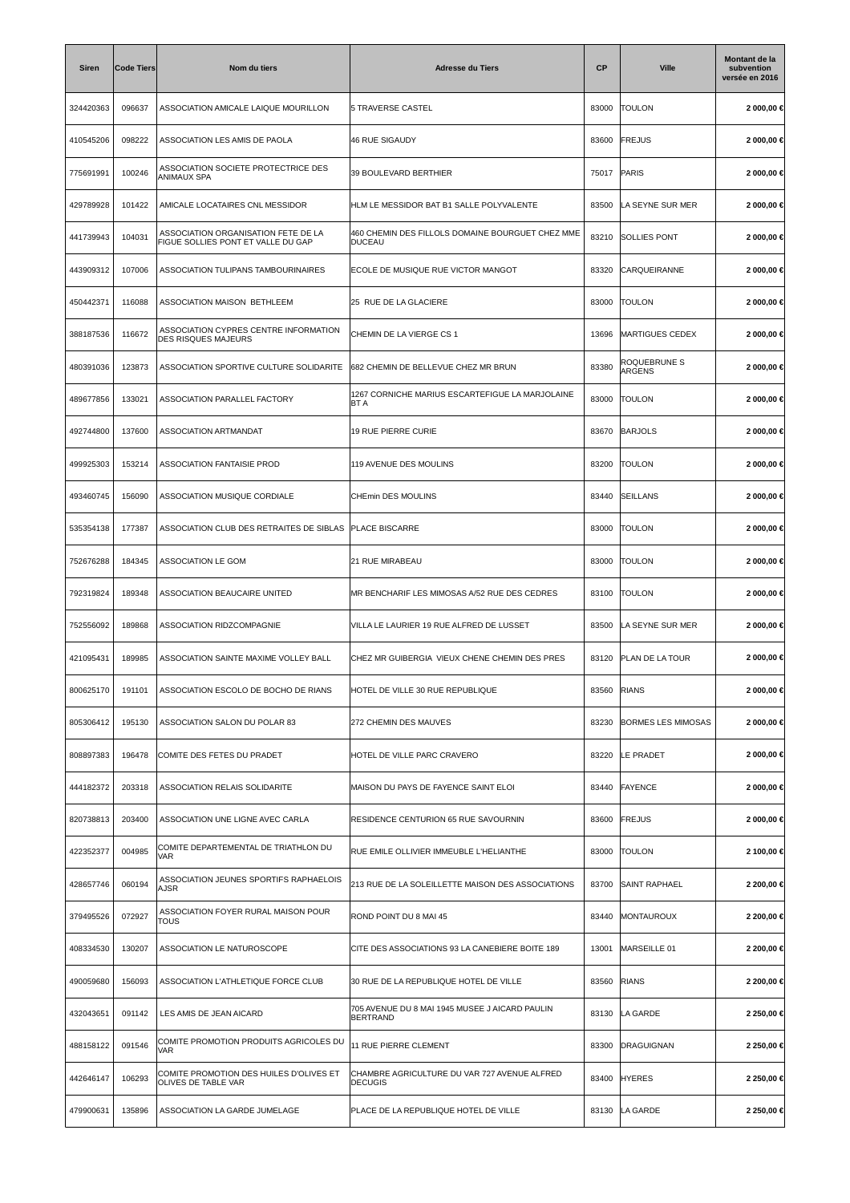| <b>Siren</b> | <b>Code Tiers</b> | Nom du tiers                                                              | <b>Adresse du Tiers</b>                                           | СP    | <b>Ville</b>              | Montant de la<br>subvention<br>versée en 2016 |
|--------------|-------------------|---------------------------------------------------------------------------|-------------------------------------------------------------------|-------|---------------------------|-----------------------------------------------|
| 324420363    | 096637            | ASSOCIATION AMICALE LAIQUE MOURILLON                                      | 5 TRAVERSE CASTEL                                                 | 83000 | <b>TOULON</b>             | 2 000,00 €                                    |
| 410545206    | 098222            | ASSOCIATION LES AMIS DE PAOLA                                             | 46 RUE SIGAUDY                                                    | 83600 | <b>FREJUS</b>             | 2 000,00 €                                    |
| 775691991    | 100246            | ASSOCIATION SOCIETE PROTECTRICE DES<br>ANIMAUX SPA                        | 39 BOULEVARD BERTHIER                                             | 75017 | PARIS                     | 2 000,00 €                                    |
| 429789928    | 101422            | AMICALE LOCATAIRES CNL MESSIDOR                                           | HLM LE MESSIDOR BAT B1 SALLE POLYVALENTE                          | 83500 | LA SEYNE SUR MER          | 2 000,00 €                                    |
| 441739943    | 104031            | ASSOCIATION ORGANISATION FETE DE LA<br>FIGUE SOLLIES PONT ET VALLE DU GAP | 460 CHEMIN DES FILLOLS DOMAINE BOURGUET CHEZ MME<br>DUCEAU        | 83210 | <b>SOLLIES PONT</b>       | 2 000,00 €                                    |
| 443909312    | 107006            | ASSOCIATION TULIPANS TAMBOURINAIRES                                       | ECOLE DE MUSIQUE RUE VICTOR MANGOT                                | 83320 | CARQUEIRANNE              | 2 000,00 €                                    |
| 450442371    | 116088            | ASSOCIATION MAISON BETHLEEM                                               | 25 RUE DE LA GLACIERE                                             | 83000 | <b>TOULON</b>             | 2 000,00 €                                    |
| 388187536    | 116672            | ASSOCIATION CYPRES CENTRE INFORMATION<br><b>DES RISQUES MAJEURS</b>       | CHEMIN DE LA VIERGE CS 1                                          | 13696 | <b>MARTIGUES CEDEX</b>    | 2 000,00 €                                    |
| 480391036    | 123873            | ASSOCIATION SPORTIVE CULTURE SOLIDARITE                                   | 682 CHEMIN DE BELLEVUE CHEZ MR BRUN                               | 83380 | ROQUEBRUNE S<br>ARGENS    | 2 000,00 €                                    |
| 489677856    | 133021            | ASSOCIATION PARALLEL FACTORY                                              | 1267 CORNICHE MARIUS ESCARTEFIGUE LA MARJOLAINE<br>BT A           | 83000 | <b>TOULON</b>             | 2 000,00 €                                    |
| 492744800    | 137600            | ASSOCIATION ARTMANDAT                                                     | 19 RUE PIERRE CURIE                                               | 83670 | <b>BARJOLS</b>            | 2 000,00 €                                    |
| 499925303    | 153214            | ASSOCIATION FANTAISIE PROD                                                | 119 AVENUE DES MOULINS                                            | 83200 | <b>TOULON</b>             | 2 000,00 €                                    |
| 493460745    | 156090            | ASSOCIATION MUSIQUE CORDIALE                                              | CHEmin DES MOULINS                                                | 83440 | SEILLANS                  | 2 000,00 €                                    |
| 535354138    | 177387            | ASSOCIATION CLUB DES RETRAITES DE SIBLAS                                  | <b>PLACE BISCARRE</b>                                             | 83000 | <b>TOULON</b>             | 2 000,00 €                                    |
| 752676288    | 184345            | ASSOCIATION LE GOM                                                        | <b>21 RUE MIRABEAU</b>                                            | 83000 | <b>TOULON</b>             | 2 000,00 €                                    |
| 792319824    | 189348            | ASSOCIATION BEAUCAIRE UNITED                                              | MR BENCHARIF LES MIMOSAS A/52 RUE DES CEDRES                      | 83100 | <b>TOULON</b>             | 2 000,00 €                                    |
| 752556092    | 189868            | ASSOCIATION RIDZCOMPAGNIE                                                 | VILLA LE LAURIER 19 RUE ALFRED DE LUSSET                          | 83500 | LA SEYNE SUR MER          | 2 000,00 €                                    |
| 421095431    | 189985            | ASSOCIATION SAINTE MAXIME VOLLEY BALL                                     | CHEZ MR GUIBERGIA VIEUX CHENE CHEMIN DES PRES                     | 83120 | PLAN DE LA TOUR           | 2 000,00 €                                    |
| 800625170    | 191101            | ASSOCIATION ESCOLO DE BOCHO DE RIANS                                      | HOTEL DE VILLE 30 RUE REPUBLIQUE                                  | 83560 | <b>RIANS</b>              | 2 000,00 €                                    |
| 805306412    | 195130            | ASSOCIATION SALON DU POLAR 83                                             | 272 CHEMIN DES MAUVES                                             | 83230 | <b>BORMES LES MIMOSAS</b> | 2 000,00 €                                    |
| 808897383    | 196478            | COMITE DES FETES DU PRADET                                                | HOTEL DE VILLE PARC CRAVERO                                       | 83220 | LE PRADET                 | 2 000,00 €                                    |
| 444182372    | 203318            | ASSOCIATION RELAIS SOLIDARITE                                             | MAISON DU PAYS DE FAYENCE SAINT ELOI                              | 83440 | FAYENCE                   | 2 000,00 €                                    |
| 820738813    | 203400            | ASSOCIATION UNE LIGNE AVEC CARLA                                          | RESIDENCE CENTURION 65 RUE SAVOURNIN                              | 83600 | <b>FREJUS</b>             | 2 000,00 €                                    |
| 422352377    | 004985            | COMITE DEPARTEMENTAL DE TRIATHLON DU<br><b>VAR</b>                        | RUE EMILE OLLIVIER IMMEUBLE L'HELIANTHE                           | 83000 | <b>TOULON</b>             | 2 100,00 €                                    |
| 428657746    | 060194            | ASSOCIATION JEUNES SPORTIFS RAPHAELOIS<br><b>AJSR</b>                     | 213 RUE DE LA SOLEILLETTE MAISON DES ASSOCIATIONS                 | 83700 | SAINT RAPHAEL             | 2 200,00 €                                    |
| 379495526    | 072927            | ASSOCIATION FOYER RURAL MAISON POUR<br>TOUS                               | ROND POINT DU 8 MAI 45                                            | 83440 | MONTAUROUX                | 2 200,00 €                                    |
| 408334530    | 130207            | ASSOCIATION LE NATUROSCOPE                                                | CITE DES ASSOCIATIONS 93 LA CANEBIERE BOITE 189                   | 13001 | MARSEILLE 01              | 2 200,00 €                                    |
| 490059680    | 156093            | ASSOCIATION L'ATHLETIQUE FORCE CLUB                                       | 30 RUE DE LA REPUBLIQUE HOTEL DE VILLE                            | 83560 | <b>RIANS</b>              | 2 200,00 €                                    |
| 432043651    | 091142            | LES AMIS DE JEAN AICARD                                                   | 705 AVENUE DU 8 MAI 1945 MUSEE J AICARD PAULIN<br><b>BERTRAND</b> | 83130 | LA GARDE                  | 2 250,00 €                                    |
| 488158122    | 091546            | COMITE PROMOTION PRODUITS AGRICOLES DU<br><b>VAR</b>                      | 11 RUE PIERRE CLEMENT                                             | 83300 | DRAGUIGNAN                | 2 250,00 €                                    |
| 442646147    | 106293            | COMITE PROMOTION DES HUILES D'OLIVES ET<br>OLIVES DE TABLE VAR            | CHAMBRE AGRICULTURE DU VAR 727 AVENUE ALFRED<br><b>DECUGIS</b>    | 83400 | <b>HYERES</b>             | 2 250,00 €                                    |
| 479900631    | 135896            | ASSOCIATION LA GARDE JUMELAGE                                             | PLACE DE LA REPUBLIQUE HOTEL DE VILLE                             | 83130 | LA GARDE                  | 2 250,00 €                                    |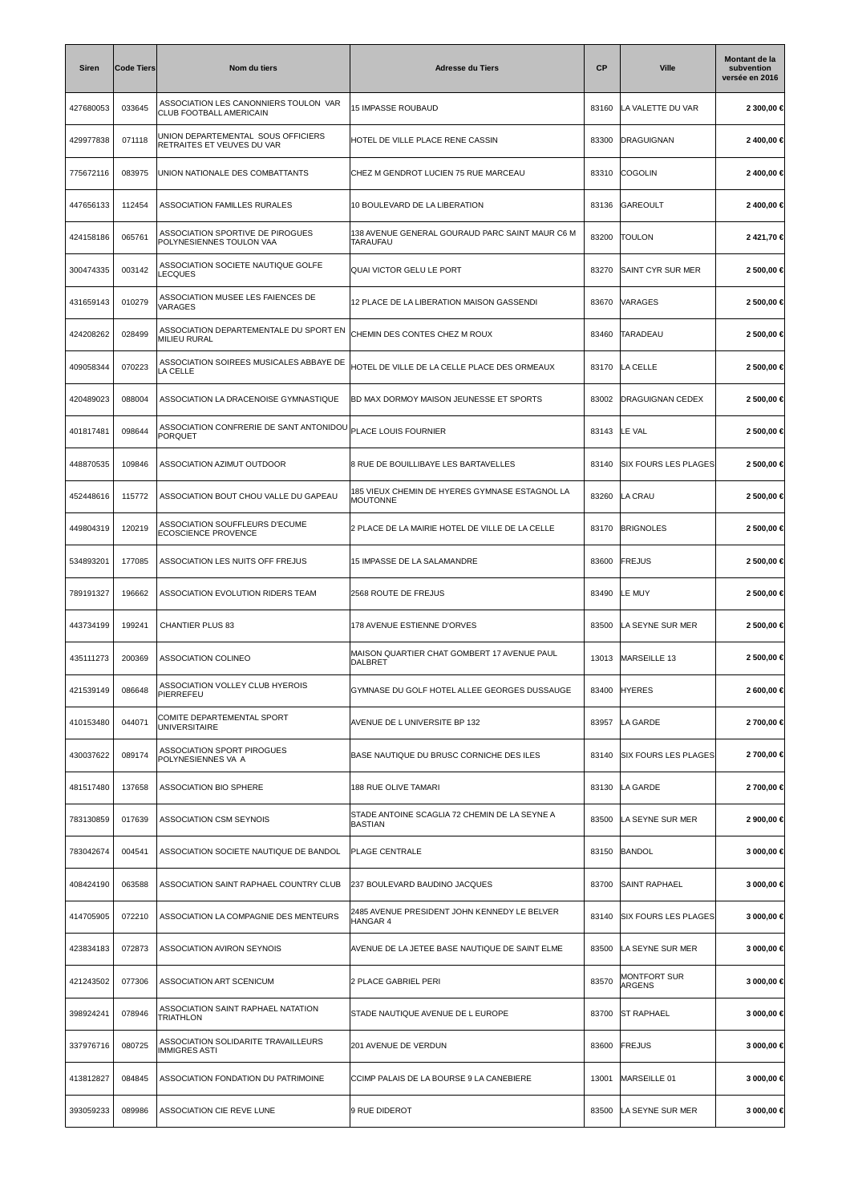| Siren     | <b>Code Tiers</b> | Nom du tiers                                                                   | <b>Adresse du Tiers</b>                                           | <b>CP</b> | <b>Ville</b>                  | Montant de la<br>subvention<br>versée en 2016 |
|-----------|-------------------|--------------------------------------------------------------------------------|-------------------------------------------------------------------|-----------|-------------------------------|-----------------------------------------------|
| 427680053 | 033645            | ASSOCIATION LES CANONNIERS TOULON VAR<br>CLUB FOOTBALL AMERICAIN               | 15 IMPASSE ROUBAUD                                                | 83160     | LA VALETTE DU VAR             | 2 300,00 €                                    |
| 429977838 | 071118            | UNION DEPARTEMENTAL SOUS OFFICIERS<br>RETRAITES ET VEUVES DU VAR               | HOTEL DE VILLE PLACE RENE CASSIN                                  | 83300     | <b>DRAGUIGNAN</b>             | 2400,00€                                      |
| 775672116 | 083975            | UNION NATIONALE DES COMBATTANTS                                                | CHEZ M GENDROT LUCIEN 75 RUE MARCEAU                              | 83310     | <b>COGOLIN</b>                | 2 400,00 €                                    |
| 447656133 | 112454            | ASSOCIATION FAMILLES RURALES                                                   | 10 BOULEVARD DE LA LIBERATION                                     | 83136     | GAREOULT                      | 2400,00 €                                     |
| 424158186 | 065761            | ASSOCIATION SPORTIVE DE PIROGUES<br>POLYNESIENNES TOULON VAA                   | 138 AVENUE GENERAL GOURAUD PARC SAINT MAUR C6 M<br>TARAUFAU       | 83200     | <b>TOULON</b>                 | 2421,70€                                      |
| 300474335 | 003142            | ASSOCIATION SOCIETE NAUTIQUE GOLFE<br>LECQUES                                  | QUAI VICTOR GELU LE PORT                                          | 83270     | SAINT CYR SUR MER             | 2 500,00 €                                    |
| 431659143 | 010279            | ASSOCIATION MUSEE LES FAIENCES DE<br>VARAGES                                   | 12 PLACE DE LA LIBERATION MAISON GASSENDI                         | 83670     | VARAGES                       | 2 500,00 €                                    |
| 424208262 | 028499            | ASSOCIATION DEPARTEMENTALE DU SPORT EN<br><b>MILIEU RURAL</b>                  | CHEMIN DES CONTES CHEZ M ROUX                                     | 83460     | <b>TARADEAU</b>               | 2 500,00 €                                    |
| 409058344 | 070223            | ASSOCIATION SOIREES MUSICALES ABBAYE DE<br>LA CELLE                            | HOTEL DE VILLE DE LA CELLE PLACE DES ORMEAUX                      | 83170     | LA CELLE                      | 2 500,00 €                                    |
| 420489023 | 088004            | ASSOCIATION LA DRACENOISE GYMNASTIQUE                                          | BD MAX DORMOY MAISON JEUNESSE ET SPORTS                           | 83002     | DRAGUIGNAN CEDEX              | 2 500,00 €                                    |
| 401817481 | 098644            | ASSOCIATION CONFRERIE DE SANT ANTONIDOU PLACE LOUIS FOURNIER<br><b>PORQUET</b> |                                                                   | 83143     | LE VAL                        | 2 500,00 €                                    |
| 448870535 | 109846            | ASSOCIATION AZIMUT OUTDOOR                                                     | 8 RUE DE BOUILLIBAYE LES BARTAVELLES                              | 83140     | <b>SIX FOURS LES PLAGES</b>   | 2 500,00 €                                    |
| 452448616 | 115772            | ASSOCIATION BOUT CHOU VALLE DU GAPEAU                                          | 185 VIEUX CHEMIN DE HYERES GYMNASE ESTAGNOL LA<br><b>MOUTONNE</b> | 83260     | LA CRAU                       | 2 500,00 €                                    |
| 449804319 | 120219            | ASSOCIATION SOUFFLEURS D'ECUME<br>ECOSCIENCE PROVENCE                          | 2 PLACE DE LA MAIRIE HOTEL DE VILLE DE LA CELLE                   | 83170     | <b>BRIGNOLES</b>              | 2 500,00 €                                    |
| 534893201 | 177085            | ASSOCIATION LES NUITS OFF FREJUS                                               | 15 IMPASSE DE LA SALAMANDRE                                       | 83600     | <b>FREJUS</b>                 | 2 500,00 €                                    |
| 789191327 | 196662            | ASSOCIATION EVOLUTION RIDERS TEAM                                              | 2568 ROUTE DE FREJUS                                              | 83490     | LE MUY                        | 2 500,00 €                                    |
| 443734199 | 199241            | CHANTIER PLUS 83                                                               | 178 AVENUE ESTIENNE D'ORVES                                       | 83500     | LA SEYNE SUR MER              | 2 500,00 €                                    |
| 435111273 | 200369            | ASSOCIATION COLINEO                                                            | MAISON QUARTIER CHAT GOMBERT 17 AVENUE PAUL<br>DALBRET            | 13013     | MARSEILLE 13                  | 2 500,00 €                                    |
| 421539149 | 086648            | ASSOCIATION VOLLEY CLUB HYEROIS<br>PIERREFEU                                   | GYMNASE DU GOLF HOTEL ALLEE GEORGES DUSSAUGE                      | 83400     | <b>HYERES</b>                 | 2 600,00 €                                    |
| 410153480 | 044071            | COMITE DEPARTEMENTAL SPORT<br><b>UNIVERSITAIRE</b>                             | AVENUE DE L UNIVERSITE BP 132                                     | 83957     | LA GARDE                      | 2 700,00 €                                    |
| 430037622 | 089174            | ASSOCIATION SPORT PIROGUES<br>POLYNESIENNES VA A                               | BASE NAUTIQUE DU BRUSC CORNICHE DES ILES                          | 83140     | <b>SIX FOURS LES PLAGES</b>   | 2 700,00 €                                    |
| 481517480 | 137658            | ASSOCIATION BIO SPHERE                                                         | 188 RUE OLIVE TAMARI                                              | 83130     | LA GARDE                      | 2 700,00 €                                    |
| 783130859 | 017639            | ASSOCIATION CSM SEYNOIS                                                        | STADE ANTOINE SCAGLIA 72 CHEMIN DE LA SEYNE A<br><b>BASTIAN</b>   | 83500     | LA SEYNE SUR MER              | 2 900,00 €                                    |
| 783042674 | 004541            | ASSOCIATION SOCIETE NAUTIQUE DE BANDOL                                         | <b>PLAGE CENTRALE</b>                                             | 83150     | BANDOL                        | 3 000,00 €                                    |
| 408424190 | 063588            | ASSOCIATION SAINT RAPHAEL COUNTRY CLUB                                         | 237 BOULEVARD BAUDINO JACQUES                                     | 83700     | <b>SAINT RAPHAEL</b>          | 3 000,00 €                                    |
| 414705905 | 072210            | ASSOCIATION LA COMPAGNIE DES MENTEURS                                          | 2485 AVENUE PRESIDENT JOHN KENNEDY LE BELVER<br><b>HANGAR 4</b>   | 83140     | <b>SIX FOURS LES PLAGES</b>   | 3 000,00 €                                    |
| 423834183 | 072873            | ASSOCIATION AVIRON SEYNOIS                                                     | AVENUE DE LA JETEE BASE NAUTIQUE DE SAINT ELME                    | 83500     | LA SEYNE SUR MER              | 3 000,00 €                                    |
| 421243502 | 077306            | ASSOCIATION ART SCENICUM                                                       | 2 PLACE GABRIEL PERI                                              | 83570     | <b>MONTFORT SUR</b><br>ARGENS | 3 000,00 €                                    |
| 398924241 | 078946            | ASSOCIATION SAINT RAPHAEL NATATION<br><b>TRIATHLON</b>                         | STADE NAUTIQUE AVENUE DE L EUROPE                                 | 83700     | <b>ST RAPHAEL</b>             | 3 000,00 €                                    |
| 337976716 | 080725            | ASSOCIATION SOLIDARITE TRAVAILLEURS<br><b>IMMIGRES ASTI</b>                    | 201 AVENUE DE VERDUN                                              | 83600     | <b>FREJUS</b>                 | 3 000,00 €                                    |
| 413812827 | 084845            | ASSOCIATION FONDATION DU PATRIMOINE                                            | CCIMP PALAIS DE LA BOURSE 9 LA CANEBIERE                          | 13001     | MARSEILLE 01                  | 3 000,00 €                                    |
| 393059233 | 089986            | ASSOCIATION CIE REVE LUNE                                                      | 9 RUE DIDEROT                                                     | 83500     | LA SEYNE SUR MER              | 3 000,00 €                                    |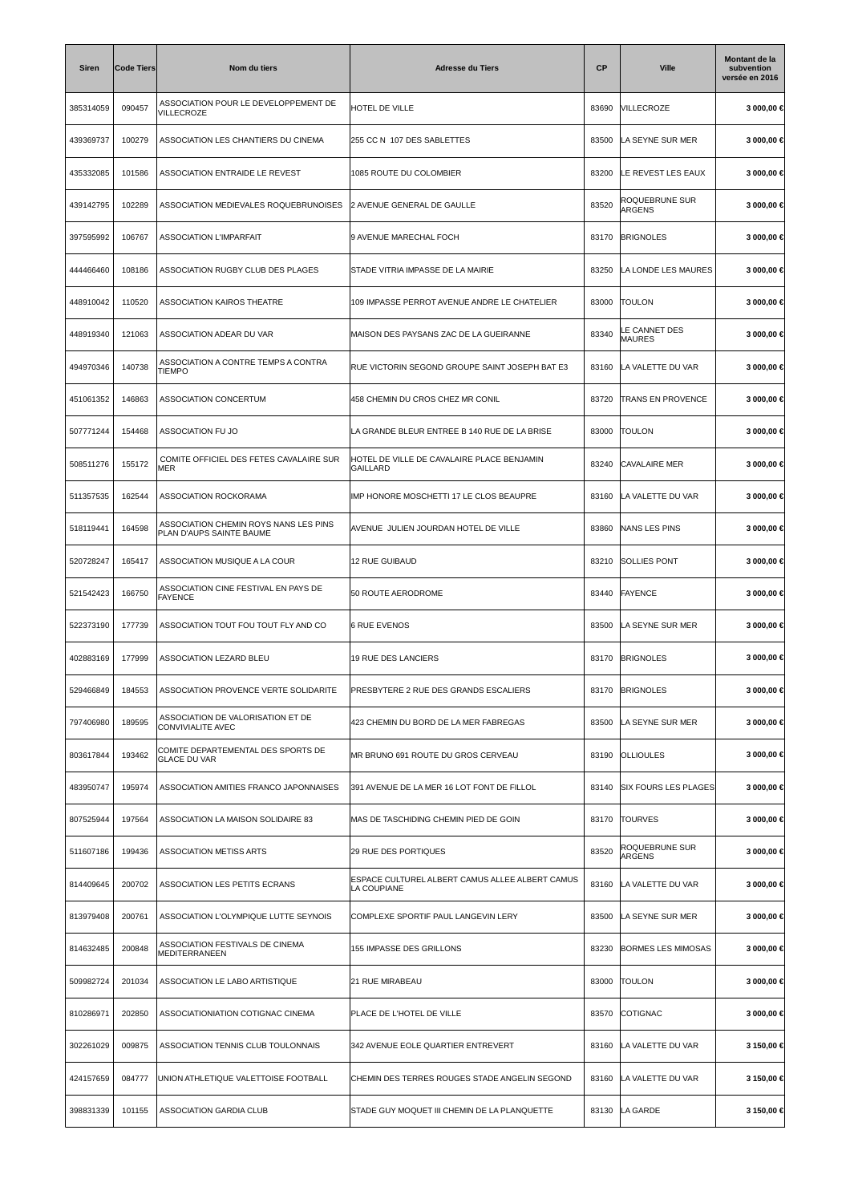| <b>Siren</b> | <b>Code Tiers</b> | Nom du tiers                                                      | <b>Adresse du Tiers</b>                                        | <b>CP</b> | <b>Ville</b>                | Montant de la<br>subvention<br>versée en 2016 |
|--------------|-------------------|-------------------------------------------------------------------|----------------------------------------------------------------|-----------|-----------------------------|-----------------------------------------------|
| 385314059    | 090457            | ASSOCIATION POUR LE DEVELOPPEMENT DE<br>VILLECROZE                | HOTEL DE VILLE                                                 | 83690     | VILLECROZE                  | 3 000,00 €                                    |
| 439369737    | 100279            | ASSOCIATION LES CHANTIERS DU CINEMA                               | 255 CC N 107 DES SABLETTES                                     | 83500     | LA SEYNE SUR MER            | 3 000,00 €                                    |
| 435332085    | 101586            | ASSOCIATION ENTRAIDE LE REVEST                                    | 1085 ROUTE DU COLOMBIER                                        | 83200     | LE REVEST LES EAUX          | 3 000,00 €                                    |
| 439142795    | 102289            | ASSOCIATION MEDIEVALES ROQUEBRUNOISES                             | 2 AVENUE GENERAL DE GAULLE                                     | 83520     | ROQUEBRUNE SUR<br>ARGENS    | 3 000,00 €                                    |
| 397595992    | 106767            | <b>ASSOCIATION L'IMPARFAIT</b>                                    | 9 AVENUE MARECHAL FOCH                                         | 83170     | <b>BRIGNOLES</b>            | 3 000,00 €                                    |
| 444466460    | 108186            | ASSOCIATION RUGBY CLUB DES PLAGES                                 | STADE VITRIA IMPASSE DE LA MAIRIE                              | 83250     | LA LONDE LES MAURES         | 3 000,00 €                                    |
| 448910042    | 110520            | ASSOCIATION KAIROS THEATRE                                        | 109 IMPASSE PERROT AVENUE ANDRE LE CHATELIER                   | 83000     | <b>TOULON</b>               | 3 000,00 €                                    |
| 448919340    | 121063            | ASSOCIATION ADEAR DU VAR                                          | MAISON DES PAYSANS ZAC DE LA GUEIRANNE                         | 83340     | LE CANNET DES<br>MAURES     | 3 000,00 €                                    |
| 494970346    | 140738            | ASSOCIATION A CONTRE TEMPS A CONTRA<br>TIEMPO                     | RUE VICTORIN SEGOND GROUPE SAINT JOSEPH BAT E3                 | 83160     | LA VALETTE DU VAR           | 3 000,00 €                                    |
| 451061352    | 146863            | <b>ASSOCIATION CONCERTUM</b>                                      | 458 CHEMIN DU CROS CHEZ MR CONIL                               | 83720     | <b>TRANS EN PROVENCE</b>    | 3 000,00 €                                    |
| 507771244    | 154468            | ASSOCIATION FU JO                                                 | LA GRANDE BLEUR ENTREE B 140 RUE DE LA BRISE                   | 83000     | <b>TOULON</b>               | 3 000,00 €                                    |
| 508511276    | 155172            | COMITE OFFICIEL DES FETES CAVALAIRE SUR<br>MER                    | HOTEL DE VILLE DE CAVALAIRE PLACE BENJAMIN<br><b>GAILLARD</b>  | 83240     | <b>CAVALAIRE MER</b>        | 3 000,00 €                                    |
| 511357535    | 162544            | ASSOCIATION ROCKORAMA                                             | IMP HONORE MOSCHETTI 17 LE CLOS BEAUPRE                        | 83160     | LA VALETTE DU VAR           | 3 000,00 €                                    |
| 518119441    | 164598            | ASSOCIATION CHEMIN ROYS NANS LES PINS<br>PLAN D'AUPS SAINTE BAUME | AVENUE JULIEN JOURDAN HOTEL DE VILLE                           | 83860     | NANS LES PINS               | 3 000,00 €                                    |
| 520728247    | 165417            | ASSOCIATION MUSIQUE A LA COUR                                     | 12 RUE GUIBAUD                                                 | 83210     | <b>SOLLIES PONT</b>         | 3 000,00 €                                    |
| 521542423    | 166750            | ASSOCIATION CINE FESTIVAL EN PAYS DE<br><b>FAYENCE</b>            | 50 ROUTE AERODROME                                             | 83440     | <b>FAYENCE</b>              | 3 000,00 €                                    |
| 522373190    | 177739            | ASSOCIATION TOUT FOU TOUT FLY AND CO                              | <b>6 RUE EVENOS</b>                                            | 83500     | LA SEYNE SUR MER            | 3 000,00 €                                    |
| 402883169    | 177999            | ASSOCIATION LEZARD BLEU                                           | 19 RUE DES LANCIERS                                            | 83170     | <b>BRIGNOLES</b>            | 3 000,00 €                                    |
| 529466849    | 184553            | ASSOCIATION PROVENCE VERTE SOLIDARITE                             | PRESBYTERE 2 RUE DES GRANDS ESCALIERS                          | 83170     | <b>BRIGNOLES</b>            | 3 000,00 ⊀                                    |
| 797406980    | 189595            | ASSOCIATION DE VALORISATION ET DE<br>CONVIVIALITE AVEC            | 423 CHEMIN DU BORD DE LA MER FABREGAS                          | 83500     | LA SEYNE SUR MER            | 3 000,00 €                                    |
| 803617844    | 193462            | COMITE DEPARTEMENTAL DES SPORTS DE<br><b>GLACE DU VAR</b>         | MR BRUNO 691 ROUTE DU GROS CERVEAU                             | 83190     | <b>OLLIOULES</b>            | 3 000,00 €                                    |
| 483950747    | 195974            | ASSOCIATION AMITIES FRANCO JAPONNAISES                            | 391 AVENUE DE LA MER 16 LOT FONT DE FILLOL                     | 83140     | <b>SIX FOURS LES PLAGES</b> | 3 000,00 €                                    |
| 807525944    | 197564            | ASSOCIATION LA MAISON SOLIDAIRE 83                                | MAS DE TASCHIDING CHEMIN PIED DE GOIN                          | 83170     | <b>TOURVES</b>              | 3 000,00 €                                    |
| 511607186    | 199436            | ASSOCIATION METISS ARTS                                           | 29 RUE DES PORTIQUES                                           | 83520     | ROQUEBRUNE SUR<br>ARGENS    | 3 000,00 €                                    |
| 814409645    | 200702            | ASSOCIATION LES PETITS ECRANS                                     | ESPACE CULTUREL ALBERT CAMUS ALLEE ALBERT CAMUS<br>LA COUPIANE | 83160     | LA VALETTE DU VAR           | 3 000,00 €                                    |
| 813979408    | 200761            | ASSOCIATION L'OLYMPIQUE LUTTE SEYNOIS                             | COMPLEXE SPORTIF PAUL LANGEVIN LERY                            | 83500     | LA SEYNE SUR MER            | 3 000,00 €                                    |
| 814632485    | 200848            | ASSOCIATION FESTIVALS DE CINEMA<br>MEDITERRANEEN                  | 155 IMPASSE DES GRILLONS                                       | 83230     | <b>BORMES LES MIMOSAS</b>   | 3 000,00 €                                    |
| 509982724    | 201034            | ASSOCIATION LE LABO ARTISTIQUE                                    | 21 RUE MIRABEAU                                                | 83000     | <b>TOULON</b>               | 3 000,00 €                                    |
| 810286971    | 202850            | ASSOCIATIONIATION COTIGNAC CINEMA                                 | PLACE DE L'HOTEL DE VILLE                                      | 83570     | COTIGNAC                    | 3 000,00 €                                    |
| 302261029    | 009875            | ASSOCIATION TENNIS CLUB TOULONNAIS                                | 342 AVENUE EOLE QUARTIER ENTREVERT                             | 83160     | LA VALETTE DU VAR           | 3 150,00 €                                    |
| 424157659    | 084777            | UNION ATHLETIQUE VALETTOISE FOOTBALL                              | CHEMIN DES TERRES ROUGES STADE ANGELIN SEGOND                  | 83160     | LA VALETTE DU VAR           | 3 150,00 €                                    |
| 398831339    | 101155            | ASSOCIATION GARDIA CLUB                                           | STADE GUY MOQUET III CHEMIN DE LA PLANQUETTE                   | 83130     | LA GARDE                    | 3 150,00 €                                    |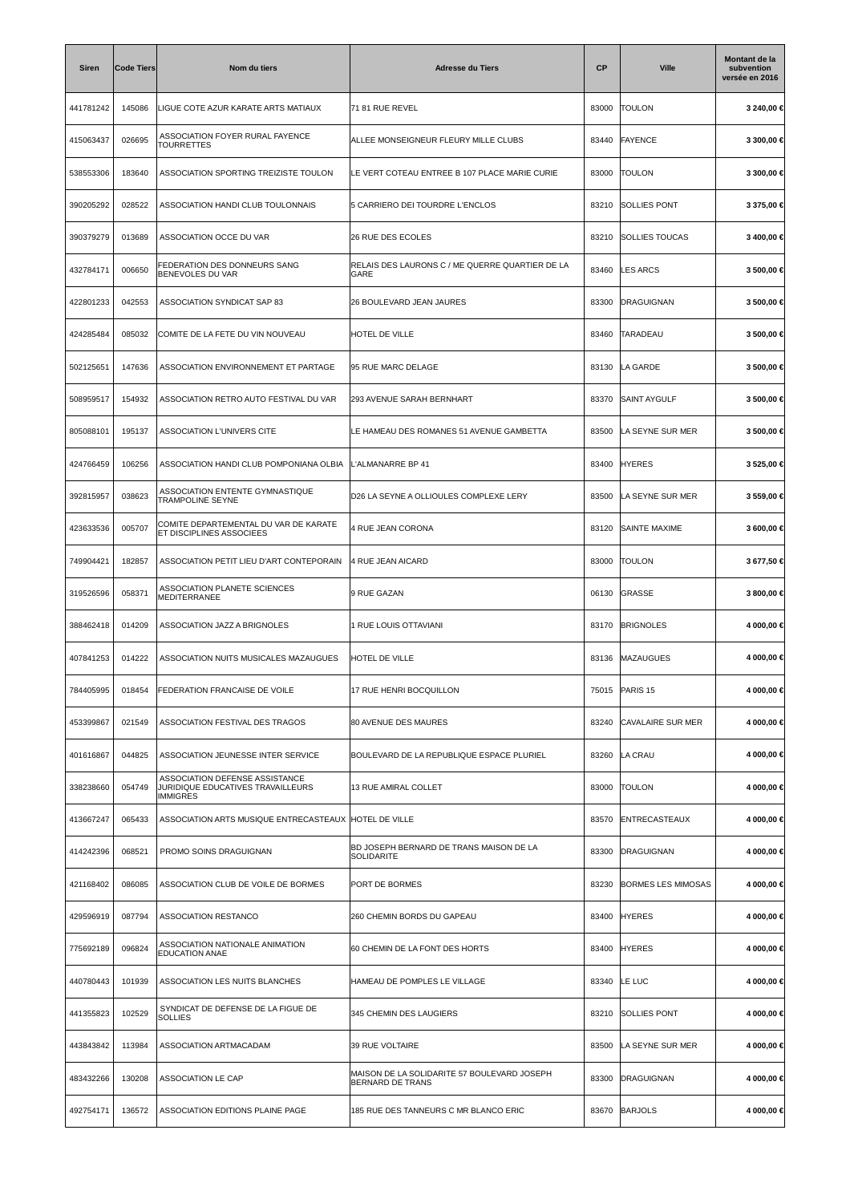| <b>Siren</b> | <b>Code Tiers</b> | Nom du tiers                                                                           | <b>Adresse du Tiers</b>                                                | <b>CP</b> | <b>Ville</b>              | Montant de la<br>subvention<br>versée en 2016 |
|--------------|-------------------|----------------------------------------------------------------------------------------|------------------------------------------------------------------------|-----------|---------------------------|-----------------------------------------------|
| 441781242    | 145086            | LIGUE COTE AZUR KARATE ARTS MATIAUX                                                    | 71 81 RUE REVEL                                                        | 83000     | <b>TOULON</b>             | 3 240,00 €                                    |
| 415063437    | 026695            | ASSOCIATION FOYER RURAL FAYENCE<br>TOURRETTES                                          | ALLEE MONSEIGNEUR FLEURY MILLE CLUBS                                   | 83440     | <b>FAYENCE</b>            | 3 300,00 €                                    |
| 538553306    | 183640            | ASSOCIATION SPORTING TREIZISTE TOULON                                                  | LE VERT COTEAU ENTREE B 107 PLACE MARIE CURIE                          | 83000     | <b>TOULON</b>             | 3 300,00 €                                    |
| 390205292    | 028522            | ASSOCIATION HANDI CLUB TOULONNAIS                                                      | 5 CARRIERO DEI TOURDRE L'ENCLOS                                        | 83210     | SOLLIES PONT              | 3 375,00 €                                    |
| 390379279    | 013689            | ASSOCIATION OCCE DU VAR                                                                | 26 RUE DES ECOLES                                                      | 83210     | <b>SOLLIES TOUCAS</b>     | 3 400,00 €                                    |
| 432784171    | 006650            | FEDERATION DES DONNEURS SANG<br><b>BENEVOLES DU VAR</b>                                | RELAIS DES LAURONS C / ME QUERRE QUARTIER DE LA<br>GARE                | 83460     | <b>LES ARCS</b>           | 3 500,00 €                                    |
| 422801233    | 042553            | ASSOCIATION SYNDICAT SAP 83                                                            | 26 BOULEVARD JEAN JAURES                                               | 83300     | DRAGUIGNAN                | 3 500,00 €                                    |
| 424285484    | 085032            | COMITE DE LA FETE DU VIN NOUVEAU                                                       | <b>HOTEL DE VILLE</b>                                                  | 83460     | <b>TARADEAU</b>           | 3 500,00 €                                    |
| 502125651    | 147636            | ASSOCIATION ENVIRONNEMENT ET PARTAGE                                                   | 95 RUE MARC DELAGE                                                     | 83130     | LA GARDE                  | 3 500,00 €                                    |
| 508959517    | 154932            | ASSOCIATION RETRO AUTO FESTIVAL DU VAR                                                 | 293 AVENUE SARAH BERNHART                                              | 83370     | <b>SAINT AYGULF</b>       | 3 500,00 €                                    |
| 805088101    | 195137            | ASSOCIATION L'UNIVERS CITE                                                             | LE HAMEAU DES ROMANES 51 AVENUE GAMBETTA                               | 83500     | LA SEYNE SUR MER          | 3 500,00 €                                    |
| 424766459    | 106256            | ASSOCIATION HANDI CLUB POMPONIANA OLBIA                                                | L'ALMANARRE BP 41                                                      | 83400     | <b>HYERES</b>             | 3 525,00 €                                    |
| 392815957    | 038623            | ASSOCIATION ENTENTE GYMNASTIQUE<br>TRAMPOLINE SEYNE                                    | D26 LA SEYNE A OLLIOULES COMPLEXE LERY                                 | 83500     | LA SEYNE SUR MER          | 3 559,00 €                                    |
| 423633536    | 005707            | COMITE DEPARTEMENTAL DU VAR DE KARATE<br>ET DISCIPLINES ASSOCIEES                      | 4 RUE JEAN CORONA                                                      | 83120     | SAINTE MAXIME             | 3 600,00 €                                    |
| 749904421    | 182857            | ASSOCIATION PETIT LIEU D'ART CONTEPORAIN                                               | 4 RUE JEAN AICARD                                                      | 83000     | <b>TOULON</b>             | 3 677,50 €                                    |
| 319526596    | 058371            | ASSOCIATION PLANETE SCIENCES<br>MEDITERRANEE                                           | 9 RUE GAZAN                                                            | 06130     | GRASSE                    | 3 800,00 €                                    |
| 388462418    | 014209            | ASSOCIATION JAZZ A BRIGNOLES                                                           | 1 RUE LOUIS OTTAVIANI                                                  | 83170     | <b>BRIGNOLES</b>          | 4 000,00 €                                    |
| 407841253    | 014222            | ASSOCIATION NUITS MUSICALES MAZAUGUES                                                  | <b>HOTEL DE VILLE</b>                                                  | 83136     | <b>MAZAUGUES</b>          | 4 000,00 €                                    |
| 784405995    | 018454            | <b>FEDERATION FRANCAISE DE VOILE</b>                                                   | 17 RUE HENRI BOCQUILLON                                                | 75015     | PARIS 15                  | 4 000,00 €                                    |
| 453399867    | 021549            | ASSOCIATION FESTIVAL DES TRAGOS                                                        | 80 AVENUE DES MAURES                                                   | 83240     | CAVALAIRE SUR MER         | 4 000,00 €                                    |
| 401616867    | 044825            | ASSOCIATION JEUNESSE INTER SERVICE                                                     | BOULEVARD DE LA REPUBLIQUE ESPACE PLURIEL                              | 83260     | LA CRAU                   | 4 000,00 €                                    |
| 338238660    | 054749            | ASSOCIATION DEFENSE ASSISTANCE<br>JURIDIQUE EDUCATIVES TRAVAILLEURS<br><b>IMMIGRES</b> | 13 RUE AMIRAL COLLET                                                   | 83000     | <b>TOULON</b>             | 4 000,00 €                                    |
| 413667247    | 065433            | ASSOCIATION ARTS MUSIQUE ENTRECASTEAUX HOTEL DE VILLE                                  |                                                                        | 83570     | ENTRECASTEAUX             | 4 000,00 €                                    |
| 414242396    | 068521            | PROMO SOINS DRAGUIGNAN                                                                 | BD JOSEPH BERNARD DE TRANS MAISON DE LA<br>SOLIDARITE                  | 83300     | DRAGUIGNAN                | 4 000,00 €                                    |
| 421168402    | 086085            | ASSOCIATION CLUB DE VOILE DE BORMES                                                    | PORT DE BORMES                                                         | 83230     | <b>BORMES LES MIMOSAS</b> | 4 000,00 €                                    |
| 429596919    | 087794            | ASSOCIATION RESTANCO                                                                   | 260 CHEMIN BORDS DU GAPEAU                                             | 83400     | <b>HYERES</b>             | 4 000,00 €                                    |
| 775692189    | 096824            | ASSOCIATION NATIONALE ANIMATION<br><b>EDUCATION ANAE</b>                               | 60 CHEMIN DE LA FONT DES HORTS                                         | 83400     | <b>HYERES</b>             | 4 000,00 €                                    |
| 440780443    | 101939            | ASSOCIATION LES NUITS BLANCHES                                                         | HAMEAU DE POMPLES LE VILLAGE                                           | 83340     | LE LUC                    | 4 000,00 €                                    |
| 441355823    | 102529            | SYNDICAT DE DEFENSE DE LA FIGUE DE<br>SOLLIES                                          | 345 CHEMIN DES LAUGIERS                                                | 83210     | <b>SOLLIES PONT</b>       | 4 000,00 €                                    |
| 443843842    | 113984            | ASSOCIATION ARTMACADAM                                                                 | 39 RUE VOLTAIRE                                                        | 83500     | LA SEYNE SUR MER          | 4 000,00 €                                    |
| 483432266    | 130208            | ASSOCIATION LE CAP                                                                     | MAISON DE LA SOLIDARITE 57 BOULEVARD JOSEPH<br><b>BERNARD DE TRANS</b> | 83300     | <b>DRAGUIGNAN</b>         | 4 000,00 €                                    |
| 492754171    | 136572            | ASSOCIATION EDITIONS PLAINE PAGE                                                       | 185 RUE DES TANNEURS C MR BLANCO ERIC                                  | 83670     | <b>BARJOLS</b>            | 4 000,00 €                                    |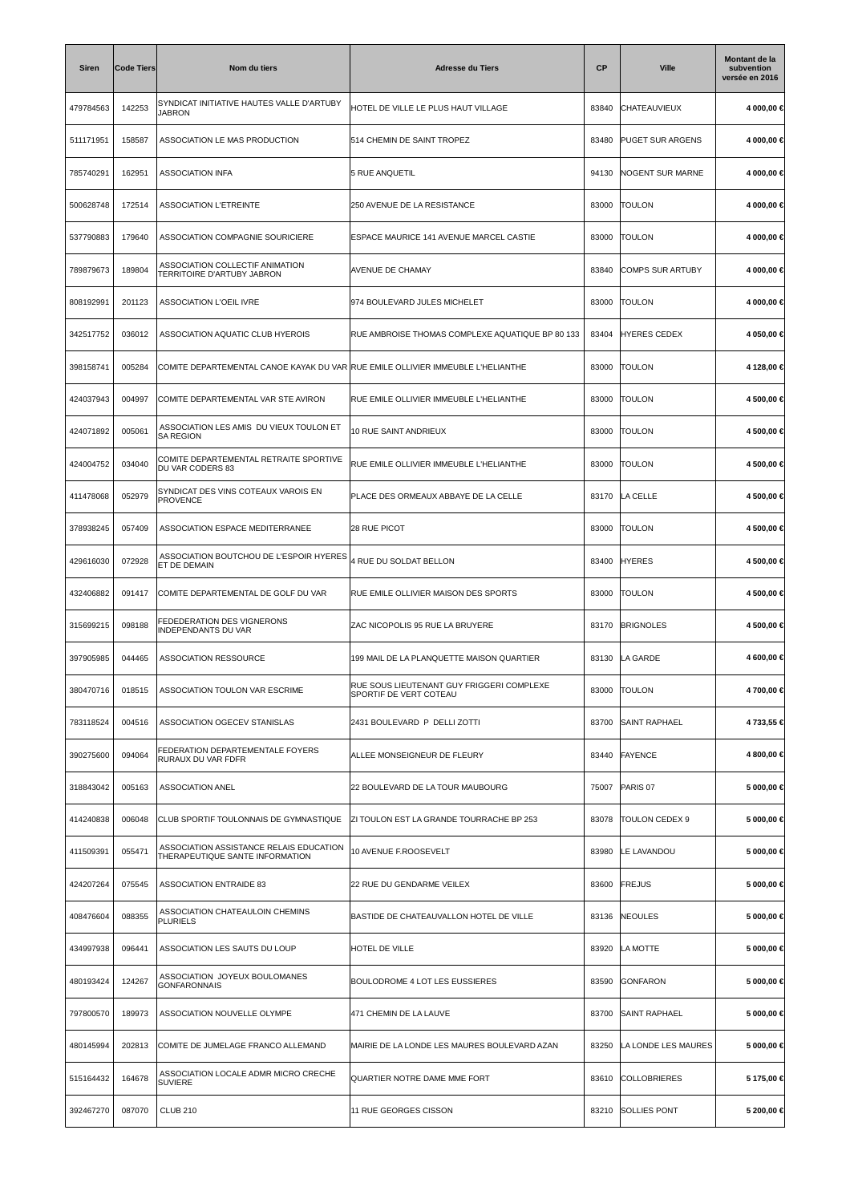| <b>Siren</b> | <b>Code Tiers</b> | Nom du tiers                                                                    | <b>Adresse du Tiers</b>                                             | <b>CP</b> | <b>Ville</b>            | Montant de la<br>subvention<br>versée en 2016 |
|--------------|-------------------|---------------------------------------------------------------------------------|---------------------------------------------------------------------|-----------|-------------------------|-----------------------------------------------|
| 479784563    | 142253            | SYNDICAT INITIATIVE HAUTES VALLE D'ARTUBY<br>JABRON                             | HOTEL DE VILLE LE PLUS HAUT VILLAGE                                 | 83840     | CHATEAUVIEUX            | 4 000,00 €                                    |
| 511171951    | 158587            | ASSOCIATION LE MAS PRODUCTION                                                   | 514 CHEMIN DE SAINT TROPEZ                                          | 83480     | PUGET SUR ARGENS        | 4 000,00 €                                    |
| 785740291    | 162951            | <b>ASSOCIATION INFA</b>                                                         | 5 RUE ANQUETIL                                                      | 94130     | NOGENT SUR MARNE        | 4 000,00 €                                    |
| 500628748    | 172514            | <b>ASSOCIATION L'ETREINTE</b>                                                   | 250 AVENUE DE LA RESISTANCE                                         | 83000     | <b>TOULON</b>           | 4 000,00 €                                    |
| 537790883    | 179640            | ASSOCIATION COMPAGNIE SOURICIERE                                                | ESPACE MAURICE 141 AVENUE MARCEL CASTIE                             | 83000     | <b>TOULON</b>           | 4 000,00 €                                    |
| 789879673    | 189804            | ASSOCIATION COLLECTIF ANIMATION<br>TERRITOIRE D'ARTUBY JABRON                   | AVENUE DE CHAMAY                                                    | 83840     | <b>COMPS SUR ARTUBY</b> | 4 000,00 €                                    |
| 808192991    | 201123            | <b>ASSOCIATION L'OEIL IVRE</b>                                                  | 974 BOULEVARD JULES MICHELET                                        | 83000     | <b>TOULON</b>           | 4 000,00 €                                    |
| 342517752    | 036012            | ASSOCIATION AQUATIC CLUB HYEROIS                                                | RUE AMBROISE THOMAS COMPLEXE AQUATIQUE BP 80 133                    | 83404     | <b>HYERES CEDEX</b>     | 4 050,00 €                                    |
| 398158741    | 005284            | COMITE DEPARTEMENTAL CANOE KAYAK DU VAR RUE EMILE OLLIVIER IMMEUBLE L'HELIANTHE |                                                                     | 83000     | <b>TOULON</b>           | 4 128,00 €                                    |
| 424037943    | 004997            | COMITE DEPARTEMENTAL VAR STE AVIRON                                             | RUE EMILE OLLIVIER IMMEUBLE L'HELIANTHE                             | 83000     | <b>TOULON</b>           | 4 500,00 €                                    |
| 424071892    | 005061            | ASSOCIATION LES AMIS DU VIEUX TOULON ET<br><b>SA REGION</b>                     | 10 RUE SAINT ANDRIEUX                                               | 83000     | <b>TOULON</b>           | 4 500,00 €                                    |
| 424004752    | 034040            | COMITE DEPARTEMENTAL RETRAITE SPORTIVE<br>DU VAR CODERS 83                      | RUE EMILE OLLIVIER IMMEUBLE L'HELIANTHE                             | 83000     | <b>TOULON</b>           | 4 500,00 €                                    |
| 411478068    | 052979            | SYNDICAT DES VINS COTEAUX VAROIS EN<br><b>PROVENCE</b>                          | PLACE DES ORMEAUX ABBAYE DE LA CELLE                                | 83170     | LA CELLE                | 4 500,00 €                                    |
| 378938245    | 057409            | ASSOCIATION ESPACE MEDITERRANEE                                                 | 28 RUE PICOT                                                        | 83000     | <b>TOULON</b>           | 4 500,00 €                                    |
| 429616030    | 072928            | ASSOCIATION BOUTCHOU DE L'ESPOIR HYERES<br>ET DE DEMAIN                         | 4 RUE DU SOLDAT BELLON                                              | 83400     | <b>HYERES</b>           | 4 500,00 €                                    |
| 432406882    | 091417            | COMITE DEPARTEMENTAL DE GOLF DU VAR                                             | RUE EMILE OLLIVIER MAISON DES SPORTS                                | 83000     | <b>TOULON</b>           | 4 500,00 €                                    |
| 315699215    | 098188            | FEDEDERATION DES VIGNERONS<br>INDEPENDANTS DU VAR                               | ZAC NICOPOLIS 95 RUE LA BRUYERE                                     | 83170     | <b>BRIGNOLES</b>        | 4 500,00 €                                    |
| 397905985    | 044465            | <b>ASSOCIATION RESSOURCE</b>                                                    | 199 MAIL DE LA PLANQUETTE MAISON QUARTIER                           | 83130     | LA GARDE                | 4 600,00 €                                    |
| 380470716    | 018515            | ASSOCIATION TOULON VAR ESCRIME                                                  | RUE SOUS LIEUTENANT GUY FRIGGERI COMPLEXE<br>SPORTIF DE VERT COTEAU | 83000     | <b>TOULON</b>           | 4 700,00 €                                    |
| 783118524    | 004516            | ASSOCIATION OGECEV STANISLAS                                                    | 2431 BOULEVARD P DELLI ZOTTI                                        | 83700     | <b>SAINT RAPHAEL</b>    | 4 733,55 €                                    |
| 390275600    | 094064            | FEDERATION DEPARTEMENTALE FOYERS<br>RURAUX DU VAR FDFR                          | ALLEE MONSEIGNEUR DE FLEURY                                         | 83440     | FAYENCE                 | 4 800,00 €                                    |
| 318843042    | 005163            | <b>ASSOCIATION ANEL</b>                                                         | 22 BOULEVARD DE LA TOUR MAUBOURG                                    | 75007     | PARIS 07                | 5 000,00 €                                    |
| 414240838    | 006048            | CLUB SPORTIF TOULONNAIS DE GYMNASTIQUE                                          | ZI TOULON EST LA GRANDE TOURRACHE BP 253                            | 83078     | TOULON CEDEX 9          | 5 000,00 €                                    |
| 411509391    | 055471            | ASSOCIATION ASSISTANCE RELAIS EDUCATION<br>THERAPEUTIQUE SANTE INFORMATION      | 10 AVENUE F.ROOSEVELT                                               | 83980     | LE LAVANDOU             | 5 000,00 €                                    |
| 424207264    | 075545            | <b>ASSOCIATION ENTRAIDE 83</b>                                                  | 22 RUE DU GENDARME VEILEX                                           | 83600     | FREJUS                  | 5 000,00 €                                    |
| 408476604    | 088355            | ASSOCIATION CHATEAULOIN CHEMINS<br><b>PLURIELS</b>                              | BASTIDE DE CHATEAUVALLON HOTEL DE VILLE                             | 83136     | NEOULES                 | 5 000,00 €                                    |
| 434997938    | 096441            | ASSOCIATION LES SAUTS DU LOUP                                                   | HOTEL DE VILLE                                                      | 83920     | LA MOTTE                | 5 000,00 €                                    |
| 480193424    | 124267            | ASSOCIATION JOYEUX BOULOMANES<br><b>GONFARONNAIS</b>                            | BOULODROME 4 LOT LES EUSSIERES                                      | 83590     | <b>GONFARON</b>         | 5 000,00 €                                    |
| 797800570    | 189973            | ASSOCIATION NOUVELLE OLYMPE                                                     | 471 CHEMIN DE LA LAUVE                                              | 83700     | <b>SAINT RAPHAEL</b>    | 5 000,00 €                                    |
| 480145994    | 202813            | COMITE DE JUMELAGE FRANCO ALLEMAND                                              | MAIRIE DE LA LONDE LES MAURES BOULEVARD AZAN                        | 83250     | LA LONDE LES MAURES     | 5 000,00 €                                    |
| 515164432    | 164678            | ASSOCIATION LOCALE ADMR MICRO CRECHE<br><b>SUVIERE</b>                          | QUARTIER NOTRE DAME MME FORT                                        | 83610     | <b>COLLOBRIERES</b>     | 5 175,00 €                                    |
| 392467270    | 087070            | <b>CLUB 210</b>                                                                 | 11 RUE GEORGES CISSON                                               | 83210     | <b>SOLLIES PONT</b>     | 5 200,00 €                                    |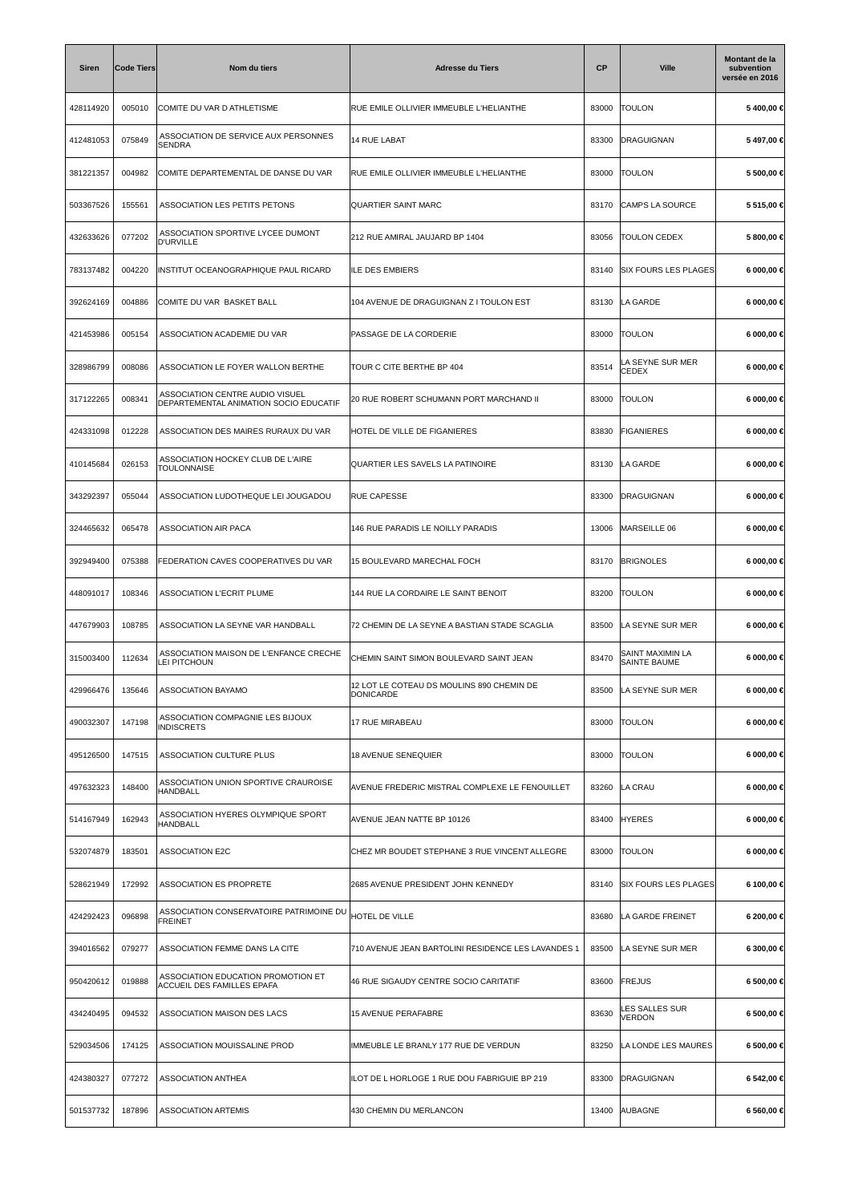| <b>Siren</b> | <b>Code Tiers</b> | Nom du tiers                                                              | <b>Adresse du Tiers</b>                                | СP    | <b>Ville</b>                            | Montant de la<br>subvention<br>versée en 2016 |
|--------------|-------------------|---------------------------------------------------------------------------|--------------------------------------------------------|-------|-----------------------------------------|-----------------------------------------------|
| 428114920    | 005010            | COMITE DU VAR D ATHLETISME                                                | RUE EMILE OLLIVIER IMMEUBLE L'HELIANTHE                | 83000 | <b>TOULON</b>                           | 5400,00€                                      |
| 412481053    | 075849            | ASSOCIATION DE SERVICE AUX PERSONNES<br>SENDRA                            | 14 RUE LABAT                                           | 83300 | DRAGUIGNAN                              | 5497,00€                                      |
| 381221357    | 004982            | COMITE DEPARTEMENTAL DE DANSE DU VAR                                      | RUE EMILE OLLIVIER IMMEUBLE L'HELIANTHE                | 83000 | <b>TOULON</b>                           | 5 500,00 €                                    |
| 503367526    | 155561            | ASSOCIATION LES PETITS PETONS                                             | <b>QUARTIER SAINT MARC</b>                             | 83170 | CAMPS LA SOURCE                         | 5 515,00 €                                    |
| 432633626    | 077202            | ASSOCIATION SPORTIVE LYCEE DUMONT<br><b>D'URVILLE</b>                     | 212 RUE AMIRAL JAUJARD BP 1404                         | 83056 | <b>TOULON CEDEX</b>                     | 5 800,00 €                                    |
| 783137482    | 004220            | INSTITUT OCEANOGRAPHIQUE PAUL RICARD                                      | <b>ILE DES EMBIERS</b>                                 | 83140 | <b>SIX FOURS LES PLAGES</b>             | 6 000,00 €                                    |
| 392624169    | 004886            | COMITE DU VAR BASKET BALL                                                 | 104 AVENUE DE DRAGUIGNAN Z I TOULON EST                | 83130 | LA GARDE                                | 6 000,00 €                                    |
| 421453986    | 005154            | ASSOCIATION ACADEMIE DU VAR                                               | PASSAGE DE LA CORDERIE                                 | 83000 | <b>TOULON</b>                           | 6 000,00 €                                    |
| 328986799    | 008086            | ASSOCIATION LE FOYER WALLON BERTHE                                        | TOUR C CITE BERTHE BP 404                              | 83514 | LA SEYNE SUR MER<br><b>CEDEX</b>        | 6 000,00 €                                    |
| 317122265    | 008341            | ASSOCIATION CENTRE AUDIO VISUEL<br>DEPARTEMENTAL ANIMATION SOCIO EDUCATIF | 20 RUE ROBERT SCHUMANN PORT MARCHAND II                | 83000 | <b>TOULON</b>                           | 6 000,00 €                                    |
| 424331098    | 012228            | ASSOCIATION DES MAIRES RURAUX DU VAR                                      | HOTEL DE VILLE DE FIGANIERES                           | 83830 | <b>FIGANIERES</b>                       | 6 000,00 €                                    |
| 410145684    | 026153            | ASSOCIATION HOCKEY CLUB DE L'AIRE<br>TOULONNAISE                          | QUARTIER LES SAVELS LA PATINOIRE                       | 83130 | LA GARDE                                | 6 000,00 €                                    |
| 343292397    | 055044            | ASSOCIATION LUDOTHEQUE LEI JOUGADOU                                       | <b>RUE CAPESSE</b>                                     | 83300 | DRAGUIGNAN                              | 6 000,00 €                                    |
| 324465632    | 065478            | ASSOCIATION AIR PACA                                                      | 146 RUE PARADIS LE NOILLY PARADIS                      | 13006 | MARSEILLE 06                            | 6 000,00 €                                    |
| 392949400    | 075388            | FEDERATION CAVES COOPERATIVES DU VAR                                      | 15 BOULEVARD MARECHAL FOCH                             | 83170 | <b>BRIGNOLES</b>                        | 6 000,00 €                                    |
| 448091017    | 108346            | <b>ASSOCIATION L'ECRIT PLUME</b>                                          | 144 RUE LA CORDAIRE LE SAINT BENOIT                    | 83200 | <b>TOULON</b>                           | 6 000,00 €                                    |
| 447679903    | 108785            | ASSOCIATION LA SEYNE VAR HANDBALL                                         | 72 CHEMIN DE LA SEYNE A BASTIAN STADE SCAGLIA          | 83500 | LA SEYNE SUR MER                        | 6 000,00 €                                    |
| 315003400    | 112634            | ASSOCIATION MAISON DE L'ENFANCE CRECHE<br><b>LEI PITCHOUN</b>             | CHEMIN SAINT SIMON BOULEVARD SAINT JEAN                | 83470 | SAINT MAXIMIN LA<br><b>SAINTE BAUME</b> | 6 000,00 €                                    |
| 429966476    | 135646            | ASSOCIATION BAYAMO                                                        | 12 LOT LE COTEAU DS MOULINS 890 CHEMIN DE<br>DONICARDE | 83500 | LA SEYNE SUR MER                        | 6 000,00 €                                    |
| 490032307    | 147198            | ASSOCIATION COMPAGNIE LES BIJOUX<br><b>INDISCRETS</b>                     | 17 RUE MIRABEAU                                        | 83000 | <b>TOULON</b>                           | 6 000,00 €                                    |
| 495126500    | 147515            | ASSOCIATION CULTURE PLUS                                                  | 18 AVENUE SENEQUIER                                    | 83000 | <b>TOULON</b>                           | 6 000,00 €                                    |
| 497632323    | 148400            | ASSOCIATION UNION SPORTIVE CRAUROISE<br><b>HANDBALL</b>                   | AVENUE FREDERIC MISTRAL COMPLEXE LE FENOUILLET         | 83260 | LA CRAU                                 | 6 000,00 €                                    |
| 514167949    | 162943            | ASSOCIATION HYERES OLYMPIQUE SPORT<br>HANDBALL                            | AVENUE JEAN NATTE BP 10126                             | 83400 | <b>HYERES</b>                           | $6000,00 \in$                                 |
| 532074879    | 183501            | <b>ASSOCIATION E2C</b>                                                    | CHEZ MR BOUDET STEPHANE 3 RUE VINCENT ALLEGRE          | 83000 | <b>TOULON</b>                           | 6 000,00 €                                    |
| 528621949    | 172992            | ASSOCIATION ES PROPRETE                                                   | 2685 AVENUE PRESIDENT JOHN KENNEDY                     | 83140 | <b>SIX FOURS LES PLAGES</b>             | 6 100,00 €                                    |
| 424292423    | 096898            | ASSOCIATION CONSERVATOIRE PATRIMOINE DU<br><b>FREINET</b>                 | <b>HOTEL DE VILLE</b>                                  | 83680 | LA GARDE FREINET                        | 6 200,00 €                                    |
| 394016562    | 079277            | ASSOCIATION FEMME DANS LA CITE                                            | 710 AVENUE JEAN BARTOLINI RESIDENCE LES LAVANDES 1     | 83500 | LA SEYNE SUR MER                        | 6 300,00 €                                    |
| 950420612    | 019888            | ASSOCIATION EDUCATION PROMOTION ET<br>ACCUEIL DES FAMILLES EPAFA          | 46 RUE SIGAUDY CENTRE SOCIO CARITATIF                  | 83600 | <b>FREJUS</b>                           | 6 500,00 €                                    |
| 434240495    | 094532            | ASSOCIATION MAISON DES LACS                                               | 15 AVENUE PERAFABRE                                    | 83630 | LES SALLES SUR<br>VERDON                | 6 500,00 €                                    |
| 529034506    | 174125            | ASSOCIATION MOUISSALINE PROD                                              | IMMEUBLE LE BRANLY 177 RUE DE VERDUN                   | 83250 | LA LONDE LES MAURES                     | 6 500,00 €                                    |
| 424380327    | 077272            | ASSOCIATION ANTHEA                                                        | ILOT DE L HORLOGE 1 RUE DOU FABRIGUIE BP 219           | 83300 | DRAGUIGNAN                              | 6 542,00 €                                    |
| 501537732    | 187896            | <b>ASSOCIATION ARTEMIS</b>                                                | 430 CHEMIN DU MERLANCON                                | 13400 | AUBAGNE                                 | 6 560,00 €                                    |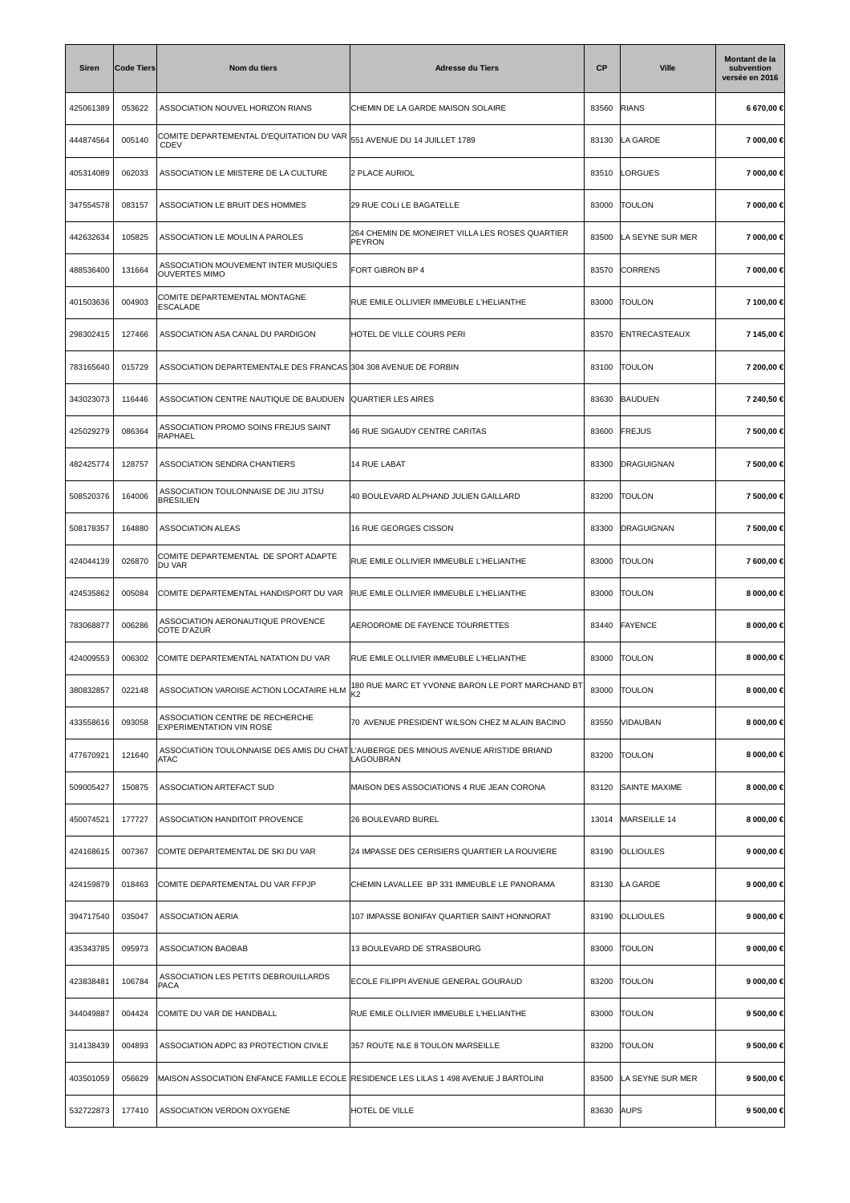| <b>Siren</b> | <b>Code Tiers</b> | Nom du tiers                                                       | <b>Adresse du Tiers</b>                                                                                                                                            | <b>CP</b> | <b>Ville</b>      | Montant de la<br>subvention<br>versée en 2016 |
|--------------|-------------------|--------------------------------------------------------------------|--------------------------------------------------------------------------------------------------------------------------------------------------------------------|-----------|-------------------|-----------------------------------------------|
| 425061389    | 053622            | ASSOCIATION NOUVEL HORIZON RIANS                                   | CHEMIN DE LA GARDE MAISON SOLAIRE                                                                                                                                  | 83560     | <b>RIANS</b>      | 6 670,00 €                                    |
| 444874564    | 005140            | COMITE DEPARTEMENTAL D'EQUITATION DU VAR<br>CDEV                   | 551 AVENUE DU 14 JUILLET 1789                                                                                                                                      | 83130     | LA GARDE          | 7 000,00 €                                    |
| 405314089    | 062033            | ASSOCIATION LE MIISTERE DE LA CULTURE                              | 2 PLACE AURIOL                                                                                                                                                     | 83510     | LORGUES           | 7 000,00 €                                    |
| 347554578    | 083157            | ASSOCIATION LE BRUIT DES HOMMES                                    | 29 RUE COLI LE BAGATELLE                                                                                                                                           | 83000     | <b>TOULON</b>     | 7 000,00 €                                    |
| 442632634    | 105825            | ASSOCIATION LE MOULIN A PAROLES                                    | 264 CHEMIN DE MONEIRET VILLA LES ROSES QUARTIER<br>PEYRON                                                                                                          | 83500     | LA SEYNE SUR MER  | 7 000,00 €                                    |
| 488536400    | 131664            | ASSOCIATION MOUVEMENT INTER MUSIQUES<br><b>OUVERTES MIMO</b>       | FORT GIBRON BP 4                                                                                                                                                   | 83570     | <b>CORRENS</b>    | 7 000,00 €                                    |
| 401503636    | 004903            | COMITE DEPARTEMENTAL MONTAGNE<br><b>ESCALADE</b>                   | RUE EMILE OLLIVIER IMMEUBLE L'HELIANTHE                                                                                                                            | 83000     | <b>TOULON</b>     | 7 100,00 €                                    |
| 298302415    | 127466            | ASSOCIATION ASA CANAL DU PARDIGON                                  | HOTEL DE VILLE COURS PERI                                                                                                                                          | 83570     | ENTRECASTEAUX     | 7 145,00 €                                    |
| 783165640    | 015729            | ASSOCIATION DEPARTEMENTALE DES FRANCAS 304 308 AVENUE DE FORBIN    |                                                                                                                                                                    | 83100     | <b>TOULON</b>     | 7 200,00 €                                    |
| 343023073    | 116446            | ASSOCIATION CENTRE NAUTIQUE DE BAUDUEN                             | <b>QUARTIER LES AIRES</b>                                                                                                                                          | 83630     | <b>BAUDUEN</b>    | 7 240,50 €                                    |
| 425029279    | 086364            | ASSOCIATION PROMO SOINS FREJUS SAINT<br>RAPHAEL                    | <b>46 RUE SIGAUDY CENTRE CARITAS</b>                                                                                                                               | 83600     | FREJUS            | 7 500,00 €                                    |
| 482425774    | 128757            | ASSOCIATION SENDRA CHANTIERS                                       | <b>14 RUE LABAT</b>                                                                                                                                                | 83300     | <b>DRAGUIGNAN</b> | 7 500,00 €                                    |
| 508520376    | 164006            | ASSOCIATION TOULONNAISE DE JIU JITSU<br><b>BRESILIEN</b>           | 40 BOULEVARD ALPHAND JULIEN GAILLARD                                                                                                                               | 83200     | <b>TOULON</b>     | 7 500,00 €                                    |
| 508178357    | 164880            | <b>ASSOCIATION ALEAS</b>                                           | 16 RUE GEORGES CISSON                                                                                                                                              | 83300     | DRAGUIGNAN        | 7 500,00 €                                    |
| 424044139    | 026870            | COMITE DEPARTEMENTAL DE SPORT ADAPTE<br>DU VAR                     | RUE EMILE OLLIVIER IMMEUBLE L'HELIANTHE                                                                                                                            | 83000     | <b>TOULON</b>     | 7 600,00 €                                    |
| 424535862    | 005084            | COMITE DEPARTEMENTAL HANDISPORT DU VAR                             | RUE EMILE OLLIVIER IMMEUBLE L'HELIANTHE                                                                                                                            | 83000     | <b>TOULON</b>     | 8 000,00 €                                    |
| 783068877    | 006286            | ASSOCIATION AERONAUTIQUE PROVENCE<br><b>COTE D'AZUR</b>            | AERODROME DE FAYENCE TOURRETTES                                                                                                                                    | 83440     | <b>FAYENCE</b>    | 8 000,00 €                                    |
| 424009553    | 006302            | COMITE DEPARTEMENTAL NATATION DU VAR                               | RUE EMILE OLLIVIER IMMEUBLE L'HELIANTHE                                                                                                                            | 83000     | <b>TOULON</b>     | 8 000,00 €                                    |
| 380832857    | 022148            |                                                                    | ASSOCIATION VAROISE ACTION LOCATAIRE HLM $\begin{vmatrix} 180 \text{ RUE} \text{ MARC ET } Y \text{VONNE } \text{BARON LE PORT MARCHAND } \text{BT} \end{vmatrix}$ | 83000     | <b>TOULON</b>     | 8 000,00 €                                    |
| 433558616    | 093058            | ASSOCIATION CENTRE DE RECHERCHE<br><b>EXPERIMENTATION VIN ROSE</b> | 70 AVENUE PRESIDENT WILSON CHEZ MALAIN BACINO                                                                                                                      | 83550     | VIDAUBAN          | 8 000,00 €                                    |
| 477670921    | 121640            | <b>ATAC</b>                                                        | ASSOCIATION TOULONNAISE DES AMIS DU CHAT L'AUBERGE DES MINOUS AVENUE ARISTIDE BRIAND<br>LAGOUBRAN                                                                  | 83200     | <b>TOULON</b>     | 8 000,00 €                                    |
| 509005427    | 150875            | ASSOCIATION ARTEFACT SUD                                           | MAISON DES ASSOCIATIONS 4 RUE JEAN CORONA                                                                                                                          | 83120     | SAINTE MAXIME     | 8 000,00 €                                    |
| 450074521    | 177727            | ASSOCIATION HANDITOIT PROVENCE                                     | 26 BOULEVARD BUREL                                                                                                                                                 | 13014     | MARSEILLE 14      | 8 000,00 €                                    |
| 424168615    | 007367            | COMTE DEPARTEMENTAL DE SKI DU VAR                                  | 24 IMPASSE DES CERISIERS QUARTIER LA ROUVIERE                                                                                                                      | 83190     | <b>OLLIOULES</b>  | 9 000,00 €                                    |
| 424159879    | 018463            | COMITE DEPARTEMENTAL DU VAR FFPJP                                  | CHEMIN LAVALLEE BP 331 IMMEUBLE LE PANORAMA                                                                                                                        | 83130     | LA GARDE          | 9 000,00 €                                    |
| 394717540    | 035047            | <b>ASSOCIATION AERIA</b>                                           | 107 IMPASSE BONIFAY QUARTIER SAINT HONNORAT                                                                                                                        | 83190     | <b>OLLIOULES</b>  | 9 000,00 €                                    |
| 435343785    | 095973            | ASSOCIATION BAOBAB                                                 | 13 BOULEVARD DE STRASBOURG                                                                                                                                         | 83000     | <b>TOULON</b>     | 9 000,00 €                                    |
| 423838481    | 106784            | ASSOCIATION LES PETITS DEBROUILLARDS<br>PACA                       | ECOLE FILIPPI AVENUE GENERAL GOURAUD                                                                                                                               | 83200     | <b>TOULON</b>     | 9 000,00 €                                    |
| 344049887    | 004424            | COMITE DU VAR DE HANDBALL                                          | RUE EMILE OLLIVIER IMMEUBLE L'HELIANTHE                                                                                                                            | 83000     | <b>TOULON</b>     | 9 500,00 €                                    |
| 314138439    | 004893            | ASSOCIATION ADPC 83 PROTECTION CIVILE                              | 357 ROUTE NLE 8 TOULON MARSEILLE                                                                                                                                   | 83200     | <b>TOULON</b>     | 9 500,00 €                                    |
| 403501059    | 056629            |                                                                    | MAISON ASSOCIATION ENFANCE FAMILLE ECOLE RESIDENCE LES LILAS 1 498 AVENUE J BARTOLINI                                                                              | 83500     | LA SEYNE SUR MER  | 9 500,00 €                                    |
| 532722873    | 177410            | ASSOCIATION VERDON OXYGENE                                         | HOTEL DE VILLE                                                                                                                                                     | 83630     | <b>AUPS</b>       | 9 500,00 €                                    |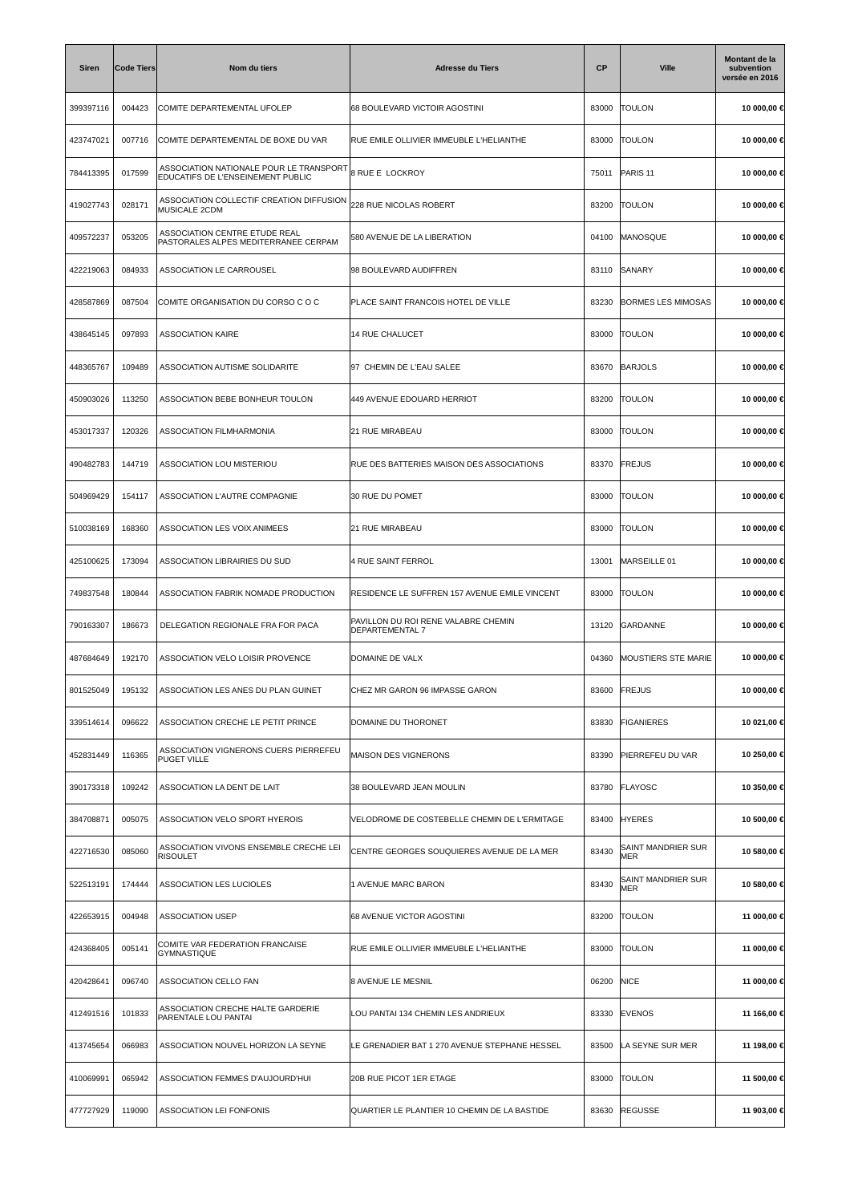| <b>Siren</b> | <b>Code Tiers</b> | Nom du tiers                                                                 | <b>Adresse du Tiers</b>                                | СP    | <b>Ville</b>               | Montant de la<br>subvention<br>versée en 2016 |
|--------------|-------------------|------------------------------------------------------------------------------|--------------------------------------------------------|-------|----------------------------|-----------------------------------------------|
| 399397116    | 004423            | COMITE DEPARTEMENTAL UFOLEP                                                  | 68 BOULEVARD VICTOIR AGOSTINI                          | 83000 | <b>TOULON</b>              | 10 000,00 €                                   |
| 423747021    | 007716            | COMITE DEPARTEMENTAL DE BOXE DU VAR                                          | RUE EMILE OLLIVIER IMMEUBLE L'HELIANTHE                | 83000 | <b>TOULON</b>              | 10 000,00 €                                   |
| 784413395    | 017599            | ASSOCIATION NATIONALE POUR LE TRANSPORT<br>EDUCATIFS DE L'ENSEINEMENT PUBLIC | <b>8 RUE E LOCKROY</b>                                 | 75011 | PARIS <sub>11</sub>        | 10 000,00 €                                   |
| 419027743    | 028171            | ASSOCIATION COLLECTIF CREATION DIFFUSION<br>MUSICALE 2CDM                    | 228 RUE NICOLAS ROBERT                                 | 83200 | <b>TOULON</b>              | 10 000,00 €                                   |
| 409572237    | 053205            | ASSOCIATION CENTRE ETUDE REAL<br>PASTORALES ALPES MEDITERRANEE CERPAM        | 580 AVENUE DE LA LIBERATION                            | 04100 | MANOSQUE                   | 10 000,00 €                                   |
| 422219063    | 084933            | ASSOCIATION LE CARROUSEL                                                     | 98 BOULEVARD AUDIFFREN                                 | 83110 | SANARY                     | 10 000,00 €                                   |
| 428587869    | 087504            | COMITE ORGANISATION DU CORSO C O C                                           | PLACE SAINT FRANCOIS HOTEL DE VILLE                    | 83230 | <b>BORMES LES MIMOSAS</b>  | 10 000,00 €                                   |
| 438645145    | 097893            | <b>ASSOCIATION KAIRE</b>                                                     | <b>14 RUE CHALUCET</b>                                 | 83000 | <b>TOULON</b>              | 10 000,00 €                                   |
| 448365767    | 109489            | ASSOCIATION AUTISME SOLIDARITE                                               | 97 CHEMIN DE L'EAU SALEE                               | 83670 | <b>BARJOLS</b>             | 10 000,00 €                                   |
| 450903026    | 113250            | ASSOCIATION BEBE BONHEUR TOULON                                              | 449 AVENUE EDOUARD HERRIOT                             | 83200 | <b>TOULON</b>              | 10 000,00 €                                   |
| 453017337    | 120326            | ASSOCIATION FILMHARMONIA                                                     | 21 RUE MIRABEAU                                        | 83000 | <b>TOULON</b>              | 10 000,00 €                                   |
| 490482783    | 144719            | ASSOCIATION LOU MISTERIOU                                                    | RUE DES BATTERIES MAISON DES ASSOCIATIONS              | 83370 | <b>FREJUS</b>              | 10 000,00 €                                   |
| 504969429    | 154117            | ASSOCIATION L'AUTRE COMPAGNIE                                                | 30 RUE DU POMET                                        | 83000 | <b>TOULON</b>              | 10 000,00 €                                   |
| 510038169    | 168360            | ASSOCIATION LES VOIX ANIMEES                                                 | 21 RUE MIRABEAU                                        | 83000 | <b>TOULON</b>              | 10 000,00 €                                   |
| 425100625    | 173094            | ASSOCIATION LIBRAIRIES DU SUD                                                | 4 RUE SAINT FERROL                                     | 13001 | MARSEILLE 01               | 10 000,00 €                                   |
| 749837548    | 180844            | ASSOCIATION FABRIK NOMADE PRODUCTION                                         | RESIDENCE LE SUFFREN 157 AVENUE EMILE VINCENT          | 83000 | <b>TOULON</b>              | 10 000,00 €                                   |
| 790163307    | 186673            | DELEGATION REGIONALE FRA FOR PACA                                            | PAVILLON DU ROI RENE VALABRE CHEMIN<br>DEPARTEMENTAL 7 | 13120 | GARDANNE                   | 10 000,00 €                                   |
| 487684649    | 192170            | ASSOCIATION VELO LOISIR PROVENCE                                             | DOMAINE DE VALX                                        | 04360 | <b>MOUSTIERS STE MARIE</b> | 10 000,00 €                                   |
| 801525049    | 195132            | ASSOCIATION LES ANES DU PLAN GUINET                                          | CHEZ MR GARON 96 IMPASSE GARON                         | 83600 | FREJUS                     | 10 000,00 €                                   |
| 339514614    | 096622            | ASSOCIATION CRECHE LE PETIT PRINCE                                           | DOMAINE DU THORONET                                    | 83830 | <b>FIGANIERES</b>          | 10 021,00 €                                   |
| 452831449    | 116365            | ASSOCIATION VIGNERONS CUERS PIERREFEU<br><b>PUGET VILLE</b>                  | MAISON DES VIGNERONS                                   | 83390 | PIERREFEU DU VAR           | 10 250,00 €                                   |
| 390173318    | 109242            | ASSOCIATION LA DENT DE LAIT                                                  | 38 BOULEVARD JEAN MOULIN                               | 83780 | FLAYOSC                    | 10 350,00 €                                   |
| 384708871    | 005075            | ASSOCIATION VELO SPORT HYEROIS                                               | VELODROME DE COSTEBELLE CHEMIN DE L'ERMITAGE           | 83400 | <b>HYERES</b>              | 10 500,00 €                                   |
| 422716530    | 085060            | ASSOCIATION VIVONS ENSEMBLE CRECHE LEI<br><b>RISOULET</b>                    | CENTRE GEORGES SOUQUIERES AVENUE DE LA MER             | 83430 | SAINT MANDRIER SUR<br>MER  | 10 580,00 €                                   |
| 522513191    | 174444            | ASSOCIATION LES LUCIOLES                                                     | 1 AVENUE MARC BARON                                    | 83430 | SAINT MANDRIER SUR<br>MER  | 10 580,00 €                                   |
| 422653915    | 004948            | <b>ASSOCIATION USEP</b>                                                      | 68 AVENUE VICTOR AGOSTINI                              | 83200 | <b>TOULON</b>              | 11 000,00 €                                   |
| 424368405    | 005141            | COMITE VAR FEDERATION FRANCAISE<br><b>GYMNASTIQUE</b>                        | RUE EMILE OLLIVIER IMMEUBLE L'HELIANTHE                | 83000 | <b>TOULON</b>              | 11 000,00 €                                   |
| 420428641    | 096740            | ASSOCIATION CELLO FAN                                                        | 8 AVENUE LE MESNIL                                     | 06200 | <b>NICE</b>                | 11 000,00 €                                   |
| 412491516    | 101833            | ASSOCIATION CRECHE HALTE GARDERIE<br>PARENTALE LOU PANTAI                    | LOU PANTAI 134 CHEMIN LES ANDRIEUX                     | 83330 | <b>EVENOS</b>              | 11 166,00 €                                   |
| 413745654    | 066983            | ASSOCIATION NOUVEL HORIZON LA SEYNE                                          | LE GRENADIER BAT 1 270 AVENUE STEPHANE HESSEL          | 83500 | LA SEYNE SUR MER           | 11 198,00 €                                   |
| 410069991    | 065942            | ASSOCIATION FEMMES D'AUJOURD'HUI                                             | 20B RUE PICOT 1ER ETAGE                                | 83000 | <b>TOULON</b>              | 11 500,00 €                                   |
| 477727929    | 119090            | <b>ASSOCIATION LEI FONFONIS</b>                                              | QUARTIER LE PLANTIER 10 CHEMIN DE LA BASTIDE           | 83630 | <b>REGUSSE</b>             | 11 903,00 €                                   |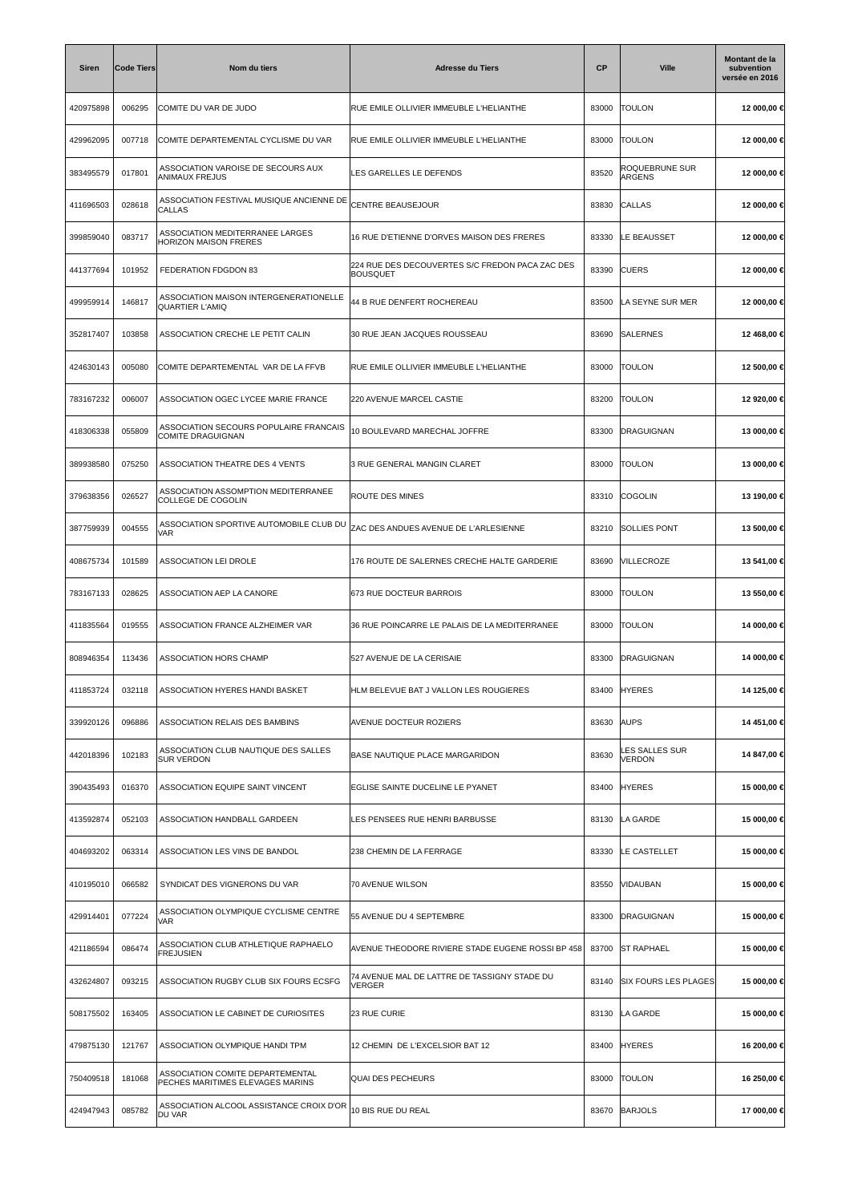| Siren     | <b>Code Tiers</b> | Nom du tiers                                                         | <b>Adresse du Tiers</b>                                            | <b>CP</b> | <b>Ville</b>                | Montant de la<br>subvention<br>versée en 2016 |
|-----------|-------------------|----------------------------------------------------------------------|--------------------------------------------------------------------|-----------|-----------------------------|-----------------------------------------------|
| 420975898 | 006295            | COMITE DU VAR DE JUDO                                                | RUE EMILE OLLIVIER IMMEUBLE L'HELIANTHE                            | 83000     | <b>TOULON</b>               | 12 000,00 €                                   |
| 429962095 | 007718            | COMITE DEPARTEMENTAL CYCLISME DU VAR                                 | RUE EMILE OLLIVIER IMMEUBLE L'HELIANTHE                            | 83000     | <b>TOULON</b>               | 12 000,00 €                                   |
| 383495579 | 017801            | ASSOCIATION VAROISE DE SECOURS AUX<br><b>ANIMAUX FREJUS</b>          | LES GARELLES LE DEFENDS                                            | 83520     | ROQUEBRUNE SUR<br>ARGENS    | 12 000,00 €                                   |
| 411696503 | 028618            | ASSOCIATION FESTIVAL MUSIQUE ANCIENNE DE<br><b>CALLAS</b>            | CENTRE BEAUSEJOUR                                                  | 83830     | CALLAS                      | 12 000,00 €                                   |
| 399859040 | 083717            | ASSOCIATION MEDITERRANEE LARGES<br>HORIZON MAISON FRERES             | 16 RUE D'ETIENNE D'ORVES MAISON DES FRERES                         | 83330     | LE BEAUSSET                 | 12 000,00 €                                   |
| 441377694 | 101952            | FEDERATION FDGDON 83                                                 | 224 RUE DES DECOUVERTES S/C FREDON PACA ZAC DES<br><b>BOUSQUET</b> | 83390     | <b>CUERS</b>                | 12 000,00 €                                   |
| 499959914 | 146817            | ASSOCIATION MAISON INTERGENERATIONELLE<br><b>QUARTIER L'AMIQ</b>     | 44 B RUE DENFERT ROCHEREAU                                         | 83500     | LA SEYNE SUR MER            | 12 000,00 €                                   |
| 352817407 | 103858            | ASSOCIATION CRECHE LE PETIT CALIN                                    | 30 RUE JEAN JACQUES ROUSSEAU                                       | 83690     | SALERNES                    | 12 468,00 €                                   |
| 424630143 | 005080            | COMITE DEPARTEMENTAL VAR DE LA FFVB                                  | RUE EMILE OLLIVIER IMMEUBLE L'HELIANTHE                            | 83000     | <b>TOULON</b>               | 12 500,00 €                                   |
| 783167232 | 006007            | ASSOCIATION OGEC LYCEE MARIE FRANCE                                  | 220 AVENUE MARCEL CASTIE                                           | 83200     | <b>TOULON</b>               | 12 920,00 €                                   |
| 418306338 | 055809            | ASSOCIATION SECOURS POPULAIRE FRANCAIS<br>COMITE DRAGUIGNAN          | 10 BOULEVARD MARECHAL JOFFRE                                       | 83300     | DRAGUIGNAN                  | 13 000,00 €                                   |
| 389938580 | 075250            | ASSOCIATION THEATRE DES 4 VENTS                                      | 3 RUE GENERAL MANGIN CLARET                                        | 83000     | <b>TOULON</b>               | 13 000,00 €                                   |
| 379638356 | 026527            | ASSOCIATION ASSOMPTION MEDITERRANEE<br>COLLEGE DE COGOLIN            | ROUTE DES MINES                                                    | 83310     | <b>COGOLIN</b>              | 13 190,00 €                                   |
| 387759939 | 004555            | ASSOCIATION SPORTIVE AUTOMOBILE CLUB DU<br>VAR                       | ZAC DES ANDUES AVENUE DE L'ARLESIENNE                              | 83210     | SOLLIES PONT                | 13 500,00 €                                   |
| 408675734 | 101589            | <b>ASSOCIATION LEI DROLE</b>                                         | 176 ROUTE DE SALERNES CRECHE HALTE GARDERIE                        | 83690     | VILLECROZE                  | 13 541,00 €                                   |
| 783167133 | 028625            | ASSOCIATION AEP LA CANORE                                            | 673 RUE DOCTEUR BARROIS                                            | 83000     | <b>TOULON</b>               | 13 550,00 €                                   |
| 411835564 | 019555            | ASSOCIATION FRANCE ALZHEIMER VAR                                     | 36 RUE POINCARRE LE PALAIS DE LA MEDITERRANEE                      | 83000     | <b>TOULON</b>               | 14 000,00 €                                   |
| 808946354 | 113436            | <b>ASSOCIATION HORS CHAMP</b>                                        | 527 AVENUE DE LA CERISAIE                                          | 83300     | DRAGUIGNAN                  | 14 000,00 €                                   |
| 411853724 | 032118            | ASSOCIATION HYERES HANDI BASKET                                      | HLM BELEVUE BAT J VALLON LES ROUGIERES                             | 83400     | <b>HYERES</b>               | 14 125,00 €                                   |
| 339920126 | 096886            | ASSOCIATION RELAIS DES BAMBINS                                       | AVENUE DOCTEUR ROZIERS                                             | 83630     | <b>AUPS</b>                 | 14 451,00 €                                   |
| 442018396 | 102183            | ASSOCIATION CLUB NAUTIQUE DES SALLES<br><b>SUR VERDON</b>            | BASE NAUTIQUE PLACE MARGARIDON                                     | 83630     | LES SALLES SUR<br>VERDON    | 14 847,00 €                                   |
| 390435493 | 016370            | ASSOCIATION EQUIPE SAINT VINCENT                                     | EGLISE SAINTE DUCELINE LE PYANET                                   | 83400     | <b>HYERES</b>               | 15 000,00 €                                   |
| 413592874 | 052103            | ASSOCIATION HANDBALL GARDEEN                                         | LES PENSEES RUE HENRI BARBUSSE                                     | 83130     | LA GARDE                    | 15 000,00 €                                   |
| 404693202 | 063314            | ASSOCIATION LES VINS DE BANDOL                                       | 238 CHEMIN DE LA FERRAGE                                           | 83330     | LE CASTELLET                | 15 000,00 €                                   |
| 410195010 | 066582            | SYNDICAT DES VIGNERONS DU VAR                                        | 70 AVENUE WILSON                                                   | 83550     | VIDAUBAN                    | 15 000,00 €                                   |
| 429914401 | 077224            | ASSOCIATION OLYMPIQUE CYCLISME CENTRE<br>VAR                         | 55 AVENUE DU 4 SEPTEMBRE                                           | 83300     | <b>DRAGUIGNAN</b>           | 15 000,00 €                                   |
| 421186594 | 086474            | ASSOCIATION CLUB ATHLETIQUE RAPHAELO<br><b>FREJUSIEN</b>             | AVENUE THEODORE RIVIERE STADE EUGENE ROSSI BP 458                  | 83700     | <b>ST RAPHAEL</b>           | 15 000,00 €                                   |
| 432624807 | 093215            | ASSOCIATION RUGBY CLUB SIX FOURS ECSFG                               | 74 AVENUE MAL DE LATTRE DE TASSIGNY STADE DU<br><b>VERGER</b>      | 83140     | <b>SIX FOURS LES PLAGES</b> | 15 000,00 €                                   |
| 508175502 | 163405            | ASSOCIATION LE CABINET DE CURIOSITES                                 | 23 RUE CURIE                                                       | 83130     | LA GARDE                    | 15 000,00 €                                   |
| 479875130 | 121767            | ASSOCIATION OLYMPIQUE HANDI TPM                                      | 12 CHEMIN DE L'EXCELSIOR BAT 12                                    | 83400     | <b>HYERES</b>               | 16 200,00 €                                   |
| 750409518 | 181068            | ASSOCIATION COMITE DEPARTEMENTAL<br>PECHES MARITIMES ELEVAGES MARINS | QUAI DES PECHEURS                                                  | 83000     | <b>TOULON</b>               | 16 250,00 €                                   |
| 424947943 | 085782            | ASSOCIATION ALCOOL ASSISTANCE CROIX D'OR<br>DU VAR                   | 10 BIS RUE DU REAL                                                 | 83670     | <b>BARJOLS</b>              | 17 000,00 €                                   |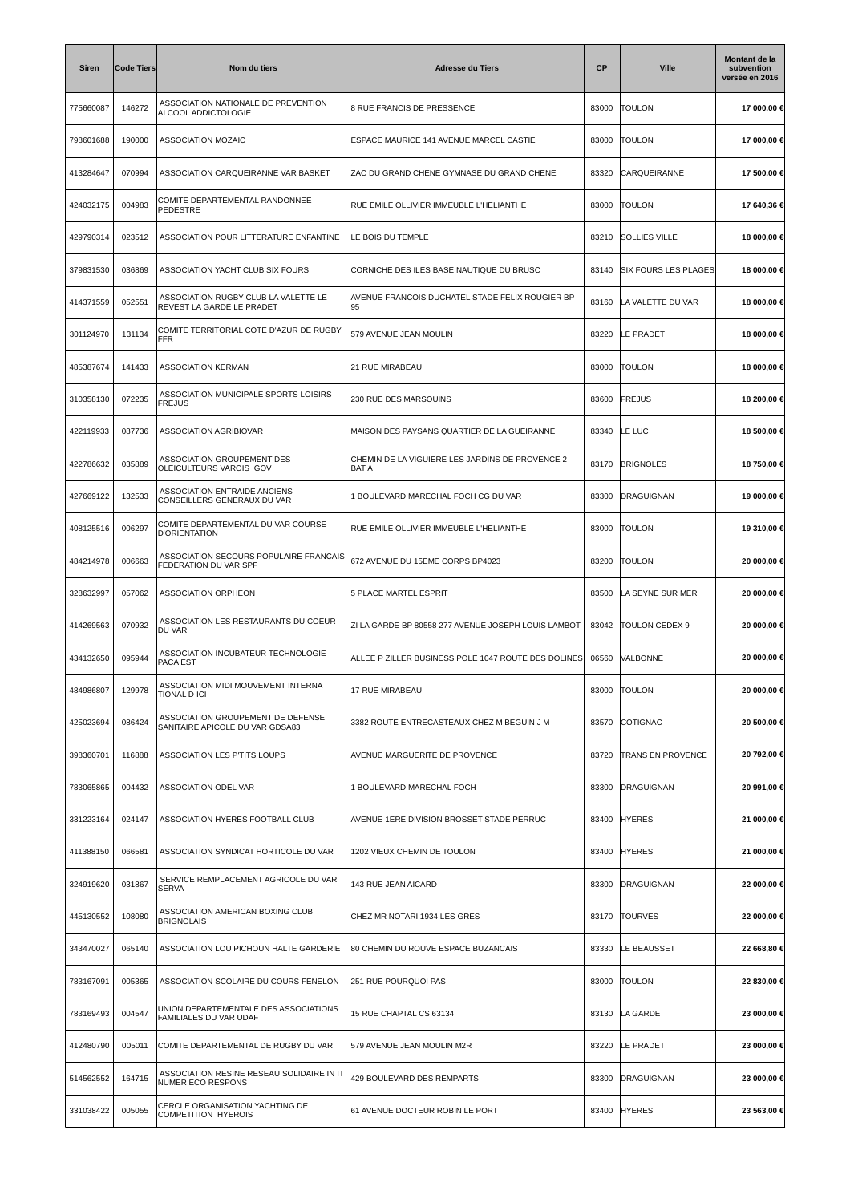| <b>Siren</b> | <b>Code Tiers</b> | Nom du tiers                                                         | <b>Adresse du Tiers</b>                                        | СP    | <b>Ville</b>                | Montant de la<br>subvention<br>versée en 2016 |
|--------------|-------------------|----------------------------------------------------------------------|----------------------------------------------------------------|-------|-----------------------------|-----------------------------------------------|
| 775660087    | 146272            | ASSOCIATION NATIONALE DE PREVENTION<br>ALCOOL ADDICTOLOGIE           | 8 RUE FRANCIS DE PRESSENCE                                     | 83000 | <b>TOULON</b>               | 17 000,00 €                                   |
| 798601688    | 190000            | ASSOCIATION MOZAIC                                                   | ESPACE MAURICE 141 AVENUE MARCEL CASTIE                        | 83000 | <b>TOULON</b>               | 17 000,00 €                                   |
| 413284647    | 070994            | ASSOCIATION CARQUEIRANNE VAR BASKET                                  | ZAC DU GRAND CHENE GYMNASE DU GRAND CHENE                      | 83320 | CARQUEIRANNE                | 17 500,00 €                                   |
| 424032175    | 004983            | COMITE DEPARTEMENTAL RANDONNEE<br><b>PEDESTRE</b>                    | RUE EMILE OLLIVIER IMMEUBLE L'HELIANTHE                        | 83000 | <b>TOULON</b>               | 17 640,36 €                                   |
| 429790314    | 023512            | ASSOCIATION POUR LITTERATURE ENFANTINE                               | LE BOIS DU TEMPLE                                              | 83210 | <b>SOLLIES VILLE</b>        | 18 000,00 €                                   |
| 379831530    | 036869            | ASSOCIATION YACHT CLUB SIX FOURS                                     | CORNICHE DES ILES BASE NAUTIQUE DU BRUSC                       | 83140 | <b>SIX FOURS LES PLAGES</b> | 18 000,00 €                                   |
| 414371559    | 052551            | ASSOCIATION RUGBY CLUB LA VALETTE LE<br>REVEST LA GARDE LE PRADET    | AVENUE FRANCOIS DUCHATEL STADE FELIX ROUGIER BP<br>95          | 83160 | LA VALETTE DU VAR           | 18 000,00 €                                   |
| 301124970    | 131134            | COMITE TERRITORIAL COTE D'AZUR DE RUGBY<br><b>FFR</b>                | 579 AVENUE JEAN MOULIN                                         | 83220 | LE PRADET                   | 18 000,00 €                                   |
| 485387674    | 141433            | <b>ASSOCIATION KERMAN</b>                                            | 21 RUE MIRABEAU                                                | 83000 | <b>TOULON</b>               | 18 000,00 €                                   |
| 310358130    | 072235            | ASSOCIATION MUNICIPALE SPORTS LOISIRS<br><b>FREJUS</b>               | 230 RUE DES MARSOUINS                                          | 83600 | FREJUS                      | 18 200,00 €                                   |
| 422119933    | 087736            | ASSOCIATION AGRIBIOVAR                                               | MAISON DES PAYSANS QUARTIER DE LA GUEIRANNE                    | 83340 | LE LUC                      | 18 500,00 €                                   |
| 422786632    | 035889            | ASSOCIATION GROUPEMENT DES<br>OLEICULTEURS VAROIS GOV                | CHEMIN DE LA VIGUIERE LES JARDINS DE PROVENCE 2<br><b>BATA</b> | 83170 | <b>BRIGNOLES</b>            | 18 750,00 €                                   |
| 427669122    | 132533            | ASSOCIATION ENTRAIDE ANCIENS<br>CONSEILLERS GENERAUX DU VAR          | 1 BOULEVARD MARECHAL FOCH CG DU VAR                            | 83300 | DRAGUIGNAN                  | 19 000,00 €                                   |
| 408125516    | 006297            | COMITE DEPARTEMENTAL DU VAR COURSE<br><b>D'ORIENTATION</b>           | RUE EMILE OLLIVIER IMMEUBLE L'HELIANTHE                        | 83000 | <b>TOULON</b>               | 19 310,00 €                                   |
| 484214978    | 006663            | ASSOCIATION SECOURS POPULAIRE FRANCAIS<br>FEDERATION DU VAR SPF      | 672 AVENUE DU 15EME CORPS BP4023                               | 83200 | <b>TOULON</b>               | 20 000,00 €                                   |
| 328632997    | 057062            | <b>ASSOCIATION ORPHEON</b>                                           | 5 PLACE MARTEL ESPRIT                                          | 83500 | LA SEYNE SUR MER            | 20 000,00 €                                   |
| 414269563    | 070932            | ASSOCIATION LES RESTAURANTS DU COEUR<br>DU VAR                       | ZI LA GARDE BP 80558 277 AVENUE JOSEPH LOUIS LAMBOT            | 83042 | TOULON CEDEX 9              | 20 000,00 €                                   |
| 434132650    | 095944            | ASSOCIATION INCUBATEUR TECHNOLOGIE<br>PACA EST                       | ALLEE P ZILLER BUSINESS POLE 1047 ROUTE DES DOLINES            | 06560 | VALBONNE                    | 20 000,00 €                                   |
| 484986807    | 129978            | ASSOCIATION MIDI MOUVEMENT INTERNA<br>TIONAL D ICI                   | 17 RUE MIRABEAU                                                | 83000 | <b>TOULON</b>               | 20 000,00 €                                   |
| 425023694    | 086424            | ASSOCIATION GROUPEMENT DE DEFENSE<br>SANITAIRE APICOLE DU VAR GDSA83 | 3382 ROUTE ENTRECASTEAUX CHEZ M BEGUIN J M                     | 83570 | COTIGNAC                    | 20 500,00 €                                   |
| 398360701    | 116888            | ASSOCIATION LES P'TITS LOUPS                                         | <b>AVENUE MARGUERITE DE PROVENCE</b>                           | 83720 | <b>TRANS EN PROVENCE</b>    | 20 792,00 €                                   |
| 783065865    | 004432            | ASSOCIATION ODEL VAR                                                 | 1 BOULEVARD MARECHAL FOCH                                      | 83300 | <b>DRAGUIGNAN</b>           | 20 991,00 €                                   |
| 331223164    | 024147            | ASSOCIATION HYERES FOOTBALL CLUB                                     | AVENUE 1ERE DIVISION BROSSET STADE PERRUC                      | 83400 | <b>HYERES</b>               | 21 000,00 €                                   |
| 411388150    | 066581            | ASSOCIATION SYNDICAT HORTICOLE DU VAR                                | 1202 VIEUX CHEMIN DE TOULON                                    | 83400 | <b>HYERES</b>               | 21 000,00 €                                   |
| 324919620    | 031867            | SERVICE REMPLACEMENT AGRICOLE DU VAR<br><b>SERVA</b>                 | 143 RUE JEAN AICARD                                            | 83300 | DRAGUIGNAN                  | 22 000,00 €                                   |
| 445130552    | 108080            | ASSOCIATION AMERICAN BOXING CLUB<br><b>BRIGNOLAIS</b>                | CHEZ MR NOTARI 1934 LES GRES                                   | 83170 | <b>TOURVES</b>              | 22 000,00 €                                   |
| 343470027    | 065140            | ASSOCIATION LOU PICHOUN HALTE GARDERIE                               | 80 CHEMIN DU ROUVE ESPACE BUZANCAIS                            | 83330 | LE BEAUSSET                 | 22 668,80 €                                   |
| 783167091    | 005365            | ASSOCIATION SCOLAIRE DU COURS FENELON                                | 251 RUE POURQUOI PAS                                           | 83000 | <b>TOULON</b>               | 22 830,00 €                                   |
| 783169493    | 004547            | UNION DEPARTEMENTALE DES ASSOCIATIONS<br>FAMILIALES DU VAR UDAF      | 15 RUE CHAPTAL CS 63134                                        | 83130 | LA GARDE                    | 23 000,00 €                                   |
| 412480790    | 005011            | COMITE DEPARTEMENTAL DE RUGBY DU VAR                                 | 579 AVENUE JEAN MOULIN M2R                                     | 83220 | LE PRADET                   | 23 000,00 €                                   |
| 514562552    | 164715            | ASSOCIATION RESINE RESEAU SOLIDAIRE IN IT<br>NUMER ECO RESPONS       | 429 BOULEVARD DES REMPARTS                                     | 83300 | <b>DRAGUIGNAN</b>           | 23 000,00 €                                   |
| 331038422    | 005055            | CERCLE ORGANISATION YACHTING DE<br><b>COMPETITION HYEROIS</b>        | 61 AVENUE DOCTEUR ROBIN LE PORT                                | 83400 | <b>HYERES</b>               | 23 563,00 €                                   |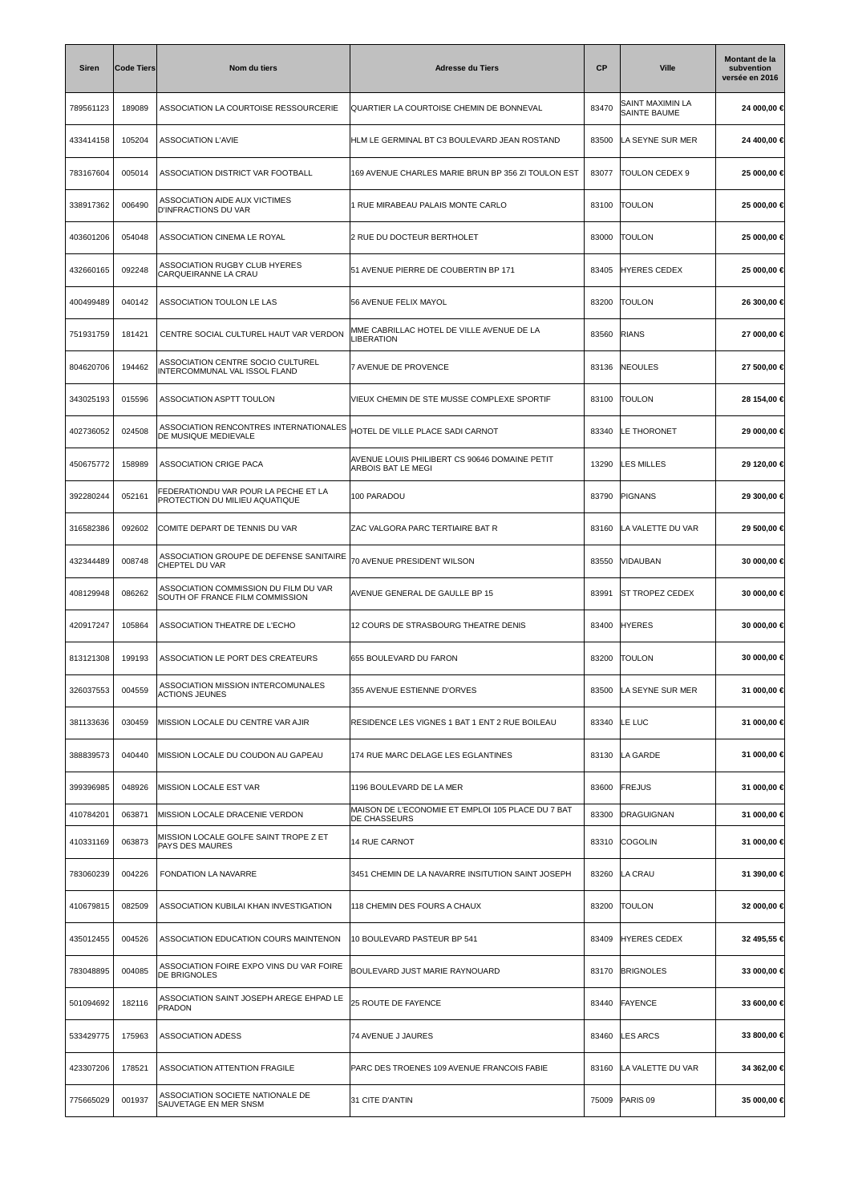| Siren     | <b>Code Tiers</b> | Nom du tiers                                                             | <b>Adresse du Tiers</b>                                                  | <b>CP</b> | <b>Ville</b>                     | <b>Montant de la</b><br>subvention<br>versée en 2016 |
|-----------|-------------------|--------------------------------------------------------------------------|--------------------------------------------------------------------------|-----------|----------------------------------|------------------------------------------------------|
| 789561123 | 189089            | ASSOCIATION LA COURTOISE RESSOURCERIE                                    | QUARTIER LA COURTOISE CHEMIN DE BONNEVAL                                 | 83470     | SAINT MAXIMIN LA<br>SAINTE BAUME | 24 000,00 €                                          |
| 433414158 | 105204            | <b>ASSOCIATION L'AVIE</b>                                                | HLM LE GERMINAL BT C3 BOULEVARD JEAN ROSTAND                             | 83500     | LA SEYNE SUR MER                 | 24 400,00 €                                          |
| 783167604 | 005014            | ASSOCIATION DISTRICT VAR FOOTBALL                                        | 169 AVENUE CHARLES MARIE BRUN BP 356 ZI TOULON EST                       | 83077     | TOULON CEDEX 9                   | 25 000,00 €                                          |
| 338917362 | 006490            | ASSOCIATION AIDE AUX VICTIMES<br>D'INFRACTIONS DU VAR                    | 1 RUE MIRABEAU PALAIS MONTE CARLO                                        | 83100     | <b>TOULON</b>                    | 25 000,00 €                                          |
| 403601206 | 054048            | ASSOCIATION CINEMA LE ROYAL                                              | 2 RUE DU DOCTEUR BERTHOLET                                               | 83000     | <b>TOULON</b>                    | 25 000,00 €                                          |
| 432660165 | 092248            | ASSOCIATION RUGBY CLUB HYERES<br>CARQUEIRANNE LA CRAU                    | 51 AVENUE PIERRE DE COUBERTIN BP 171                                     | 83405     | <b>HYERES CEDEX</b>              | 25 000,00 €                                          |
| 400499489 | 040142            | ASSOCIATION TOULON LE LAS                                                | 56 AVENUE FELIX MAYOL                                                    | 83200     | <b>TOULON</b>                    | 26 300,00 €                                          |
| 751931759 | 181421            | CENTRE SOCIAL CULTUREL HAUT VAR VERDON                                   | MME CABRILLAC HOTEL DE VILLE AVENUE DE LA<br><b>LIBERATION</b>           | 83560     | <b>RIANS</b>                     | 27 000,00 €                                          |
| 804620706 | 194462            | ASSOCIATION CENTRE SOCIO CULTUREL<br>INTERCOMMUNAL VAL ISSOL FLAND       | 7 AVENUE DE PROVENCE                                                     | 83136     | <b>NEOULES</b>                   | 27 500,00 €                                          |
| 343025193 | 015596            | ASSOCIATION ASPTT TOULON                                                 | VIEUX CHEMIN DE STE MUSSE COMPLEXE SPORTIF                               | 83100     | <b>TOULON</b>                    | 28 154,00 €                                          |
| 402736052 | 024508            | ASSOCIATION RENCONTRES INTERNATIONALES<br>DE MUSIQUE MEDIEVALE           | HOTEL DE VILLE PLACE SADI CARNOT                                         | 83340     | LE THORONET                      | 29 000,00 €                                          |
| 450675772 | 158989            | ASSOCIATION CRIGE PACA                                                   | AVENUE LOUIS PHILIBERT CS 90646 DOMAINE PETIT<br>ARBOIS BAT LE MEGI      | 13290     | LES MILLES                       | 29 120,00 €                                          |
| 392280244 | 052161            | FEDERATIONDU VAR POUR LA PECHE ET LA<br>PROTECTION DU MILIEU AQUATIQUE   | 100 PARADOU                                                              | 83790     | PIGNANS                          | 29 300,00 €                                          |
| 316582386 | 092602            | COMITE DEPART DE TENNIS DU VAR                                           | ZAC VALGORA PARC TERTIAIRE BAT R                                         | 83160     | LA VALETTE DU VAR                | 29 500,00 €                                          |
| 432344489 | 008748            | ASSOCIATION GROUPE DE DEFENSE SANITAIRE<br>CHEPTEL DU VAR                | 70 AVENUE PRESIDENT WILSON                                               | 83550     | VIDAUBAN                         | 30 000,00 €                                          |
| 408129948 | 086262            | ASSOCIATION COMMISSION DU FILM DU VAR<br>SOUTH OF FRANCE FILM COMMISSION | AVENUE GENERAL DE GAULLE BP 15                                           | 83991     | <b>ST TROPEZ CEDEX</b>           | 30 000,00 €                                          |
| 420917247 | 105864            | ASSOCIATION THEATRE DE L'ECHO                                            | 12 COURS DE STRASBOURG THEATRE DENIS                                     | 83400     | <b>HYERES</b>                    | 30 000,00 €                                          |
| 813121308 | 199193            | ASSOCIATION LE PORT DES CREATEURS                                        | 655 BOULEVARD DU FARON                                                   | 83200     | <b>TOULON</b>                    | 30 000,00 €                                          |
| 326037553 | 004559            | ASSOCIATION MISSION INTERCOMUNALES<br><b>ACTIONS JEUNES</b>              | 355 AVENUE ESTIENNE D'ORVES                                              | 83500     | LA SEYNE SUR MER                 | 31 000,00 €                                          |
| 381133636 | 030459            | MISSION LOCALE DU CENTRE VAR AJIR                                        | RESIDENCE LES VIGNES 1 BAT 1 ENT 2 RUE BOILEAU                           | 83340     | LE LUC                           | 31 000,00 €                                          |
| 388839573 | 040440            | MISSION LOCALE DU COUDON AU GAPEAU                                       | 174 RUE MARC DELAGE LES EGLANTINES                                       | 83130     | LA GARDE                         | 31 000,00 €                                          |
| 399396985 | 048926            | MISSION LOCALE EST VAR                                                   | 1196 BOULEVARD DE LA MER                                                 | 83600     | FREJUS                           | 31 000,00 €                                          |
| 410784201 | 063871            | MISSION LOCALE DRACENIE VERDON                                           | MAISON DE L'ECONOMIE ET EMPLOI 105 PLACE DU 7 BAT<br><b>DE CHASSEURS</b> | 83300     | <b>DRAGUIGNAN</b>                | 31 000,00 €                                          |
| 410331169 | 063873            | MISSION LOCALE GOLFE SAINT TROPE Z ET<br>PAYS DES MAURES                 | 14 RUE CARNOT                                                            | 83310     | COGOLIN                          | 31 000,00 €                                          |
| 783060239 | 004226            | FONDATION LA NAVARRE                                                     | 3451 CHEMIN DE LA NAVARRE INSITUTION SAINT JOSEPH                        | 83260     | LA CRAU                          | 31 390,00 €                                          |
| 410679815 | 082509            | ASSOCIATION KUBILAI KHAN INVESTIGATION                                   | 118 CHEMIN DES FOURS A CHAUX                                             | 83200     | <b>TOULON</b>                    | 32 000,00 €                                          |
| 435012455 | 004526            | ASSOCIATION EDUCATION COURS MAINTENON                                    | 10 BOULEVARD PASTEUR BP 541                                              | 83409     | <b>HYERES CEDEX</b>              | 32 495,55 €                                          |
| 783048895 | 004085            | ASSOCIATION FOIRE EXPO VINS DU VAR FOIRE<br><b>DE BRIGNOLES</b>          | BOULEVARD JUST MARIE RAYNOUARD                                           | 83170     | <b>BRIGNOLES</b>                 | 33 000,00 €                                          |
| 501094692 | 182116            | ASSOCIATION SAINT JOSEPH AREGE EHPAD LE<br>PRADON                        | 25 ROUTE DE FAYENCE                                                      | 83440     | <b>FAYENCE</b>                   | 33 600,00 €                                          |
| 533429775 | 175963            | <b>ASSOCIATION ADESS</b>                                                 | 74 AVENUE J JAURES                                                       | 83460     | LES ARCS                         | 33 800,00 €                                          |
| 423307206 | 178521            | ASSOCIATION ATTENTION FRAGILE                                            | PARC DES TROENES 109 AVENUE FRANCOIS FABIE                               | 83160     | LA VALETTE DU VAR                | 34 362,00 €                                          |
| 775665029 | 001937            | ASSOCIATION SOCIETE NATIONALE DE<br>SAUVETAGE EN MER SNSM                | 31 CITE D'ANTIN                                                          | 75009     | PARIS 09                         | 35 000,00 €                                          |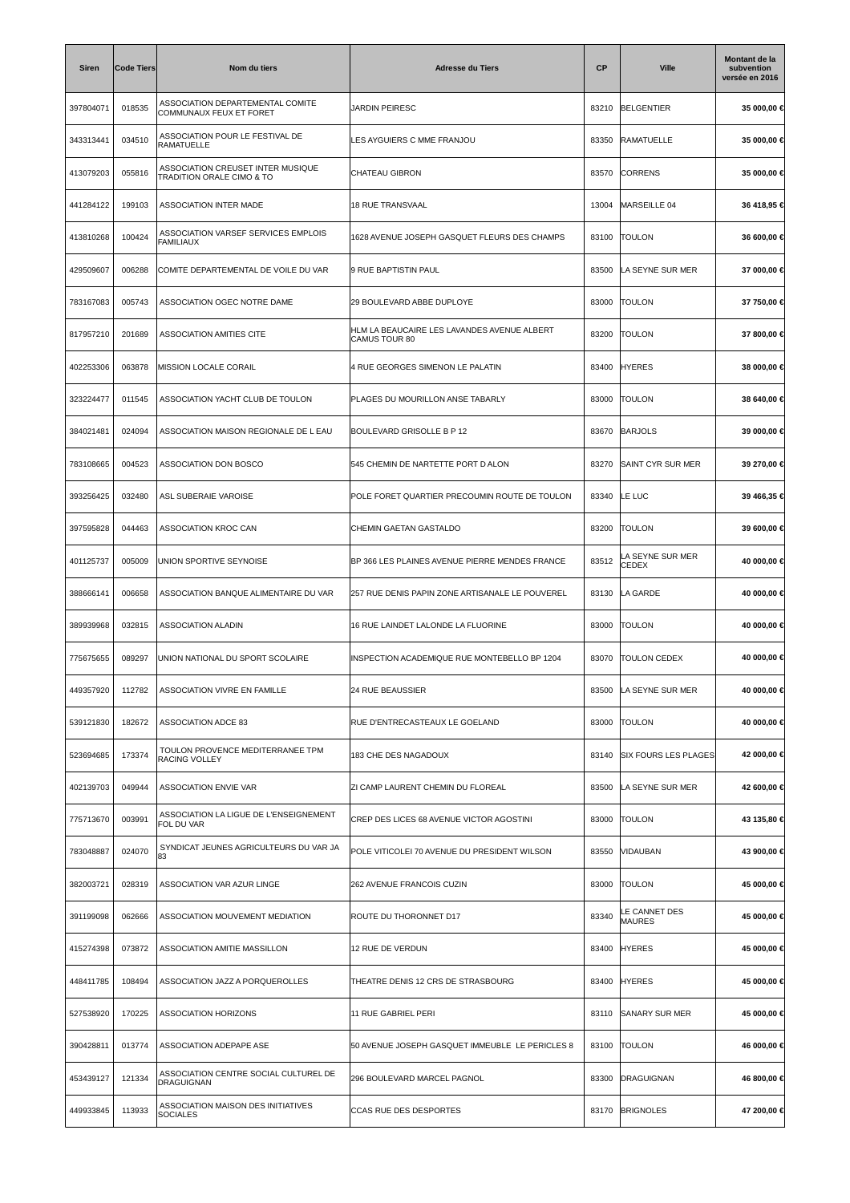| Siren     | <b>Code Tiers</b> | Nom du tiers                                                   | <b>Adresse du Tiers</b>                                      | <b>CP</b> | <b>Ville</b>                   | Montant de la<br>subvention<br>versée en 2016 |
|-----------|-------------------|----------------------------------------------------------------|--------------------------------------------------------------|-----------|--------------------------------|-----------------------------------------------|
| 397804071 | 018535            | ASSOCIATION DEPARTEMENTAL COMITE<br>COMMUNAUX FEUX ET FORET    | JARDIN PEIRESC                                               | 83210     | <b>BELGENTIER</b>              | 35 000,00 €                                   |
| 343313441 | 034510            | ASSOCIATION POUR LE FESTIVAL DE<br>RAMATUELLE                  | LES AYGUIERS C MME FRANJOU                                   | 83350     | RAMATUELLE                     | 35 000,00 €                                   |
| 413079203 | 055816            | ASSOCIATION CREUSET INTER MUSIQUE<br>TRADITION ORALE CIMO & TO | CHATEAU GIBRON                                               | 83570     | <b>CORRENS</b>                 | 35 000,00 €                                   |
| 441284122 | 199103            | <b>ASSOCIATION INTER MADE</b>                                  | <b>18 RUE TRANSVAAL</b>                                      | 13004     | MARSEILLE 04                   | 36 418,95 €                                   |
| 413810268 | 100424            | ASSOCIATION VARSEF SERVICES EMPLOIS<br>FAMILIAUX               | 1628 AVENUE JOSEPH GASQUET FLEURS DES CHAMPS                 | 83100     | <b>TOULON</b>                  | 36 600,00 €                                   |
| 429509607 | 006288            | COMITE DEPARTEMENTAL DE VOILE DU VAR                           | 9 RUE BAPTISTIN PAUL                                         | 83500     | LA SEYNE SUR MER               | 37 000,00 €                                   |
| 783167083 | 005743            | ASSOCIATION OGEC NOTRE DAME                                    | 29 BOULEVARD ABBE DUPLOYE                                    | 83000     | <b>TOULON</b>                  | 37 750,00 €                                   |
| 817957210 | 201689            | <b>ASSOCIATION AMITIES CITE</b>                                | HLM LA BEAUCAIRE LES LAVANDES AVENUE ALBERT<br>CAMUS TOUR 80 | 83200     | <b>TOULON</b>                  | 37 800,00 €                                   |
| 402253306 | 063878            | MISSION LOCALE CORAIL                                          | 4 RUE GEORGES SIMENON LE PALATIN                             | 83400     | <b>HYERES</b>                  | 38 000,00 €                                   |
| 323224477 | 011545            | ASSOCIATION YACHT CLUB DE TOULON                               | PLAGES DU MOURILLON ANSE TABARLY                             | 83000     | <b>TOULON</b>                  | 38 640,00 €                                   |
| 384021481 | 024094            | ASSOCIATION MAISON REGIONALE DE L EAU                          | BOULEVARD GRISOLLE B P 12                                    | 83670     | <b>BARJOLS</b>                 | 39 000,00 €                                   |
| 783108665 | 004523            | ASSOCIATION DON BOSCO                                          | 545 CHEMIN DE NARTETTE PORT D'ALON                           | 83270     | SAINT CYR SUR MER              | 39 270,00 €                                   |
| 393256425 | 032480            | ASL SUBERAIE VAROISE                                           | POLE FORET QUARTIER PRECOUMIN ROUTE DE TOULON                | 83340     | LE LUC                         | 39 466,35 €                                   |
| 397595828 | 044463            | ASSOCIATION KROC CAN                                           | CHEMIN GAETAN GASTALDO                                       | 83200     | <b>TOULON</b>                  | 39 600,00 €                                   |
| 401125737 | 005009            | UNION SPORTIVE SEYNOISE                                        | BP 366 LES PLAINES AVENUE PIERRE MENDES FRANCE               | 83512     | LA SEYNE SUR MER<br>CEDEX      | 40 000,00 €                                   |
| 388666141 | 006658            | ASSOCIATION BANQUE ALIMENTAIRE DU VAR                          | 257 RUE DENIS PAPIN ZONE ARTISANALE LE POUVEREL              | 83130     | LA GARDE                       | 40 000,00 €                                   |
| 389939968 | 032815            | <b>ASSOCIATION ALADIN</b>                                      | 16 RUE LAINDET LALONDE LA FLUORINE                           | 83000     | <b>TOULON</b>                  | 40 000,00 €                                   |
| 775675655 | 089297            | UNION NATIONAL DU SPORT SCOLAIRE                               | INSPECTION ACADEMIQUE RUE MONTEBELLO BP 1204                 | 83070     | <b>TOULON CEDEX</b>            | 40 000,00 €                                   |
| 449357920 | 112782            | ASSOCIATION VIVRE EN FAMILLE                                   | 24 RUE BEAUSSIER                                             | 83500     | LA SEYNE SUR MER               | 40 000,00 €                                   |
| 539121830 | 182672            | ASSOCIATION ADCE 83                                            | RUE D'ENTRECASTEAUX LE GOELAND                               | 83000     | <b>TOULON</b>                  | 40 000,00 €                                   |
| 523694685 | 173374            | TOULON PROVENCE MEDITERRANEE TPM<br><b>RACING VOLLEY</b>       | 183 CHE DES NAGADOUX                                         | 83140     | <b>SIX FOURS LES PLAGES</b>    | 42 000,00 €                                   |
| 402139703 | 049944            | ASSOCIATION ENVIE VAR                                          | ZI CAMP LAURENT CHEMIN DU FLOREAL                            | 83500     | LA SEYNE SUR MER               | 42 600,00 €                                   |
| 775713670 | 003991            | ASSOCIATION LA LIGUE DE L'ENSEIGNEMENT<br>FOL DU VAR           | CREP DES LICES 68 AVENUE VICTOR AGOSTINI                     | 83000     | <b>TOULON</b>                  | 43 135,80 €                                   |
| 783048887 | 024070            | SYNDICAT JEUNES AGRICULTEURS DU VAR JA<br>83                   | POLE VITICOLEI 70 AVENUE DU PRESIDENT WILSON                 | 83550     | VIDAUBAN                       | 43 900,00 €                                   |
| 382003721 | 028319            | ASSOCIATION VAR AZUR LINGE                                     | 262 AVENUE FRANCOIS CUZIN                                    | 83000     | <b>TOULON</b>                  | 45 000,00 €                                   |
| 391199098 | 062666            | ASSOCIATION MOUVEMENT MEDIATION                                | ROUTE DU THORONNET D17                                       | 83340     | LE CANNET DES<br><b>MAURES</b> | 45 000,00 €                                   |
| 415274398 | 073872            | ASSOCIATION AMITIE MASSILLON                                   | 12 RUE DE VERDUN                                             | 83400     | <b>HYERES</b>                  | 45 000,00 €                                   |
| 448411785 | 108494            | ASSOCIATION JAZZ A PORQUEROLLES                                | THEATRE DENIS 12 CRS DE STRASBOURG                           | 83400     | <b>HYERES</b>                  | 45 000,00 €                                   |
| 527538920 | 170225            | ASSOCIATION HORIZONS                                           | 11 RUE GABRIEL PERI                                          | 83110     | <b>SANARY SUR MER</b>          | 45 000,00 €                                   |
| 390428811 | 013774            | ASSOCIATION ADEPAPE ASE                                        | 50 AVENUE JOSEPH GASQUET IMMEUBLE LE PERICLES 8              | 83100     | <b>TOULON</b>                  | 46 000,00 €                                   |
| 453439127 | 121334            | ASSOCIATION CENTRE SOCIAL CULTUREL DE<br><b>DRAGUIGNAN</b>     | 296 BOULEVARD MARCEL PAGNOL                                  | 83300     | <b>DRAGUIGNAN</b>              | 46 800,00 €                                   |
| 449933845 | 113933            | ASSOCIATION MAISON DES INITIATIVES<br><b>SOCIALES</b>          | <b>CCAS RUE DES DESPORTES</b>                                | 83170     | <b>BRIGNOLES</b>               | 47 200,00 €                                   |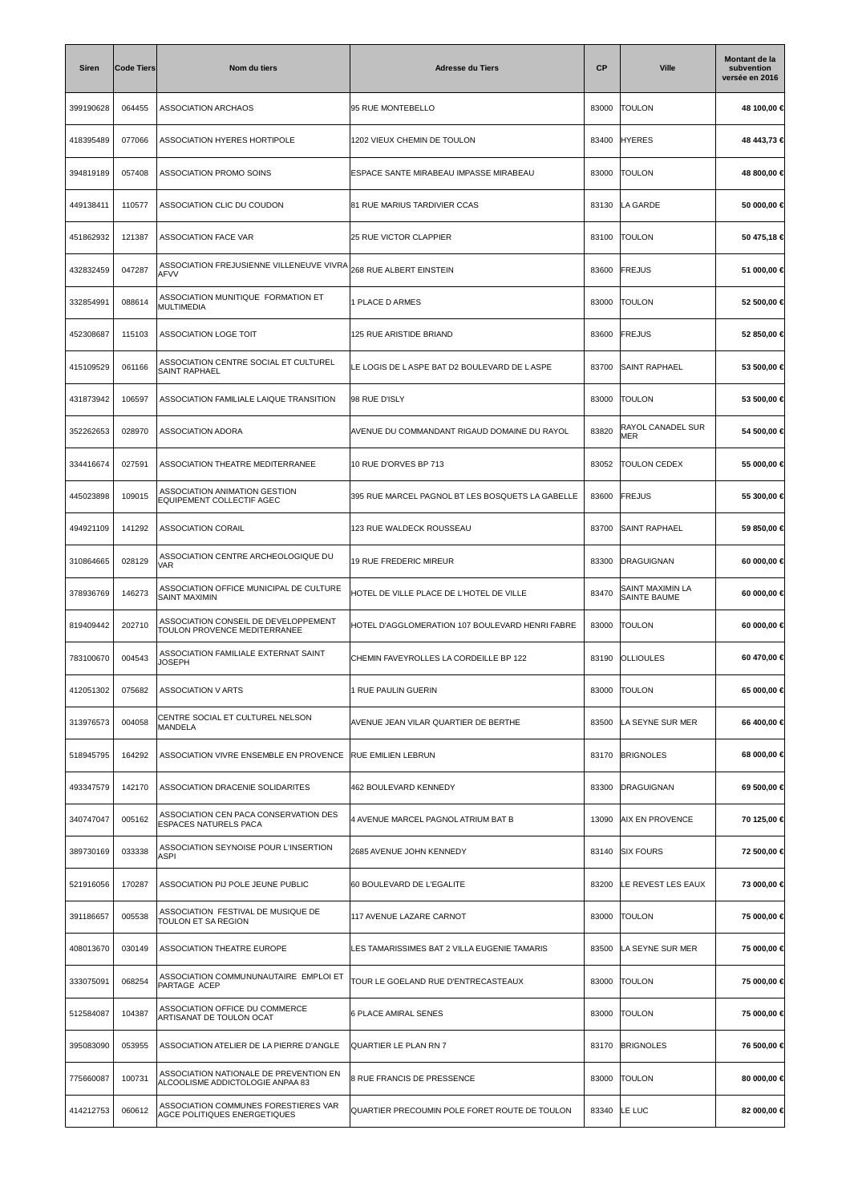| <b>Siren</b> | <b>Code Tiers</b> | Nom du tiers                                                               | <b>Adresse du Tiers</b>                          | СP    | <b>Ville</b>                     | Montant de la<br>subvention<br>versée en 2016 |
|--------------|-------------------|----------------------------------------------------------------------------|--------------------------------------------------|-------|----------------------------------|-----------------------------------------------|
| 399190628    | 064455            | <b>ASSOCIATION ARCHAOS</b>                                                 | 95 RUE MONTEBELLO                                | 83000 | <b>TOULON</b>                    | 48 100,00 €                                   |
| 418395489    | 077066            | ASSOCIATION HYERES HORTIPOLE                                               | 1202 VIEUX CHEMIN DE TOULON                      | 83400 | <b>HYERES</b>                    | 48 443,73 €                                   |
| 394819189    | 057408            | ASSOCIATION PROMO SOINS                                                    | ESPACE SANTE MIRABEAU IMPASSE MIRABEAU           | 83000 | <b>TOULON</b>                    | 48 800,00 €                                   |
| 449138411    | 110577            | ASSOCIATION CLIC DU COUDON                                                 | 81 RUE MARIUS TARDIVIER CCAS                     | 83130 | LA GARDE                         | 50 000,00 €                                   |
| 451862932    | 121387            | <b>ASSOCIATION FACE VAR</b>                                                | <b>25 RUE VICTOR CLAPPIER</b>                    | 83100 | <b>TOULON</b>                    | 50 475,18 €                                   |
| 432832459    | 047287            | ASSOCIATION FREJUSIENNE VILLENEUVE VIVRA<br><b>AFVV</b>                    | 268 RUE ALBERT EINSTEIN                          | 83600 | <b>FREJUS</b>                    | 51 000,00 €                                   |
| 332854991    | 088614            | ASSOCIATION MUNITIQUE FORMATION ET<br>MULTIMEDIA                           | 1 PLACE D ARMES                                  | 83000 | <b>TOULON</b>                    | 52 500,00 €                                   |
| 452308687    | 115103            | <b>ASSOCIATION LOGE TOIT</b>                                               | 125 RUE ARISTIDE BRIAND                          | 83600 | <b>FREJUS</b>                    | 52 850,00 €                                   |
| 415109529    | 061166            | ASSOCIATION CENTRE SOCIAL ET CULTUREL<br><b>SAINT RAPHAEL</b>              | LE LOGIS DE LASPE BAT D2 BOULEVARD DE LASPE      | 83700 | <b>SAINT RAPHAEL</b>             | 53 500,00 €                                   |
| 431873942    | 106597            | ASSOCIATION FAMILIALE LAIQUE TRANSITION                                    | 98 RUE D'ISLY                                    | 83000 | <b>TOULON</b>                    | 53 500,00 €                                   |
| 352262653    | 028970            | <b>ASSOCIATION ADORA</b>                                                   | AVENUE DU COMMANDANT RIGAUD DOMAINE DU RAYOL     | 83820 | RAYOL CANADEL SUR<br>MER         | 54 500,00 €                                   |
| 334416674    | 027591            | ASSOCIATION THEATRE MEDITERRANEE                                           | 10 RUE D'ORVES BP 713                            | 83052 | <b>TOULON CEDEX</b>              | 55 000,00 €                                   |
| 445023898    | 109015            | ASSOCIATION ANIMATION GESTION<br>EQUIPEMENT COLLECTIF AGEC                 | 395 RUE MARCEL PAGNOL BT LES BOSQUETS LA GABELLE | 83600 | FREJUS                           | 55 300,00 €                                   |
| 494921109    | 141292            | <b>ASSOCIATION CORAIL</b>                                                  | 123 RUE WALDECK ROUSSEAU                         | 83700 | <b>SAINT RAPHAEL</b>             | 59 850,00 €                                   |
| 310864665    | 028129            | ASSOCIATION CENTRE ARCHEOLOGIQUE DU<br>VAR                                 | 19 RUE FREDERIC MIREUR                           | 83300 | DRAGUIGNAN                       | 60 000,00 €                                   |
| 378936769    | 146273            | ASSOCIATION OFFICE MUNICIPAL DE CULTURE<br><b>SAINT MAXIMIN</b>            | HOTEL DE VILLE PLACE DE L'HOTEL DE VILLE         | 83470 | SAINT MAXIMIN LA<br>SAINTE BAUME | 60 000,00 €                                   |
| 819409442    | 202710            | ASSOCIATION CONSEIL DE DEVELOPPEMENT<br>TOULON PROVENCE MEDITERRANEE       | HOTEL D'AGGLOMERATION 107 BOULEVARD HENRI FABRE  | 83000 | <b>TOULON</b>                    | 60 000,00 €                                   |
| 783100670    | 004543            | ASSOCIATION FAMILIALE EXTERNAT SAINT<br>JOSEPH                             | CHEMIN FAVEYROLLES LA CORDEILLE BP 122           | 83190 | <b>OLLIOULES</b>                 | 60 470,00 €                                   |
| 412051302    | 075682            | ASSOCIATION V ARTS                                                         | 1 RUE PAULIN GUERIN                              | 83000 | <b>TOULON</b>                    | 65 000,00 €                                   |
| 313976573    | 004058            | CENTRE SOCIAL ET CULTUREL NELSON<br>MANDELA                                | AVENUE JEAN VILAR QUARTIER DE BERTHE             | 83500 | LA SEYNE SUR MER                 | 66 400,00 €                                   |
| 518945795    | 164292            | ASSOCIATION VIVRE ENSEMBLE EN PROVENCE                                     | <b>RUE EMILIEN LEBRUN</b>                        | 83170 | <b>BRIGNOLES</b>                 | 68 000,00 €                                   |
| 493347579    | 142170            | ASSOCIATION DRACENIE SOLIDARITES                                           | 462 BOULEVARD KENNEDY                            | 83300 | DRAGUIGNAN                       | 69 500,00 €                                   |
| 340747047    | 005162            | ASSOCIATION CEN PACA CONSERVATION DES<br>ESPACES NATURELS PACA             | 4 AVENUE MARCEL PAGNOL ATRIUM BAT B              | 13090 | <b>AIX EN PROVENCE</b>           | 70 125,00 €                                   |
| 389730169    | 033338            | ASSOCIATION SEYNOISE POUR L'INSERTION<br>ASPI                              | 2685 AVENUE JOHN KENNEDY                         | 83140 | <b>SIX FOURS</b>                 | 72 500,00 €                                   |
| 521916056    | 170287            | ASSOCIATION PIJ POLE JEUNE PUBLIC                                          | 60 BOULEVARD DE L'EGALITE                        | 83200 | LE REVEST LES EAUX               | 73 000,00 €                                   |
| 391186657    | 005538            | ASSOCIATION FESTIVAL DE MUSIQUE DE<br>TOULON ET SA REGION                  | 117 AVENUE LAZARE CARNOT                         | 83000 | <b>TOULON</b>                    | 75 000,00 €                                   |
| 408013670    | 030149            | ASSOCIATION THEATRE EUROPE                                                 | LES TAMARISSIMES BAT 2 VILLA EUGENIE TAMARIS     | 83500 | LA SEYNE SUR MER                 | 75 000,00 €                                   |
| 333075091    | 068254            | ASSOCIATION COMMUNUNAUTAIRE EMPLOI ET<br>PARTAGE ACEP                      | TOUR LE GOELAND RUE D'ENTRECASTEAUX              | 83000 | <b>TOULON</b>                    | 75 000,00 €                                   |
| 512584087    | 104387            | ASSOCIATION OFFICE DU COMMERCE<br>ARTISANAT DE TOULON OCAT                 | <b>6 PLACE AMIRAL SENES</b>                      | 83000 | <b>TOULON</b>                    | 75 000,00 €                                   |
| 395083090    | 053955            | ASSOCIATION ATELIER DE LA PIERRE D'ANGLE                                   | QUARTIER LE PLAN RN 7                            | 83170 | <b>BRIGNOLES</b>                 | 76 500,00 €                                   |
| 775660087    | 100731            | ASSOCIATION NATIONALE DE PREVENTION EN<br>ALCOOLISME ADDICTOLOGIE ANPAA 83 | 8 RUE FRANCIS DE PRESSENCE                       | 83000 | <b>TOULON</b>                    | 80 000,00 €                                   |
| 414212753    | 060612            | ASSOCIATION COMMUNES FORESTIERES VAR<br>AGCE POLITIQUES ENERGETIQUES       | QUARTIER PRECOUMIN POLE FORET ROUTE DE TOULON    | 83340 | LE LUC                           | 82 000,00 €                                   |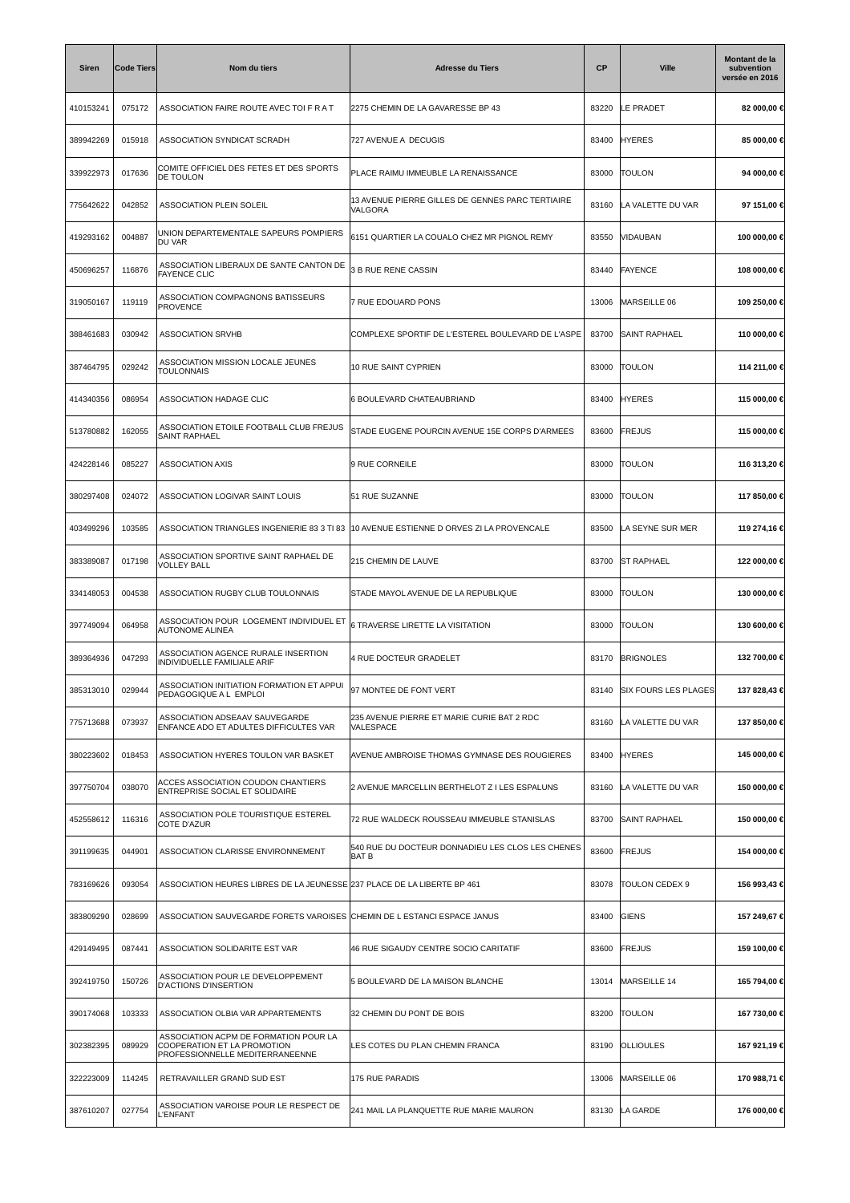| <b>Siren</b> | <b>Code Tiers</b> | Nom du tiers                                                                                            | <b>Adresse du Tiers</b>                                     | СP    | <b>Ville</b>                | Montant de la<br>subvention<br>versée en 2016 |
|--------------|-------------------|---------------------------------------------------------------------------------------------------------|-------------------------------------------------------------|-------|-----------------------------|-----------------------------------------------|
| 410153241    | 075172            | ASSOCIATION FAIRE ROUTE AVEC TOI F R A T                                                                | 2275 CHEMIN DE LA GAVARESSE BP 43                           | 83220 | LE PRADET                   | 82 000,00 €                                   |
| 389942269    | 015918            | ASSOCIATION SYNDICAT SCRADH                                                                             | 727 AVENUE A DECUGIS                                        | 83400 | <b>HYERES</b>               | 85 000,00 €                                   |
| 339922973    | 017636            | COMITE OFFICIEL DES FETES ET DES SPORTS<br>DE TOULON                                                    | PLACE RAIMU IMMEUBLE LA RENAISSANCE                         | 83000 | <b>TOULON</b>               | 94 000,00 €                                   |
| 775642622    | 042852            | <b>ASSOCIATION PLEIN SOLEIL</b>                                                                         | 13 AVENUE PIERRE GILLES DE GENNES PARC TERTIAIRE<br>VALGORA | 83160 | LA VALETTE DU VAR           | 97 151,00 €                                   |
| 419293162    | 004887            | UNION DEPARTEMENTALE SAPEURS POMPIERS<br>DU VAR                                                         | 6151 QUARTIER LA COUALO CHEZ MR PIGNOL REMY                 | 83550 | VIDAUBAN                    | 100 000,00 €                                  |
| 450696257    | 116876            | ASSOCIATION LIBERAUX DE SANTE CANTON DE<br><b>FAYENCE CLIC</b>                                          | <b>3 B RUE RENE CASSIN</b>                                  | 83440 | <b>FAYENCE</b>              | 108 000,00 €                                  |
| 319050167    | 119119            | ASSOCIATION COMPAGNONS BATISSEURS<br><b>PROVENCE</b>                                                    | 7 RUE EDOUARD PONS                                          | 13006 | MARSEILLE 06                | 109 250,00 €                                  |
| 388461683    | 030942            | <b>ASSOCIATION SRVHB</b>                                                                                | COMPLEXE SPORTIF DE L'ESTEREL BOULEVARD DE L'ASPE           | 83700 | <b>SAINT RAPHAEL</b>        | 110 000,00 €                                  |
| 387464795    | 029242            | ASSOCIATION MISSION LOCALE JEUNES<br><b>TOULONNAIS</b>                                                  | 10 RUE SAINT CYPRIEN                                        | 83000 | <b>TOULON</b>               | 114 211,00 €                                  |
| 414340356    | 086954            | ASSOCIATION HADAGE CLIC                                                                                 | 6 BOULEVARD CHATEAUBRIAND                                   | 83400 | <b>HYERES</b>               | 115 000,00 €                                  |
| 513780882    | 162055            | ASSOCIATION ETOILE FOOTBALL CLUB FREJUS<br>SAINT RAPHAEL                                                | STADE EUGENE POURCIN AVENUE 15E CORPS D'ARMEES              | 83600 | <b>FREJUS</b>               | 115 000,00 €                                  |
| 424228146    | 085227            | <b>ASSOCIATION AXIS</b>                                                                                 | 9 RUE CORNEILE                                              | 83000 | <b>TOULON</b>               | 116 313,20 €                                  |
| 380297408    | 024072            | ASSOCIATION LOGIVAR SAINT LOUIS                                                                         | 51 RUE SUZANNE                                              | 83000 | <b>TOULON</b>               | 117 850,00 €                                  |
| 403499296    | 103585            | ASSOCIATION TRIANGLES INGENIERIE 83 3 TI 83                                                             | 10 AVENUE ESTIENNE D ORVES ZI LA PROVENCALE                 | 83500 | LA SEYNE SUR MER            | 119 274,16 €                                  |
| 383389087    | 017198            | ASSOCIATION SPORTIVE SAINT RAPHAEL DE<br>VOLLEY BALL                                                    | 215 CHEMIN DE LAUVE                                         | 83700 | <b>ST RAPHAEL</b>           | 122 000,00 €                                  |
| 334148053    | 004538            | ASSOCIATION RUGBY CLUB TOULONNAIS                                                                       | STADE MAYOL AVENUE DE LA REPUBLIQUE                         | 83000 | <b>TOULON</b>               | 130 000,00 €                                  |
| 397749094    | 064958            | ASSOCIATION POUR LOGEMENT INDIVIDUEL ET<br><b>AUTONOME ALINEA</b>                                       | 6 TRAVERSE LIRETTE LA VISITATION                            | 83000 | <b>TOULON</b>               | 130 600,00 €                                  |
| 389364936    | 047293            | ASSOCIATION AGENCE RURALE INSERTION<br>INDIVIDUELLE FAMILIALE ARIF                                      | 4 RUE DOCTEUR GRADELET                                      | 83170 | <b>BRIGNOLES</b>            | 132 700,00 €                                  |
| 385313010    | 029944            | ASSOCIATION INITIATION FORMATION ET APPUI<br>PEDAGOGIQUE A L EMPLOI                                     | 97 MONTEE DE FONT VERT                                      | 83140 | <b>SIX FOURS LES PLAGES</b> | 137 828,43 €                                  |
| 775713688    | 073937            | ASSOCIATION ADSEAAV SAUVEGARDE<br>ENFANCE ADO ET ADULTES DIFFICULTES VAR                                | 235 AVENUE PIERRE ET MARIE CURIE BAT 2 RDC<br>VALESPACE     | 83160 | LA VALETTE DU VAR           | 137 850,00 €                                  |
| 380223602    | 018453            | ASSOCIATION HYERES TOULON VAR BASKET                                                                    | AVENUE AMBROISE THOMAS GYMNASE DES ROUGIERES                | 83400 | <b>HYERES</b>               | 145 000,00 €                                  |
| 397750704    | 038070            | ACCES ASSOCIATION COUDON CHANTIERS<br>ENTREPRISE SOCIAL ET SOLIDAIRE                                    | 2 AVENUE MARCELLIN BERTHELOT Z I LES ESPALUNS               | 83160 | LA VALETTE DU VAR           | 150 000,00 €                                  |
| 452558612    | 116316            | ASSOCIATION POLE TOURISTIQUE ESTEREL<br>COTE D'AZUR                                                     | 72 RUE WALDECK ROUSSEAU IMMEUBLE STANISLAS                  | 83700 | <b>SAINT RAPHAEL</b>        | 150 000,00 €                                  |
| 391199635    | 044901            | ASSOCIATION CLARISSE ENVIRONNEMENT                                                                      | 540 RUE DU DOCTEUR DONNADIEU LES CLOS LES CHENES<br>BAT B   | 83600 | FREJUS                      | 154 000,00 €                                  |
| 783169626    | 093054            | ASSOCIATION HEURES LIBRES DE LA JEUNESSE 237 PLACE DE LA LIBERTE BP 461                                 |                                                             | 83078 | TOULON CEDEX 9              | 156 993,43 €                                  |
| 383809290    | 028699            | ASSOCIATION SAUVEGARDE FORETS VAROISES CHEMIN DE L ESTANCI ESPACE JANUS                                 |                                                             | 83400 | GIENS                       | 157 249,67 €                                  |
| 429149495    | 087441            | ASSOCIATION SOLIDARITE EST VAR                                                                          | 46 RUE SIGAUDY CENTRE SOCIO CARITATIF                       | 83600 | FREJUS                      | 159 100,00 €                                  |
| 392419750    | 150726            | ASSOCIATION POUR LE DEVELOPPEMENT<br><b>D'ACTIONS D'INSERTION</b>                                       | 5 BOULEVARD DE LA MAISON BLANCHE                            | 13014 | MARSEILLE 14                | 165 794,00 €                                  |
| 390174068    | 103333            | ASSOCIATION OLBIA VAR APPARTEMENTS                                                                      | 32 CHEMIN DU PONT DE BOIS                                   | 83200 | <b>TOULON</b>               | 167 730,00 €                                  |
| 302382395    | 089929            | ASSOCIATION ACPM DE FORMATION POUR LA<br>COOPERATION ET LA PROMOTION<br>PROFESSIONNELLE MEDITERRANEENNE | LES COTES DU PLAN CHEMIN FRANCA                             | 83190 | <b>OLLIOULES</b>            | 167 921,19 €                                  |
| 322223009    | 114245            | RETRAVAILLER GRAND SUD EST                                                                              | 175 RUE PARADIS                                             | 13006 | MARSEILLE 06                | 170 988,71 €                                  |
| 387610207    | 027754            | ASSOCIATION VAROISE POUR LE RESPECT DE<br><b>L'ENFANT</b>                                               | 241 MAIL LA PLANQUETTE RUE MARIE MAURON                     | 83130 | LA GARDE                    | 176 000,00 €                                  |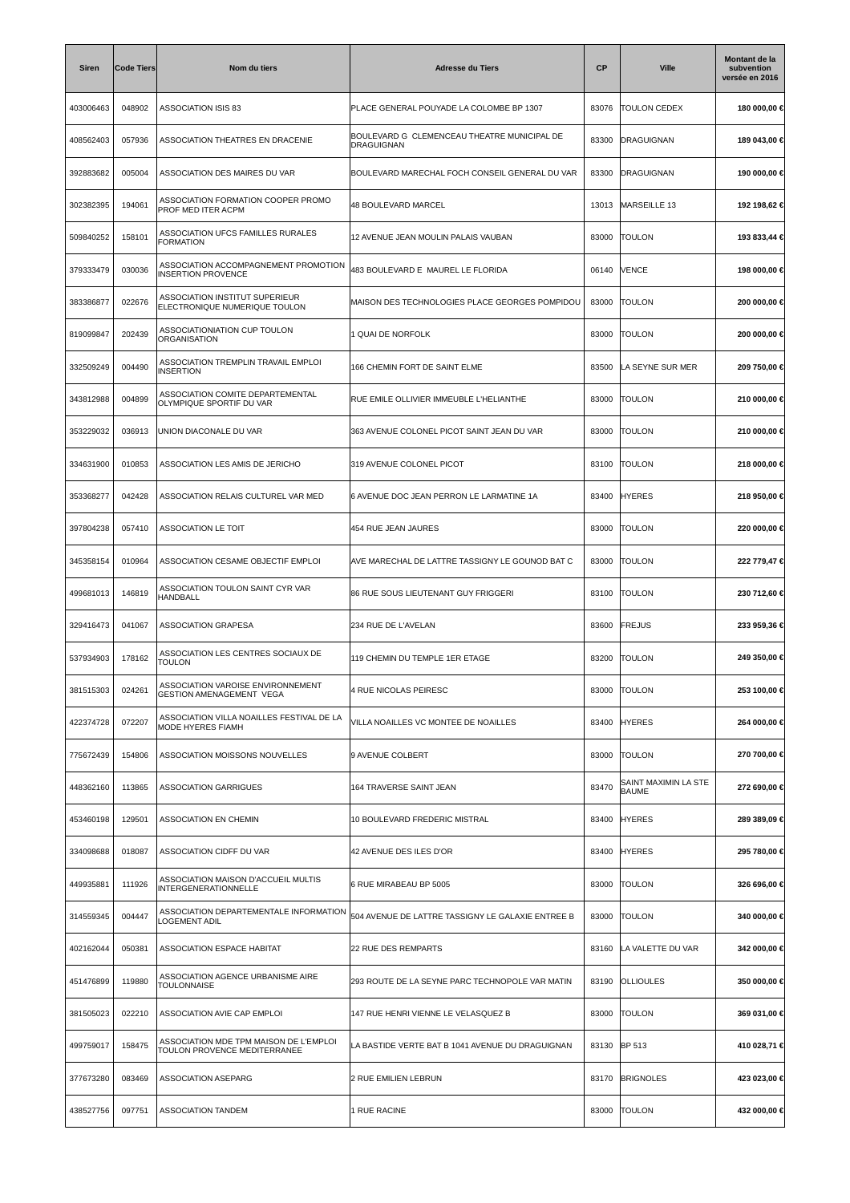| <b>Siren</b> | <b>Code Tiers</b> | Nom du tiers                                                           | <b>Adresse du Tiers</b>                                          | СP    | <b>Ville</b>                         | Montant de la<br>subvention<br>versée en 2016 |
|--------------|-------------------|------------------------------------------------------------------------|------------------------------------------------------------------|-------|--------------------------------------|-----------------------------------------------|
| 403006463    | 048902            | ASSOCIATION ISIS 83                                                    | PLACE GENERAL POUYADE LA COLOMBE BP 1307                         | 83076 | <b>TOULON CEDEX</b>                  | 180 000,00 €                                  |
| 408562403    | 057936            | ASSOCIATION THEATRES EN DRACENIE                                       | BOULEVARD G CLEMENCEAU THEATRE MUNICIPAL DE<br><b>DRAGUIGNAN</b> | 83300 | DRAGUIGNAN                           | 189 043,00 €                                  |
| 392883682    | 005004            | ASSOCIATION DES MAIRES DU VAR                                          | BOULEVARD MARECHAL FOCH CONSEIL GENERAL DU VAR                   | 83300 | DRAGUIGNAN                           | 190 000,00 €                                  |
| 302382395    | 194061            | ASSOCIATION FORMATION COOPER PROMO<br>PROF MED ITER ACPM               | 48 BOULEVARD MARCEL                                              | 13013 | MARSEILLE 13                         | 192 198,62 €                                  |
| 509840252    | 158101            | ASSOCIATION UFCS FAMILLES RURALES<br><b>FORMATION</b>                  | 12 AVENUE JEAN MOULIN PALAIS VAUBAN                              | 83000 | <b>TOULON</b>                        | 193 833,44 €                                  |
| 379333479    | 030036            | ASSOCIATION ACCOMPAGNEMENT PROMOTION<br><b>INSERTION PROVENCE</b>      | 483 BOULEVARD E MAUREL LE FLORIDA                                | 06140 | <b>VENCE</b>                         | 198 000,00 €                                  |
| 383386877    | 022676            | ASSOCIATION INSTITUT SUPERIEUR<br>ELECTRONIQUE NUMERIQUE TOULON        | MAISON DES TECHNOLOGIES PLACE GEORGES POMPIDOU                   | 83000 | <b>TOULON</b>                        | 200 000,00 €                                  |
| 819099847    | 202439            | ASSOCIATIONIATION CUP TOULON<br>ORGANISATION                           | 1 QUAI DE NORFOLK                                                | 83000 | <b>TOULON</b>                        | 200 000,00 €                                  |
| 332509249    | 004490            | ASSOCIATION TREMPLIN TRAVAIL EMPLOI<br><b>INSERTION</b>                | 166 CHEMIN FORT DE SAINT ELME                                    | 83500 | LA SEYNE SUR MER                     | 209 750,00 €                                  |
| 343812988    | 004899            | ASSOCIATION COMITE DEPARTEMENTAL<br>OLYMPIQUE SPORTIF DU VAR           | RUE EMILE OLLIVIER IMMEUBLE L'HELIANTHE                          | 83000 | <b>TOULON</b>                        | 210 000,00 €                                  |
| 353229032    | 036913            | UNION DIACONALE DU VAR                                                 | 363 AVENUE COLONEL PICOT SAINT JEAN DU VAR                       | 83000 | <b>TOULON</b>                        | 210 000,00 €                                  |
| 334631900    | 010853            | ASSOCIATION LES AMIS DE JERICHO                                        | 319 AVENUE COLONEL PICOT                                         | 83100 | <b>TOULON</b>                        | 218 000,00 €                                  |
| 353368277    | 042428            | ASSOCIATION RELAIS CULTUREL VAR MED                                    | 6 AVENUE DOC JEAN PERRON LE LARMATINE 1A                         | 83400 | <b>HYERES</b>                        | 218 950,00 €                                  |
| 397804238    | 057410            | ASSOCIATION LE TOIT                                                    | 454 RUE JEAN JAURES                                              | 83000 | <b>TOULON</b>                        | 220 000,00 €                                  |
| 345358154    | 010964            | ASSOCIATION CESAME OBJECTIF EMPLOI                                     | AVE MARECHAL DE LATTRE TASSIGNY LE GOUNOD BAT C                  | 83000 | <b>TOULON</b>                        | 222 779,47 €                                  |
| 499681013    | 146819            | ASSOCIATION TOULON SAINT CYR VAR<br>HANDBALL                           | 86 RUE SOUS LIEUTENANT GUY FRIGGERI                              | 83100 | <b>TOULON</b>                        | 230 712,60 €                                  |
| 329416473    | 041067            | <b>ASSOCIATION GRAPESA</b>                                             | 234 RUE DE L'AVELAN                                              | 83600 | <b>FREJUS</b>                        | 233 959,36 €                                  |
| 537934903    | 178162            | ASSOCIATION LES CENTRES SOCIAUX DE<br>TOULON                           | 119 CHEMIN DU TEMPLE 1ER ETAGE                                   | 83200 | <b>TOULON</b>                        | 249 350,00 €                                  |
| 381515303    | 024261            | ASSOCIATION VAROISE ENVIRONNEMENT<br><b>GESTION AMENAGEMENT VEGA</b>   | 4 RUE NICOLAS PEIRESC                                            |       | 83000   TOULON                       | 253 100,00 €                                  |
| 422374728    | 072207            | ASSOCIATION VILLA NOAILLES FESTIVAL DE LA<br><b>MODE HYERES FIAMH</b>  | VILLA NOAILLES VC MONTEE DE NOAILLES                             | 83400 | <b>HYERES</b>                        | 264 000,00 €                                  |
| 775672439    | 154806            | ASSOCIATION MOISSONS NOUVELLES                                         | 9 AVENUE COLBERT                                                 | 83000 | <b>TOULON</b>                        | 270 700,00 €                                  |
| 448362160    | 113865            | <b>ASSOCIATION GARRIGUES</b>                                           | 164 TRAVERSE SAINT JEAN                                          | 83470 | SAINT MAXIMIN LA STE<br><b>BAUME</b> | 272 690,00 €                                  |
| 453460198    | 129501            | ASSOCIATION EN CHEMIN                                                  | 10 BOULEVARD FREDERIC MISTRAL                                    | 83400 | <b>HYERES</b>                        | 289 389,09 €                                  |
| 334098688    | 018087            | ASSOCIATION CIDFF DU VAR                                               | 42 AVENUE DES ILES D'OR                                          | 83400 | <b>HYERES</b>                        | 295 780,00 €                                  |
| 449935881    | 111926            | ASSOCIATION MAISON D'ACCUEIL MULTIS<br>INTERGENERATIONNELLE            | 6 RUE MIRABEAU BP 5005                                           | 83000 | <b>TOULON</b>                        | 326 696,00 €                                  |
| 314559345    | 004447            | ASSOCIATION DEPARTEMENTALE INFORMATION<br>LOGEMENT ADIL                | 504 AVENUE DE LATTRE TASSIGNY LE GALAXIE ENTREE B                | 83000 | <b>TOULON</b>                        | 340 000,00 €                                  |
| 402162044    | 050381            | ASSOCIATION ESPACE HABITAT                                             | 22 RUE DES REMPARTS                                              | 83160 | LA VALETTE DU VAR                    | 342 000,00 €                                  |
| 451476899    | 119880            | ASSOCIATION AGENCE URBANISME AIRE<br><b>TOULONNAISE</b>                | 293 ROUTE DE LA SEYNE PARC TECHNOPOLE VAR MATIN                  | 83190 | <b>OLLIOULES</b>                     | 350 000,00 €                                  |
| 381505023    | 022210            | ASSOCIATION AVIE CAP EMPLOI                                            | 147 RUE HENRI VIENNE LE VELASQUEZ B                              | 83000 | <b>TOULON</b>                        | 369 031,00 €                                  |
| 499759017    | 158475            | ASSOCIATION MDE TPM MAISON DE L'EMPLOI<br>TOULON PROVENCE MEDITERRANEE | LA BASTIDE VERTE BAT B 1041 AVENUE DU DRAGUIGNAN                 | 83130 | <b>BP 513</b>                        | 410 028,71 €                                  |
| 377673280    | 083469            | ASSOCIATION ASEPARG                                                    | 2 RUE EMILIEN LEBRUN                                             | 83170 | <b>BRIGNOLES</b>                     | 423 023,00 €                                  |
| 438527756    | 097751            | <b>ASSOCIATION TANDEM</b>                                              | 1 RUE RACINE                                                     | 83000 | <b>TOULON</b>                        | 432 000,00 €                                  |